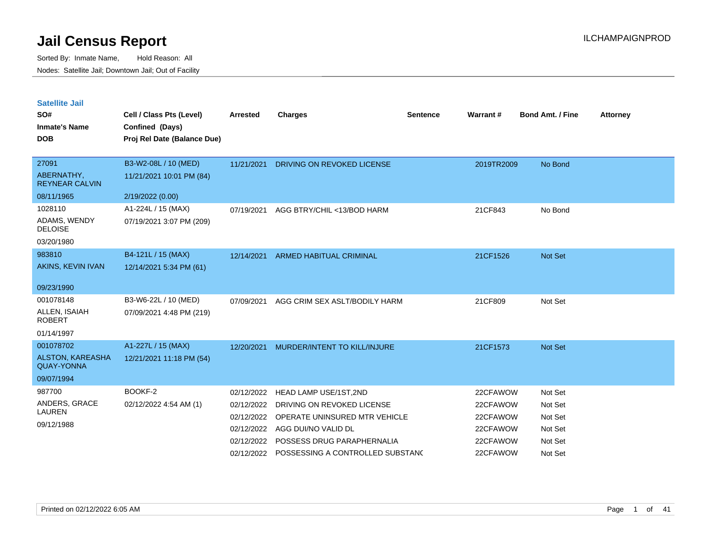| <b>Satellite Jail</b> |  |
|-----------------------|--|
|                       |  |

| SO#<br><b>Inmate's Name</b><br><b>DOB</b> | Cell / Class Pts (Level)<br>Confined (Days)<br>Proj Rel Date (Balance Due) | Arrested   | Charges                               | <b>Sentence</b> | Warrant#   | <b>Bond Amt. / Fine</b> | <b>Attorney</b> |
|-------------------------------------------|----------------------------------------------------------------------------|------------|---------------------------------------|-----------------|------------|-------------------------|-----------------|
| 27091                                     | B3-W2-08L / 10 (MED)                                                       | 11/21/2021 | DRIVING ON REVOKED LICENSE            |                 | 2019TR2009 | No Bond                 |                 |
| ABERNATHY,<br><b>REYNEAR CALVIN</b>       | 11/21/2021 10:01 PM (84)                                                   |            |                                       |                 |            |                         |                 |
| 08/11/1965                                | 2/19/2022 (0.00)                                                           |            |                                       |                 |            |                         |                 |
| 1028110                                   | A1-224L / 15 (MAX)                                                         | 07/19/2021 | AGG BTRY/CHIL <13/BOD HARM            |                 | 21CF843    | No Bond                 |                 |
| ADAMS, WENDY<br><b>DELOISE</b>            | 07/19/2021 3:07 PM (209)                                                   |            |                                       |                 |            |                         |                 |
| 03/20/1980                                |                                                                            |            |                                       |                 |            |                         |                 |
| 983810                                    | B4-121L / 15 (MAX)                                                         | 12/14/2021 | ARMED HABITUAL CRIMINAL               |                 | 21CF1526   | Not Set                 |                 |
| AKINS, KEVIN IVAN                         | 12/14/2021 5:34 PM (61)                                                    |            |                                       |                 |            |                         |                 |
| 09/23/1990                                |                                                                            |            |                                       |                 |            |                         |                 |
| 001078148                                 | B3-W6-22L / 10 (MED)                                                       | 07/09/2021 | AGG CRIM SEX ASLT/BODILY HARM         |                 | 21CF809    | Not Set                 |                 |
| ALLEN, ISAIAH<br><b>ROBERT</b>            | 07/09/2021 4:48 PM (219)                                                   |            |                                       |                 |            |                         |                 |
| 01/14/1997                                |                                                                            |            |                                       |                 |            |                         |                 |
| 001078702                                 | A1-227L / 15 (MAX)                                                         | 12/20/2021 | MURDER/INTENT TO KILL/INJURE          |                 | 21CF1573   | Not Set                 |                 |
| ALSTON, KAREASHA<br><b>QUAY-YONNA</b>     | 12/21/2021 11:18 PM (54)                                                   |            |                                       |                 |            |                         |                 |
| 09/07/1994                                |                                                                            |            |                                       |                 |            |                         |                 |
| 987700                                    | BOOKF-2                                                                    | 02/12/2022 | <b>HEAD LAMP USE/1ST,2ND</b>          |                 | 22CFAWOW   | Not Set                 |                 |
| ANDERS, GRACE                             | 02/12/2022 4:54 AM (1)                                                     | 02/12/2022 | DRIVING ON REVOKED LICENSE            |                 | 22CFAWOW   | Not Set                 |                 |
| LAUREN                                    |                                                                            | 02/12/2022 | OPERATE UNINSURED MTR VEHICLE         |                 | 22CFAWOW   | Not Set                 |                 |
| 09/12/1988                                |                                                                            | 02/12/2022 | AGG DUI/NO VALID DL                   |                 | 22CFAWOW   | Not Set                 |                 |
|                                           |                                                                            |            | 02/12/2022 POSSESS DRUG PARAPHERNALIA |                 | 22CFAWOW   | Not Set                 |                 |
|                                           |                                                                            | 02/12/2022 | POSSESSING A CONTROLLED SUBSTAND      |                 | 22CFAWOW   | Not Set                 |                 |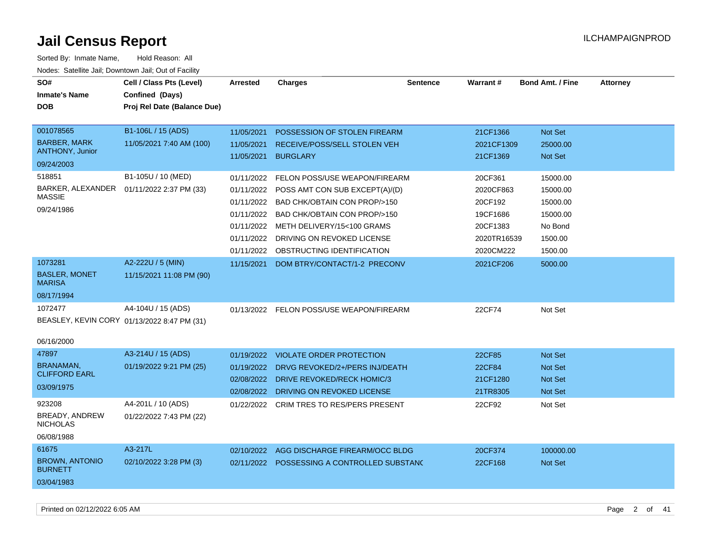| Sorted By: Inmate Name,                               | Hold Reason: All                            |                 |                                             |          |             |                         |                 |
|-------------------------------------------------------|---------------------------------------------|-----------------|---------------------------------------------|----------|-------------|-------------------------|-----------------|
| Nodes: Satellite Jail; Downtown Jail; Out of Facility |                                             |                 |                                             |          |             |                         |                 |
| SO#                                                   | Cell / Class Pts (Level)                    | <b>Arrested</b> | <b>Charges</b>                              | Sentence | Warrant#    | <b>Bond Amt. / Fine</b> | <b>Attorney</b> |
| <b>Inmate's Name</b>                                  | Confined (Days)                             |                 |                                             |          |             |                         |                 |
| <b>DOB</b>                                            | Proj Rel Date (Balance Due)                 |                 |                                             |          |             |                         |                 |
|                                                       |                                             |                 |                                             |          |             |                         |                 |
| 001078565                                             | B1-106L / 15 (ADS)                          | 11/05/2021      | POSSESSION OF STOLEN FIREARM                |          | 21CF1366    | Not Set                 |                 |
| <b>BARBER, MARK</b>                                   | 11/05/2021 7:40 AM (100)                    | 11/05/2021      | RECEIVE/POSS/SELL STOLEN VEH                |          | 2021CF1309  | 25000.00                |                 |
| <b>ANTHONY, Junior</b>                                |                                             | 11/05/2021      | <b>BURGLARY</b>                             |          | 21CF1369    | <b>Not Set</b>          |                 |
| 09/24/2003                                            |                                             |                 |                                             |          |             |                         |                 |
| 518851                                                | B1-105U / 10 (MED)                          | 01/11/2022      | FELON POSS/USE WEAPON/FIREARM               |          | 20CF361     | 15000.00                |                 |
| BARKER, ALEXANDER                                     | 01/11/2022 2:37 PM (33)                     | 01/11/2022      | POSS AMT CON SUB EXCEPT(A)/(D)              |          | 2020CF863   | 15000.00                |                 |
| <b>MASSIE</b>                                         |                                             | 01/11/2022      | BAD CHK/OBTAIN CON PROP/>150                |          | 20CF192     | 15000.00                |                 |
| 09/24/1986                                            |                                             | 01/11/2022      | BAD CHK/OBTAIN CON PROP/>150                |          | 19CF1686    | 15000.00                |                 |
|                                                       |                                             | 01/11/2022      | METH DELIVERY/15<100 GRAMS                  |          | 20CF1383    | No Bond                 |                 |
|                                                       |                                             | 01/11/2022      | DRIVING ON REVOKED LICENSE                  |          | 2020TR16539 | 1500.00                 |                 |
|                                                       |                                             |                 | 01/11/2022 OBSTRUCTING IDENTIFICATION       |          | 2020CM222   | 1500.00                 |                 |
| 1073281                                               | A2-222U / 5 (MIN)                           | 11/15/2021      | DOM BTRY/CONTACT/1-2 PRECONV                |          | 2021CF206   | 5000.00                 |                 |
| <b>BASLER, MONET</b><br><b>MARISA</b>                 | 11/15/2021 11:08 PM (90)                    |                 |                                             |          |             |                         |                 |
| 08/17/1994                                            |                                             |                 |                                             |          |             |                         |                 |
| 1072477                                               | A4-104U / 15 (ADS)                          |                 | 01/13/2022 FELON POSS/USE WEAPON/FIREARM    |          | 22CF74      | Not Set                 |                 |
|                                                       | BEASLEY, KEVIN CORY 01/13/2022 8:47 PM (31) |                 |                                             |          |             |                         |                 |
|                                                       |                                             |                 |                                             |          |             |                         |                 |
| 06/16/2000                                            |                                             |                 |                                             |          |             |                         |                 |
| 47897                                                 | A3-214U / 15 (ADS)                          | 01/19/2022      | VIOLATE ORDER PROTECTION                    |          | 22CF85      | <b>Not Set</b>          |                 |
| <b>BRANAMAN.</b><br><b>CLIFFORD EARL</b>              | 01/19/2022 9:21 PM (25)                     |                 | 01/19/2022 DRVG REVOKED/2+/PERS INJ/DEATH   |          | 22CF84      | <b>Not Set</b>          |                 |
|                                                       |                                             |                 | 02/08/2022 DRIVE REVOKED/RECK HOMIC/3       |          | 21CF1280    | <b>Not Set</b>          |                 |
| 03/09/1975                                            |                                             |                 | 02/08/2022 DRIVING ON REVOKED LICENSE       |          | 21TR8305    | <b>Not Set</b>          |                 |
| 923208                                                | A4-201L / 10 (ADS)                          |                 | 01/22/2022 CRIM TRES TO RES/PERS PRESENT    |          | 22CF92      | Not Set                 |                 |
| BREADY, ANDREW                                        | 01/22/2022 7:43 PM (22)                     |                 |                                             |          |             |                         |                 |
| <b>NICHOLAS</b>                                       |                                             |                 |                                             |          |             |                         |                 |
| 06/08/1988                                            |                                             |                 |                                             |          |             |                         |                 |
| 61675                                                 | A3-217L                                     | 02/10/2022      | AGG DISCHARGE FIREARM/OCC BLDG              |          | 20CF374     | 100000.00               |                 |
| <b>BROWN, ANTONIO</b><br><b>BURNETT</b>               | 02/10/2022 3:28 PM (3)                      |                 | 02/11/2022 POSSESSING A CONTROLLED SUBSTANC |          | 22CF168     | <b>Not Set</b>          |                 |
| 03/04/1983                                            |                                             |                 |                                             |          |             |                         |                 |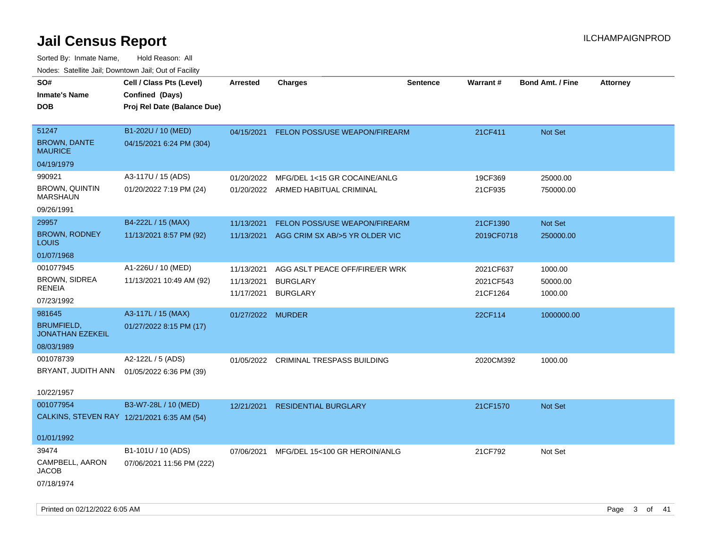| Todoo. Catolino can, Bowritown can, Oat or I domt<br>SO#<br><b>Inmate's Name</b><br><b>DOB</b> | Cell / Class Pts (Level)<br>Confined (Days)<br>Proj Rel Date (Balance Due) | <b>Arrested</b>                        | <b>Charges</b>                                                         | <b>Sentence</b> | Warrant#                           | <b>Bond Amt. / Fine</b>        | <b>Attorney</b> |
|------------------------------------------------------------------------------------------------|----------------------------------------------------------------------------|----------------------------------------|------------------------------------------------------------------------|-----------------|------------------------------------|--------------------------------|-----------------|
| 51247<br><b>BROWN, DANTE</b><br><b>MAURICE</b>                                                 | B1-202U / 10 (MED)<br>04/15/2021 6:24 PM (304)                             | 04/15/2021                             | <b>FELON POSS/USE WEAPON/FIREARM</b>                                   |                 | 21CF411                            | <b>Not Set</b>                 |                 |
| 04/19/1979                                                                                     |                                                                            |                                        |                                                                        |                 |                                    |                                |                 |
| 990921<br><b>BROWN, QUINTIN</b><br><b>MARSHAUN</b>                                             | A3-117U / 15 (ADS)<br>01/20/2022 7:19 PM (24)                              | 01/20/2022                             | MFG/DEL 1<15 GR COCAINE/ANLG<br>01/20/2022 ARMED HABITUAL CRIMINAL     |                 | 19CF369<br>21CF935                 | 25000.00<br>750000.00          |                 |
| 09/26/1991                                                                                     |                                                                            |                                        |                                                                        |                 |                                    |                                |                 |
| 29957<br><b>BROWN, RODNEY</b><br><b>LOUIS</b>                                                  | B4-222L / 15 (MAX)<br>11/13/2021 8:57 PM (92)                              | 11/13/2021<br>11/13/2021               | <b>FELON POSS/USE WEAPON/FIREARM</b><br>AGG CRIM SX AB/>5 YR OLDER VIC |                 | 21CF1390<br>2019CF0718             | Not Set<br>250000.00           |                 |
| 01/07/1968                                                                                     |                                                                            |                                        |                                                                        |                 |                                    |                                |                 |
| 001077945<br><b>BROWN, SIDREA</b><br><b>RENEIA</b><br>07/23/1992                               | A1-226U / 10 (MED)<br>11/13/2021 10:49 AM (92)                             | 11/13/2021<br>11/13/2021<br>11/17/2021 | AGG ASLT PEACE OFF/FIRE/ER WRK<br><b>BURGLARY</b><br><b>BURGLARY</b>   |                 | 2021CF637<br>2021CF543<br>21CF1264 | 1000.00<br>50000.00<br>1000.00 |                 |
| 981645                                                                                         | A3-117L / 15 (MAX)                                                         | 01/27/2022 MURDER                      |                                                                        |                 | 22CF114                            | 1000000.00                     |                 |
| <b>BRUMFIELD,</b><br><b>JONATHAN EZEKEIL</b>                                                   | 01/27/2022 8:15 PM (17)                                                    |                                        |                                                                        |                 |                                    |                                |                 |
| 08/03/1989                                                                                     |                                                                            |                                        |                                                                        |                 |                                    |                                |                 |
| 001078739<br>BRYANT, JUDITH ANN<br>10/22/1957                                                  | A2-122L / 5 (ADS)<br>01/05/2022 6:36 PM (39)                               | 01/05/2022                             | <b>CRIMINAL TRESPASS BUILDING</b>                                      |                 | 2020CM392                          | 1000.00                        |                 |
| 001077954                                                                                      | B3-W7-28L / 10 (MED)                                                       | 12/21/2021                             | <b>RESIDENTIAL BURGLARY</b>                                            |                 | 21CF1570                           | Not Set                        |                 |
| CALKINS, STEVEN RAY 12/21/2021 6:35 AM (54)                                                    |                                                                            |                                        |                                                                        |                 |                                    |                                |                 |
| 01/01/1992                                                                                     |                                                                            |                                        |                                                                        |                 |                                    |                                |                 |
| 39474                                                                                          | B1-101U / 10 (ADS)                                                         | 07/06/2021                             | MFG/DEL 15<100 GR HEROIN/ANLG                                          |                 | 21CF792                            | Not Set                        |                 |
| CAMPBELL, AARON<br><b>JACOB</b><br>07/18/1974                                                  | 07/06/2021 11:56 PM (222)                                                  |                                        |                                                                        |                 |                                    |                                |                 |
|                                                                                                |                                                                            |                                        |                                                                        |                 |                                    |                                |                 |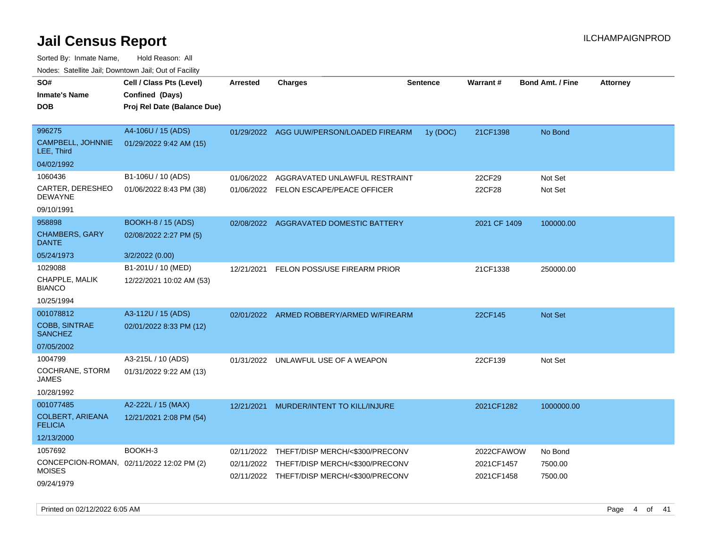Sorted By: Inmate Name, Hold Reason: All Nodes: Satellite Jail; Downtown Jail; Out of Facility

| SO#<br>Inmate's Name<br>DOB               | Cell / Class Pts (Level)<br>Confined (Days)<br>Proj Rel Date (Balance Due) | Arrested   | <b>Charges</b>                             | <b>Sentence</b> | Warrant#     | <b>Bond Amt. / Fine</b> | <b>Attorney</b> |
|-------------------------------------------|----------------------------------------------------------------------------|------------|--------------------------------------------|-----------------|--------------|-------------------------|-----------------|
| 996275<br>CAMPBELL, JOHNNIE<br>LEE, Third | A4-106U / 15 (ADS)<br>01/29/2022 9:42 AM (15)                              |            | 01/29/2022 AGG UUW/PERSON/LOADED FIREARM   | 1y (DOC)        | 21CF1398     | No Bond                 |                 |
| 04/02/1992                                |                                                                            |            |                                            |                 |              |                         |                 |
| 1060436                                   | B1-106U / 10 (ADS)                                                         | 01/06/2022 | AGGRAVATED UNLAWFUL RESTRAINT              |                 | 22CF29       | Not Set                 |                 |
| CARTER, DERESHEO<br>DEWAYNE               | 01/06/2022 8:43 PM (38)                                                    | 01/06/2022 | <b>FELON ESCAPE/PEACE OFFICER</b>          |                 | 22CF28       | Not Set                 |                 |
| 09/10/1991                                |                                                                            |            |                                            |                 |              |                         |                 |
| 958898                                    | <b>BOOKH-8 / 15 (ADS)</b>                                                  | 02/08/2022 | AGGRAVATED DOMESTIC BATTERY                |                 | 2021 CF 1409 | 100000.00               |                 |
| <b>CHAMBERS, GARY</b><br>DANTE            | 02/08/2022 2:27 PM (5)                                                     |            |                                            |                 |              |                         |                 |
| 05/24/1973                                | 3/2/2022 (0.00)                                                            |            |                                            |                 |              |                         |                 |
| 1029088                                   | B1-201U / 10 (MED)                                                         | 12/21/2021 | FELON POSS/USE FIREARM PRIOR               |                 | 21CF1338     | 250000.00               |                 |
| CHAPPLE, MALIK<br>BIANCO                  | 12/22/2021 10:02 AM (53)                                                   |            |                                            |                 |              |                         |                 |
| 10/25/1994                                |                                                                            |            |                                            |                 |              |                         |                 |
| 001078812                                 | A3-112U / 15 (ADS)                                                         |            | 02/01/2022 ARMED ROBBERY/ARMED W/FIREARM   |                 | 22CF145      | <b>Not Set</b>          |                 |
| <b>COBB, SINTRAE</b><br><b>SANCHEZ</b>    | 02/01/2022 8:33 PM (12)                                                    |            |                                            |                 |              |                         |                 |
| 07/05/2002                                |                                                                            |            |                                            |                 |              |                         |                 |
| 1004799                                   | A3-215L / 10 (ADS)                                                         |            | 01/31/2022 UNLAWFUL USE OF A WEAPON        |                 | 22CF139      | Not Set                 |                 |
| COCHRANE, STORM<br>JAMES                  | 01/31/2022 9:22 AM (13)                                                    |            |                                            |                 |              |                         |                 |
| 10/28/1992                                |                                                                            |            |                                            |                 |              |                         |                 |
| 001077485                                 | A2-222L / 15 (MAX)                                                         | 12/21/2021 | MURDER/INTENT TO KILL/INJURE               |                 | 2021CF1282   | 1000000.00              |                 |
| COLBERT, ARIEANA<br><b>FELICIA</b>        | 12/21/2021 2:08 PM (54)                                                    |            |                                            |                 |              |                         |                 |
| 12/13/2000                                |                                                                            |            |                                            |                 |              |                         |                 |
| 1057692                                   | BOOKH-3                                                                    | 02/11/2022 | THEFT/DISP MERCH/<\$300/PRECONV            |                 | 2022CFAWOW   | No Bond                 |                 |
|                                           | CONCEPCION-ROMAN, 02/11/2022 12:02 PM (2)                                  | 02/11/2022 | THEFT/DISP MERCH/<\$300/PRECONV            |                 | 2021CF1457   | 7500.00                 |                 |
| MOISES                                    |                                                                            |            | 02/11/2022 THEFT/DISP MERCH/<\$300/PRECONV |                 | 2021CF1458   | 7500.00                 |                 |
| 09/24/1979                                |                                                                            |            |                                            |                 |              |                         |                 |

Printed on 02/12/2022 6:05 AM Page 4 of 41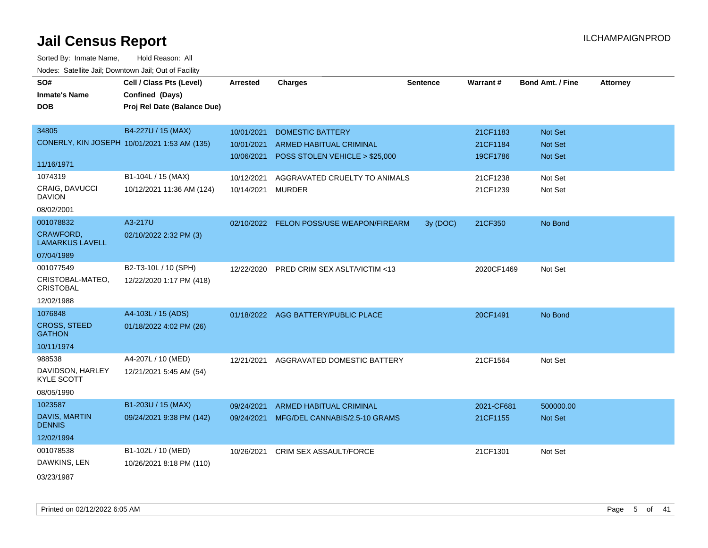| SO#                                        | Cell / Class Pts (Level)                     | <b>Arrested</b> | <b>Charges</b>                           | <b>Sentence</b> | <b>Warrant#</b> | <b>Bond Amt. / Fine</b> | <b>Attorney</b> |
|--------------------------------------------|----------------------------------------------|-----------------|------------------------------------------|-----------------|-----------------|-------------------------|-----------------|
| <b>Inmate's Name</b>                       | Confined (Days)                              |                 |                                          |                 |                 |                         |                 |
| <b>DOB</b>                                 | Proj Rel Date (Balance Due)                  |                 |                                          |                 |                 |                         |                 |
|                                            |                                              |                 |                                          |                 |                 |                         |                 |
| 34805                                      | B4-227U / 15 (MAX)                           | 10/01/2021      | <b>DOMESTIC BATTERY</b>                  |                 | 21CF1183        | <b>Not Set</b>          |                 |
|                                            | CONERLY, KIN JOSEPH 10/01/2021 1:53 AM (135) | 10/01/2021      | <b>ARMED HABITUAL CRIMINAL</b>           |                 | 21CF1184        | <b>Not Set</b>          |                 |
|                                            |                                              | 10/06/2021      | POSS STOLEN VEHICLE > \$25,000           |                 | 19CF1786        | Not Set                 |                 |
| 11/16/1971                                 |                                              |                 |                                          |                 |                 |                         |                 |
| 1074319                                    | B1-104L / 15 (MAX)                           | 10/12/2021      | AGGRAVATED CRUELTY TO ANIMALS            |                 | 21CF1238        | Not Set                 |                 |
| CRAIG, DAVUCCI<br><b>DAVION</b>            | 10/12/2021 11:36 AM (124)                    | 10/14/2021      | <b>MURDER</b>                            |                 | 21CF1239        | Not Set                 |                 |
| 08/02/2001                                 |                                              |                 |                                          |                 |                 |                         |                 |
| 001078832                                  | A3-217U                                      |                 | 02/10/2022 FELON POSS/USE WEAPON/FIREARM | 3y (DOC)        | 21CF350         | No Bond                 |                 |
| <b>CRAWFORD,</b><br><b>LAMARKUS LAVELL</b> | 02/10/2022 2:32 PM (3)                       |                 |                                          |                 |                 |                         |                 |
| 07/04/1989                                 |                                              |                 |                                          |                 |                 |                         |                 |
| 001077549                                  | B2-T3-10L / 10 (SPH)                         | 12/22/2020      | PRED CRIM SEX ASLT/VICTIM <13            |                 | 2020CF1469      | Not Set                 |                 |
| CRISTOBAL-MATEO,<br><b>CRISTOBAL</b>       | 12/22/2020 1:17 PM (418)                     |                 |                                          |                 |                 |                         |                 |
| 12/02/1988                                 |                                              |                 |                                          |                 |                 |                         |                 |
| 1076848                                    | A4-103L / 15 (ADS)                           |                 | 01/18/2022 AGG BATTERY/PUBLIC PLACE      |                 | 20CF1491        | No Bond                 |                 |
| <b>CROSS, STEED</b><br><b>GATHON</b>       | 01/18/2022 4:02 PM (26)                      |                 |                                          |                 |                 |                         |                 |
| 10/11/1974                                 |                                              |                 |                                          |                 |                 |                         |                 |
| 988538                                     | A4-207L / 10 (MED)                           | 12/21/2021      | AGGRAVATED DOMESTIC BATTERY              |                 | 21CF1564        | Not Set                 |                 |
| DAVIDSON, HARLEY<br><b>KYLE SCOTT</b>      | 12/21/2021 5:45 AM (54)                      |                 |                                          |                 |                 |                         |                 |
| 08/05/1990                                 |                                              |                 |                                          |                 |                 |                         |                 |
| 1023587                                    | B1-203U / 15 (MAX)                           | 09/24/2021      | <b>ARMED HABITUAL CRIMINAL</b>           |                 | 2021-CF681      | 500000.00               |                 |
| DAVIS, MARTIN<br><b>DENNIS</b>             | 09/24/2021 9:38 PM (142)                     |                 | 09/24/2021 MFG/DEL CANNABIS/2.5-10 GRAMS |                 | 21CF1155        | Not Set                 |                 |
| 12/02/1994                                 |                                              |                 |                                          |                 |                 |                         |                 |
| 001078538                                  | B1-102L / 10 (MED)                           | 10/26/2021      | <b>CRIM SEX ASSAULT/FORCE</b>            |                 | 21CF1301        | Not Set                 |                 |
| DAWKINS, LEN                               | 10/26/2021 8:18 PM (110)                     |                 |                                          |                 |                 |                         |                 |
| 03/23/1987                                 |                                              |                 |                                          |                 |                 |                         |                 |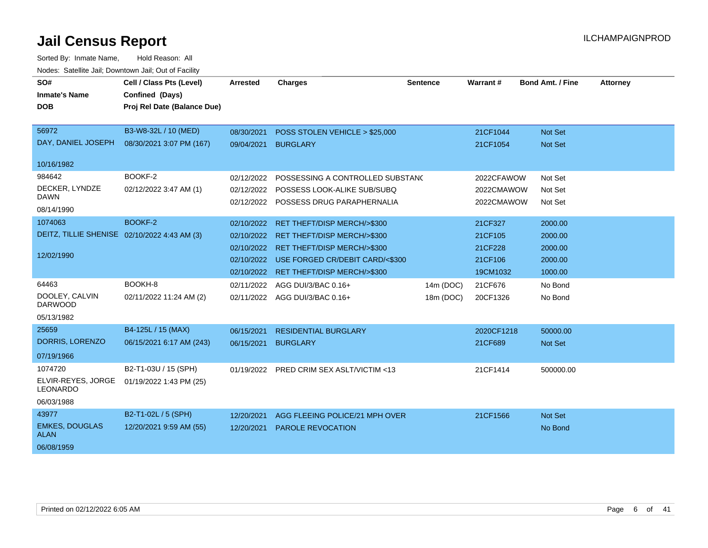| SO#<br><b>Inmate's Name</b><br><b>DOB</b>    | Cell / Class Pts (Level)<br>Confined (Days)<br>Proj Rel Date (Balance Due) | <b>Arrested</b> | <b>Charges</b>                           | <b>Sentence</b> | Warrant#   | <b>Bond Amt. / Fine</b> | <b>Attorney</b> |
|----------------------------------------------|----------------------------------------------------------------------------|-----------------|------------------------------------------|-----------------|------------|-------------------------|-----------------|
| 56972                                        | B3-W8-32L / 10 (MED)                                                       | 08/30/2021      | POSS STOLEN VEHICLE > \$25,000           |                 | 21CF1044   | <b>Not Set</b>          |                 |
| DAY, DANIEL JOSEPH                           | 08/30/2021 3:07 PM (167)                                                   | 09/04/2021      | <b>BURGLARY</b>                          |                 | 21CF1054   | <b>Not Set</b>          |                 |
| 10/16/1982                                   |                                                                            |                 |                                          |                 |            |                         |                 |
| 984642                                       | BOOKF-2                                                                    | 02/12/2022      | POSSESSING A CONTROLLED SUBSTAND         |                 | 2022CFAWOW | Not Set                 |                 |
| DECKER, LYNDZE                               | 02/12/2022 3:47 AM (1)                                                     |                 | 02/12/2022 POSSESS LOOK-ALIKE SUB/SUBQ   |                 | 2022CMAWOW | Not Set                 |                 |
| <b>DAWN</b>                                  |                                                                            |                 | 02/12/2022 POSSESS DRUG PARAPHERNALIA    |                 | 2022CMAWOW | Not Set                 |                 |
| 08/14/1990                                   |                                                                            |                 |                                          |                 |            |                         |                 |
| 1074063                                      | BOOKF-2                                                                    | 02/10/2022      | <b>RET THEFT/DISP MERCH/&gt;\$300</b>    |                 | 21CF327    | 2000.00                 |                 |
| DEITZ, TILLIE SHENISE 02/10/2022 4:43 AM (3) |                                                                            |                 | 02/10/2022 RET THEFT/DISP MERCH/>\$300   |                 | 21CF105    | 2000.00                 |                 |
| 12/02/1990                                   |                                                                            | 02/10/2022      | <b>RET THEFT/DISP MERCH/&gt;\$300</b>    |                 | 21CF228    | 2000.00                 |                 |
|                                              |                                                                            | 02/10/2022      | USE FORGED CR/DEBIT CARD/<\$300          |                 | 21CF106    | 2000.00                 |                 |
|                                              |                                                                            | 02/10/2022      | <b>RET THEFT/DISP MERCH/&gt;\$300</b>    |                 | 19CM1032   | 1000.00                 |                 |
| 64463                                        | BOOKH-8                                                                    | 02/11/2022      | AGG DUI/3/BAC 0.16+                      | 14m (DOC)       | 21CF676    | No Bond                 |                 |
| DOOLEY, CALVIN<br><b>DARWOOD</b>             | 02/11/2022 11:24 AM (2)                                                    |                 | 02/11/2022 AGG DUI/3/BAC 0.16+           | 18m (DOC)       | 20CF1326   | No Bond                 |                 |
| 05/13/1982                                   |                                                                            |                 |                                          |                 |            |                         |                 |
| 25659                                        | B4-125L / 15 (MAX)                                                         | 06/15/2021      | <b>RESIDENTIAL BURGLARY</b>              |                 | 2020CF1218 | 50000.00                |                 |
| DORRIS, LORENZO                              | 06/15/2021 6:17 AM (243)                                                   | 06/15/2021      | <b>BURGLARY</b>                          |                 | 21CF689    | Not Set                 |                 |
| 07/19/1966                                   |                                                                            |                 |                                          |                 |            |                         |                 |
| 1074720                                      | B2-T1-03U / 15 (SPH)                                                       |                 | 01/19/2022 PRED CRIM SEX ASLT/VICTIM <13 |                 | 21CF1414   | 500000.00               |                 |
| ELVIR-REYES, JORGE<br>LEONARDO               | 01/19/2022 1:43 PM (25)                                                    |                 |                                          |                 |            |                         |                 |
| 06/03/1988                                   |                                                                            |                 |                                          |                 |            |                         |                 |
| 43977                                        | B2-T1-02L / 5 (SPH)                                                        | 12/20/2021      | AGG FLEEING POLICE/21 MPH OVER           |                 | 21CF1566   | <b>Not Set</b>          |                 |
| <b>EMKES, DOUGLAS</b><br><b>ALAN</b>         | 12/20/2021 9:59 AM (55)                                                    | 12/20/2021      | <b>PAROLE REVOCATION</b>                 |                 |            | No Bond                 |                 |
| 06/08/1959                                   |                                                                            |                 |                                          |                 |            |                         |                 |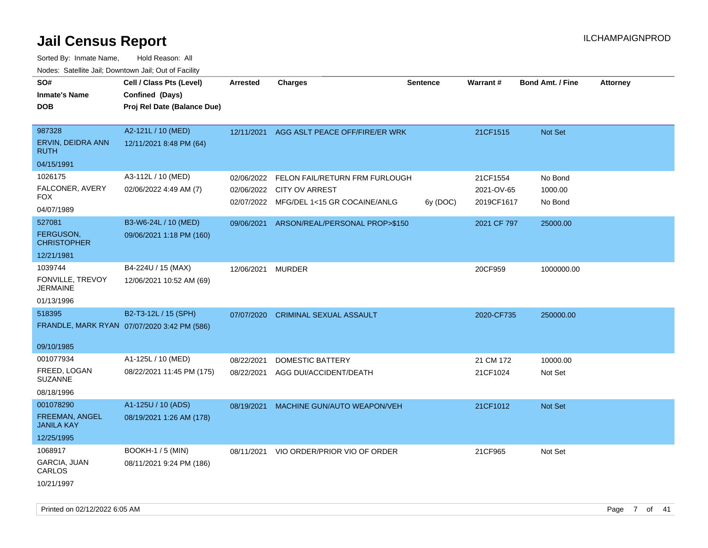| SO#                                        | Cell / Class Pts (Level)                    | <b>Arrested</b>   | <b>Charges</b>                          | Sentence | Warrant#    | <b>Bond Amt. / Fine</b> | <b>Attorney</b> |
|--------------------------------------------|---------------------------------------------|-------------------|-----------------------------------------|----------|-------------|-------------------------|-----------------|
| <b>Inmate's Name</b>                       | Confined (Days)                             |                   |                                         |          |             |                         |                 |
| <b>DOB</b>                                 | Proj Rel Date (Balance Due)                 |                   |                                         |          |             |                         |                 |
|                                            |                                             |                   |                                         |          |             |                         |                 |
| 987328                                     | A2-121L / 10 (MED)                          | 12/11/2021        | AGG ASLT PEACE OFF/FIRE/ER WRK          |          | 21CF1515    | Not Set                 |                 |
| ERVIN, DEIDRA ANN<br><b>RUTH</b>           | 12/11/2021 8:48 PM (64)                     |                   |                                         |          |             |                         |                 |
| 04/15/1991                                 |                                             |                   |                                         |          |             |                         |                 |
| 1026175                                    | A3-112L / 10 (MED)                          | 02/06/2022        | FELON FAIL/RETURN FRM FURLOUGH          |          | 21CF1554    | No Bond                 |                 |
| FALCONER, AVERY                            | 02/06/2022 4:49 AM (7)                      | 02/06/2022        | <b>CITY OV ARREST</b>                   |          | 2021-OV-65  | 1000.00                 |                 |
| <b>FOX</b>                                 |                                             |                   | 02/07/2022 MFG/DEL 1<15 GR COCAINE/ANLG | 6y (DOC) | 2019CF1617  | No Bond                 |                 |
| 04/07/1989                                 |                                             |                   |                                         |          |             |                         |                 |
| 527081                                     | B3-W6-24L / 10 (MED)                        | 09/06/2021        | ARSON/REAL/PERSONAL PROP>\$150          |          | 2021 CF 797 | 25000.00                |                 |
| <b>FERGUSON,</b><br><b>CHRISTOPHER</b>     | 09/06/2021 1:18 PM (160)                    |                   |                                         |          |             |                         |                 |
| 12/21/1981                                 |                                             |                   |                                         |          |             |                         |                 |
| 1039744                                    | B4-224U / 15 (MAX)                          | 12/06/2021 MURDER |                                         |          | 20CF959     | 1000000.00              |                 |
| FONVILLE, TREVOY<br><b>JERMAINE</b>        | 12/06/2021 10:52 AM (69)                    |                   |                                         |          |             |                         |                 |
| 01/13/1996                                 |                                             |                   |                                         |          |             |                         |                 |
| 518395                                     | B2-T3-12L / 15 (SPH)                        | 07/07/2020        | <b>CRIMINAL SEXUAL ASSAULT</b>          |          | 2020-CF735  | 250000.00               |                 |
|                                            | FRANDLE, MARK RYAN 07/07/2020 3:42 PM (586) |                   |                                         |          |             |                         |                 |
|                                            |                                             |                   |                                         |          |             |                         |                 |
| 09/10/1985                                 |                                             |                   |                                         |          |             |                         |                 |
| 001077934                                  | A1-125L / 10 (MED)                          | 08/22/2021        | <b>DOMESTIC BATTERY</b>                 |          | 21 CM 172   | 10000.00                |                 |
| FREED, LOGAN                               | 08/22/2021 11:45 PM (175)                   | 08/22/2021        | AGG DUI/ACCIDENT/DEATH                  |          | 21CF1024    | Not Set                 |                 |
| <b>SUZANNE</b>                             |                                             |                   |                                         |          |             |                         |                 |
| 08/18/1996                                 |                                             |                   |                                         |          |             |                         |                 |
| 001078290                                  | A1-125U / 10 (ADS)                          | 08/19/2021        | MACHINE GUN/AUTO WEAPON/VEH             |          | 21CF1012    | Not Set                 |                 |
| <b>FREEMAN, ANGEL</b><br><b>JANILA KAY</b> | 08/19/2021 1:26 AM (178)                    |                   |                                         |          |             |                         |                 |
| 12/25/1995                                 |                                             |                   |                                         |          |             |                         |                 |
| 1068917                                    | <b>BOOKH-1 / 5 (MIN)</b>                    | 08/11/2021        | VIO ORDER/PRIOR VIO OF ORDER            |          | 21CF965     | Not Set                 |                 |
| GARCIA, JUAN<br>CARLOS                     | 08/11/2021 9:24 PM (186)                    |                   |                                         |          |             |                         |                 |
| 10/21/1997                                 |                                             |                   |                                         |          |             |                         |                 |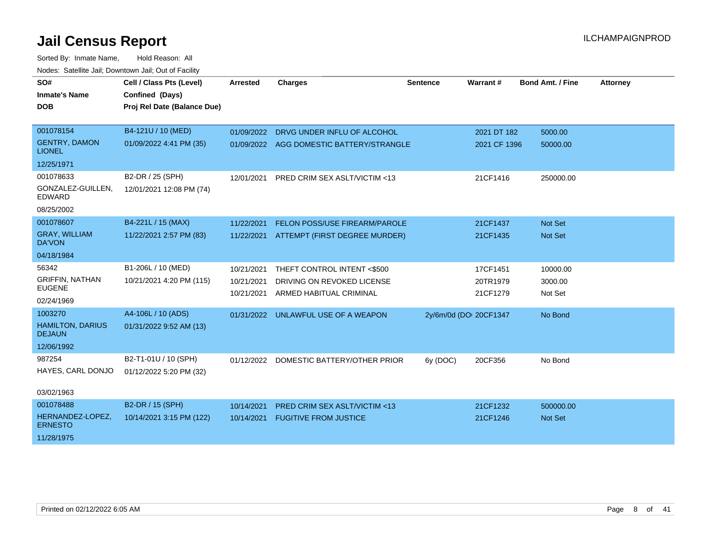| SO#                                      | Cell / Class Pts (Level)    | <b>Arrested</b> | <b>Charges</b>                           | <b>Sentence</b>        | Warrant#     | <b>Bond Amt. / Fine</b> | <b>Attorney</b> |
|------------------------------------------|-----------------------------|-----------------|------------------------------------------|------------------------|--------------|-------------------------|-----------------|
| <b>Inmate's Name</b>                     | Confined (Days)             |                 |                                          |                        |              |                         |                 |
| <b>DOB</b>                               | Proj Rel Date (Balance Due) |                 |                                          |                        |              |                         |                 |
|                                          |                             |                 |                                          |                        |              |                         |                 |
| 001078154                                | B4-121U / 10 (MED)          | 01/09/2022      | DRVG UNDER INFLU OF ALCOHOL              |                        | 2021 DT 182  | 5000.00                 |                 |
| <b>GENTRY, DAMON</b><br><b>LIONEL</b>    | 01/09/2022 4:41 PM (35)     | 01/09/2022      | AGG DOMESTIC BATTERY/STRANGLE            |                        | 2021 CF 1396 | 50000.00                |                 |
| 12/25/1971                               |                             |                 |                                          |                        |              |                         |                 |
| 001078633                                | B2-DR / 25 (SPH)            | 12/01/2021      | PRED CRIM SEX ASLT/VICTIM <13            |                        | 21CF1416     | 250000.00               |                 |
| GONZALEZ-GUILLEN,<br><b>EDWARD</b>       | 12/01/2021 12:08 PM (74)    |                 |                                          |                        |              |                         |                 |
| 08/25/2002                               |                             |                 |                                          |                        |              |                         |                 |
| 001078607                                | B4-221L / 15 (MAX)          | 11/22/2021      | <b>FELON POSS/USE FIREARM/PAROLE</b>     |                        | 21CF1437     | Not Set                 |                 |
| <b>GRAY, WILLIAM</b><br>DA'VON           | 11/22/2021 2:57 PM (83)     |                 | 11/22/2021 ATTEMPT (FIRST DEGREE MURDER) |                        | 21CF1435     | Not Set                 |                 |
| 04/18/1984                               |                             |                 |                                          |                        |              |                         |                 |
| 56342                                    | B1-206L / 10 (MED)          | 10/21/2021      | THEFT CONTROL INTENT <\$500              |                        | 17CF1451     | 10000.00                |                 |
| <b>GRIFFIN, NATHAN</b><br><b>EUGENE</b>  | 10/21/2021 4:20 PM (115)    | 10/21/2021      | DRIVING ON REVOKED LICENSE               |                        | 20TR1979     | 3000.00                 |                 |
| 02/24/1969                               |                             | 10/21/2021      | ARMED HABITUAL CRIMINAL                  |                        | 21CF1279     | Not Set                 |                 |
| 1003270                                  | A4-106L / 10 (ADS)          | 01/31/2022      | UNLAWFUL USE OF A WEAPON                 | 2y/6m/0d (DOI 20CF1347 |              | No Bond                 |                 |
| <b>HAMILTON, DARIUS</b><br><b>DEJAUN</b> | 01/31/2022 9:52 AM (13)     |                 |                                          |                        |              |                         |                 |
| 12/06/1992                               |                             |                 |                                          |                        |              |                         |                 |
| 987254                                   | B2-T1-01U / 10 (SPH)        |                 | 01/12/2022 DOMESTIC BATTERY/OTHER PRIOR  | 6y (DOC)               | 20CF356      | No Bond                 |                 |
| HAYES, CARL DONJO                        | 01/12/2022 5:20 PM (32)     |                 |                                          |                        |              |                         |                 |
| 03/02/1963                               |                             |                 |                                          |                        |              |                         |                 |
| 001078488                                | B2-DR / 15 (SPH)            | 10/14/2021      | <b>PRED CRIM SEX ASLT/VICTIM &lt;13</b>  |                        | 21CF1232     | 500000.00               |                 |
| HERNANDEZ-LOPEZ,                         | 10/14/2021 3:15 PM (122)    |                 | <b>FUGITIVE FROM JUSTICE</b>             |                        |              |                         |                 |
| <b>ERNESTO</b>                           |                             | 10/14/2021      |                                          |                        | 21CF1246     | Not Set                 |                 |
| 11/28/1975                               |                             |                 |                                          |                        |              |                         |                 |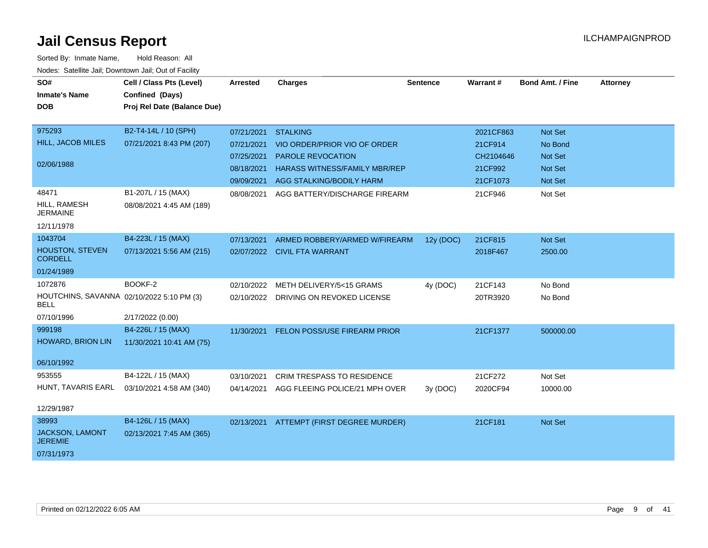| <u>Houce.</u> Catoling bail, Downtown bail, Out of Fability |                             |            |                                           |                 |                 |                         |                 |
|-------------------------------------------------------------|-----------------------------|------------|-------------------------------------------|-----------------|-----------------|-------------------------|-----------------|
| SO#                                                         | Cell / Class Pts (Level)    | Arrested   | <b>Charges</b>                            | <b>Sentence</b> | <b>Warrant#</b> | <b>Bond Amt. / Fine</b> | <b>Attorney</b> |
| <b>Inmate's Name</b>                                        | Confined (Days)             |            |                                           |                 |                 |                         |                 |
| <b>DOB</b>                                                  | Proj Rel Date (Balance Due) |            |                                           |                 |                 |                         |                 |
|                                                             |                             |            |                                           |                 |                 |                         |                 |
| 975293                                                      | B2-T4-14L / 10 (SPH)        | 07/21/2021 | <b>STALKING</b>                           |                 | 2021CF863       | Not Set                 |                 |
| <b>HILL, JACOB MILES</b>                                    | 07/21/2021 8:43 PM (207)    | 07/21/2021 | VIO ORDER/PRIOR VIO OF ORDER              |                 | 21CF914         | No Bond                 |                 |
|                                                             |                             | 07/25/2021 | <b>PAROLE REVOCATION</b>                  |                 | CH2104646       | <b>Not Set</b>          |                 |
| 02/06/1988                                                  |                             | 08/18/2021 | <b>HARASS WITNESS/FAMILY MBR/REP</b>      |                 | 21CF992         | Not Set                 |                 |
|                                                             |                             | 09/09/2021 | AGG STALKING/BODILY HARM                  |                 | 21CF1073        | <b>Not Set</b>          |                 |
| 48471                                                       | B1-207L / 15 (MAX)          | 08/08/2021 | AGG BATTERY/DISCHARGE FIREARM             |                 | 21CF946         | Not Set                 |                 |
| HILL, RAMESH<br><b>JERMAINE</b>                             | 08/08/2021 4:45 AM (189)    |            |                                           |                 |                 |                         |                 |
| 12/11/1978                                                  |                             |            |                                           |                 |                 |                         |                 |
| 1043704                                                     | B4-223L / 15 (MAX)          | 07/13/2021 | ARMED ROBBERY/ARMED W/FIREARM             | 12y (DOC)       | 21CF815         | Not Set                 |                 |
| HOUSTON, STEVEN<br><b>CORDELL</b>                           | 07/13/2021 5:56 AM (215)    |            | 02/07/2022 CIVIL FTA WARRANT              |                 | 2018F467        | 2500.00                 |                 |
| 01/24/1989                                                  |                             |            |                                           |                 |                 |                         |                 |
| 1072876                                                     | BOOKF-2                     | 02/10/2022 | METH DELIVERY/5<15 GRAMS                  | 4y (DOC)        | 21CF143         | No Bond                 |                 |
| HOUTCHINS, SAVANNA 02/10/2022 5:10 PM (3)<br><b>BELL</b>    |                             |            | 02/10/2022 DRIVING ON REVOKED LICENSE     |                 | 20TR3920        | No Bond                 |                 |
| 07/10/1996                                                  | 2/17/2022 (0.00)            |            |                                           |                 |                 |                         |                 |
| 999198                                                      | B4-226L / 15 (MAX)          |            | 11/30/2021 FELON POSS/USE FIREARM PRIOR   |                 | 21CF1377        | 500000.00               |                 |
| HOWARD, BRION LIN                                           | 11/30/2021 10:41 AM (75)    |            |                                           |                 |                 |                         |                 |
| 06/10/1992                                                  |                             |            |                                           |                 |                 |                         |                 |
| 953555                                                      | B4-122L / 15 (MAX)          | 03/10/2021 | <b>CRIM TRESPASS TO RESIDENCE</b>         |                 | 21CF272         | Not Set                 |                 |
| HUNT, TAVARIS EARL                                          | 03/10/2021 4:58 AM (340)    |            | 04/14/2021 AGG FLEEING POLICE/21 MPH OVER | 3y(DOC)         | 2020CF94        | 10000.00                |                 |
| 12/29/1987                                                  |                             |            |                                           |                 |                 |                         |                 |
| 38993                                                       | B4-126L / 15 (MAX)          |            | 02/13/2021 ATTEMPT (FIRST DEGREE MURDER)  |                 | 21CF181         | Not Set                 |                 |
| <b>JACKSON, LAMONT</b><br><b>JEREMIE</b>                    | 02/13/2021 7:45 AM (365)    |            |                                           |                 |                 |                         |                 |
| 07/31/1973                                                  |                             |            |                                           |                 |                 |                         |                 |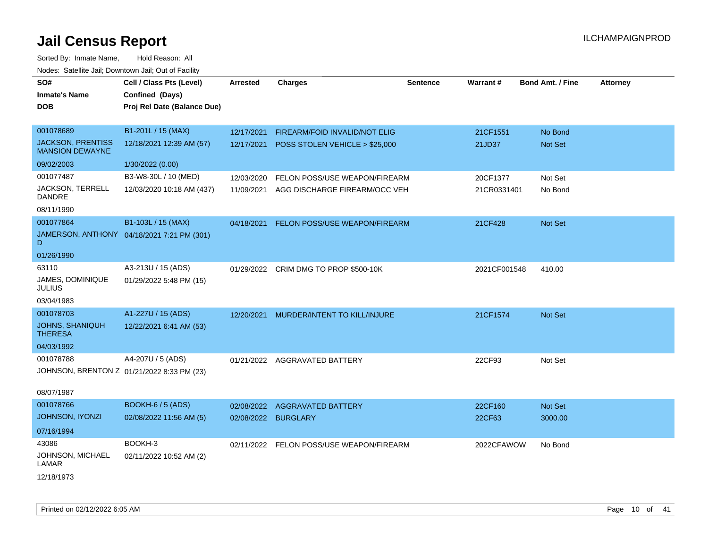| SO#                                                | Cell / Class Pts (Level)                   | <b>Arrested</b> | <b>Charges</b>                            | <b>Sentence</b> | Warrant#     | <b>Bond Amt. / Fine</b> | <b>Attorney</b> |
|----------------------------------------------------|--------------------------------------------|-----------------|-------------------------------------------|-----------------|--------------|-------------------------|-----------------|
| <b>Inmate's Name</b>                               | Confined (Days)                            |                 |                                           |                 |              |                         |                 |
| <b>DOB</b>                                         | Proj Rel Date (Balance Due)                |                 |                                           |                 |              |                         |                 |
|                                                    |                                            |                 |                                           |                 |              |                         |                 |
| 001078689                                          | B1-201L / 15 (MAX)                         | 12/17/2021      | FIREARM/FOID INVALID/NOT ELIG             |                 | 21CF1551     | No Bond                 |                 |
| <b>JACKSON, PRENTISS</b><br><b>MANSION DEWAYNE</b> | 12/18/2021 12:39 AM (57)                   |                 | 12/17/2021 POSS STOLEN VEHICLE > \$25,000 |                 | 21JD37       | Not Set                 |                 |
| 09/02/2003                                         | 1/30/2022 (0.00)                           |                 |                                           |                 |              |                         |                 |
| 001077487                                          | B3-W8-30L / 10 (MED)                       | 12/03/2020      | FELON POSS/USE WEAPON/FIREARM             |                 | 20CF1377     | Not Set                 |                 |
| <b>JACKSON, TERRELL</b><br><b>DANDRE</b>           | 12/03/2020 10:18 AM (437)                  | 11/09/2021      | AGG DISCHARGE FIREARM/OCC VEH             |                 | 21CR0331401  | No Bond                 |                 |
| 08/11/1990                                         |                                            |                 |                                           |                 |              |                         |                 |
| 001077864                                          | B1-103L / 15 (MAX)                         | 04/18/2021      | FELON POSS/USE WEAPON/FIREARM             |                 | 21CF428      | Not Set                 |                 |
| D                                                  | JAMERSON, ANTHONY 04/18/2021 7:21 PM (301) |                 |                                           |                 |              |                         |                 |
| 01/26/1990                                         |                                            |                 |                                           |                 |              |                         |                 |
| 63110                                              | A3-213U / 15 (ADS)                         |                 | 01/29/2022 CRIM DMG TO PROP \$500-10K     |                 | 2021CF001548 | 410.00                  |                 |
| JAMES, DOMINIQUE<br><b>JULIUS</b>                  | 01/29/2022 5:48 PM (15)                    |                 |                                           |                 |              |                         |                 |
| 03/04/1983                                         |                                            |                 |                                           |                 |              |                         |                 |
| 001078703                                          | A1-227U / 15 (ADS)                         |                 | 12/20/2021 MURDER/INTENT TO KILL/INJURE   |                 | 21CF1574     | Not Set                 |                 |
| <b>JOHNS, SHANIQUH</b><br><b>THERESA</b>           | 12/22/2021 6:41 AM (53)                    |                 |                                           |                 |              |                         |                 |
| 04/03/1992                                         |                                            |                 |                                           |                 |              |                         |                 |
| 001078788                                          | A4-207U / 5 (ADS)                          |                 | 01/21/2022 AGGRAVATED BATTERY             |                 | 22CF93       | Not Set                 |                 |
|                                                    | JOHNSON, BRENTON Z 01/21/2022 8:33 PM (23) |                 |                                           |                 |              |                         |                 |
| 08/07/1987                                         |                                            |                 |                                           |                 |              |                         |                 |
| 001078766                                          | <b>BOOKH-6 / 5 (ADS)</b>                   |                 | 02/08/2022 AGGRAVATED BATTERY             |                 | 22CF160      | Not Set                 |                 |
| <b>JOHNSON, IYONZI</b>                             | 02/08/2022 11:56 AM (5)                    |                 | 02/08/2022 BURGLARY                       |                 | 22CF63       | 3000.00                 |                 |
| 07/16/1994                                         |                                            |                 |                                           |                 |              |                         |                 |
| 43086                                              | BOOKH-3                                    |                 | 02/11/2022 FELON POSS/USE WEAPON/FIREARM  |                 | 2022CFAWOW   | No Bond                 |                 |
| JOHNSON, MICHAEL<br>LAMAR                          | 02/11/2022 10:52 AM (2)                    |                 |                                           |                 |              |                         |                 |
| 12/18/1973                                         |                                            |                 |                                           |                 |              |                         |                 |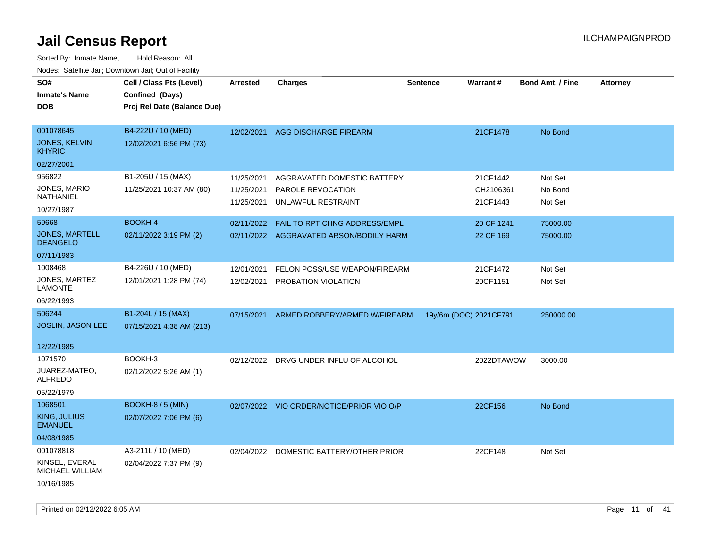| SO#<br><b>Inmate's Name</b><br>DOB                                     | Cell / Class Pts (Level)<br>Confined (Days)<br>Proj Rel Date (Balance Due) | Arrested                               | <b>Charges</b>                                                           | <b>Sentence</b>        | Warrant#                          | <b>Bond Amt. / Fine</b>       | <b>Attorney</b> |
|------------------------------------------------------------------------|----------------------------------------------------------------------------|----------------------------------------|--------------------------------------------------------------------------|------------------------|-----------------------------------|-------------------------------|-----------------|
| 001078645<br><b>JONES, KELVIN</b><br><b>KHYRIC</b>                     | B4-222U / 10 (MED)<br>12/02/2021 6:56 PM (73)                              | 12/02/2021                             | AGG DISCHARGE FIREARM                                                    |                        | 21CF1478                          | No Bond                       |                 |
| 02/27/2001<br>956822<br>JONES, MARIO<br>NATHANIEL                      | B1-205U / 15 (MAX)<br>11/25/2021 10:37 AM (80)                             | 11/25/2021<br>11/25/2021<br>11/25/2021 | AGGRAVATED DOMESTIC BATTERY<br>PAROLE REVOCATION<br>UNLAWFUL RESTRAINT   |                        | 21CF1442<br>CH2106361<br>21CF1443 | Not Set<br>No Bond<br>Not Set |                 |
| 10/27/1987<br>59668<br><b>JONES, MARTELL</b><br><b>DEANGELO</b>        | BOOKH-4<br>02/11/2022 3:19 PM (2)                                          | 02/11/2022                             | FAIL TO RPT CHNG ADDRESS/EMPL<br>02/11/2022 AGGRAVATED ARSON/BODILY HARM |                        | 20 CF 1241<br>22 CF 169           | 75000.00<br>75000.00          |                 |
| 07/11/1983<br>1008468<br>JONES, MARTEZ<br><b>LAMONTE</b><br>06/22/1993 | B4-226U / 10 (MED)<br>12/01/2021 1:28 PM (74)                              | 12/01/2021<br>12/02/2021               | FELON POSS/USE WEAPON/FIREARM<br>PROBATION VIOLATION                     |                        | 21CF1472<br>20CF1151              | Not Set<br>Not Set            |                 |
| 506244<br>JOSLIN, JASON LEE<br>12/22/1985                              | B1-204L / 15 (MAX)<br>07/15/2021 4:38 AM (213)                             | 07/15/2021                             | ARMED ROBBERY/ARMED W/FIREARM                                            | 19y/6m (DOC) 2021CF791 |                                   | 250000.00                     |                 |
| 1071570<br>JUAREZ-MATEO,<br><b>ALFREDO</b><br>05/22/1979               | BOOKH-3<br>02/12/2022 5:26 AM (1)                                          | 02/12/2022                             | DRVG UNDER INFLU OF ALCOHOL                                              |                        | 2022DTAWOW                        | 3000.00                       |                 |
| 1068501<br>KING, JULIUS<br><b>EMANUEL</b><br>04/08/1985                | <b>BOOKH-8 / 5 (MIN)</b><br>02/07/2022 7:06 PM (6)                         |                                        | 02/07/2022 VIO ORDER/NOTICE/PRIOR VIO O/P                                |                        | 22CF156                           | No Bond                       |                 |
| 001078818<br>KINSEL, EVERAL<br><b>MICHAEL WILLIAM</b><br>10/16/1985    | A3-211L / 10 (MED)<br>02/04/2022 7:37 PM (9)                               |                                        | 02/04/2022 DOMESTIC BATTERY/OTHER PRIOR                                  |                        | 22CF148                           | Not Set                       |                 |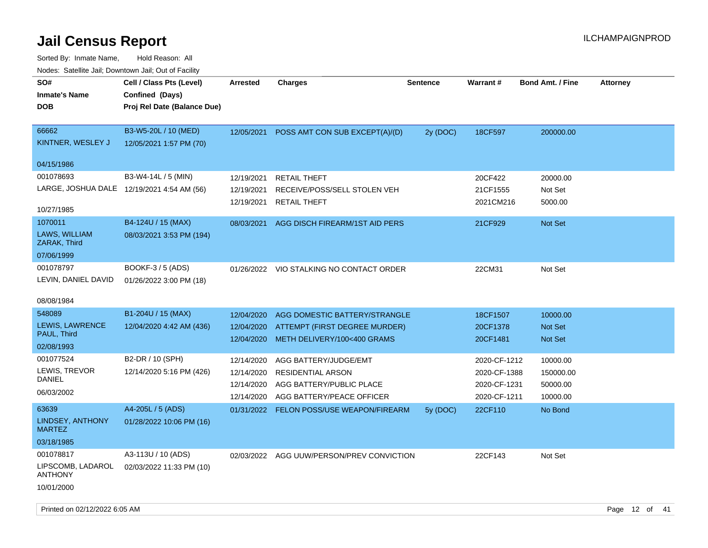| rouce. Calcillic Jali, Downtown Jali, Out of Facility                                             |                                                                            |                                                      |                                                                                                              |                 |                                                              |                                                  |                 |
|---------------------------------------------------------------------------------------------------|----------------------------------------------------------------------------|------------------------------------------------------|--------------------------------------------------------------------------------------------------------------|-----------------|--------------------------------------------------------------|--------------------------------------------------|-----------------|
| SO#<br><b>Inmate's Name</b><br><b>DOB</b>                                                         | Cell / Class Pts (Level)<br>Confined (Days)<br>Proj Rel Date (Balance Due) | <b>Arrested</b>                                      | <b>Charges</b>                                                                                               | <b>Sentence</b> | Warrant#                                                     | <b>Bond Amt. / Fine</b>                          | <b>Attorney</b> |
| 66662<br>KINTNER, WESLEY J<br>04/15/1986                                                          | B3-W5-20L / 10 (MED)<br>12/05/2021 1:57 PM (70)                            | 12/05/2021                                           | POSS AMT CON SUB EXCEPT(A)/(D)                                                                               | 2y (DOC)        | 18CF597                                                      | 200000.00                                        |                 |
| 001078693<br>LARGE, JOSHUA DALE 12/19/2021 4:54 AM (56)<br>10/27/1985<br>1070011<br>LAWS, WILLIAM | B3-W4-14L / 5 (MIN)<br>B4-124U / 15 (MAX)<br>08/03/2021 3:53 PM (194)      | 12/19/2021<br>12/19/2021<br>12/19/2021<br>08/03/2021 | <b>RETAIL THEFT</b><br>RECEIVE/POSS/SELL STOLEN VEH<br><b>RETAIL THEFT</b><br>AGG DISCH FIREARM/1ST AID PERS |                 | 20CF422<br>21CF1555<br>2021CM216<br>21CF929                  | 20000.00<br>Not Set<br>5000.00<br><b>Not Set</b> |                 |
| ZARAK, Third<br>07/06/1999<br>001078797<br>LEVIN, DANIEL DAVID                                    | BOOKF-3 / 5 (ADS)<br>01/26/2022 3:00 PM (18)                               |                                                      | 01/26/2022 VIO STALKING NO CONTACT ORDER                                                                     |                 | 22CM31                                                       | Not Set                                          |                 |
| 08/08/1984<br>548089<br>LEWIS, LAWRENCE<br>PAUL, Third<br>02/08/1993                              | B1-204U / 15 (MAX)<br>12/04/2020 4:42 AM (436)                             | 12/04/2020<br>12/04/2020<br>12/04/2020               | AGG DOMESTIC BATTERY/STRANGLE<br>ATTEMPT (FIRST DEGREE MURDER)<br>METH DELIVERY/100<400 GRAMS                |                 | 18CF1507<br>20CF1378<br>20CF1481                             | 10000.00<br>Not Set<br>Not Set                   |                 |
| 001077524<br>LEWIS, TREVOR<br><b>DANIEL</b><br>06/03/2002                                         | B2-DR / 10 (SPH)<br>12/14/2020 5:16 PM (426)                               | 12/14/2020<br>12/14/2020<br>12/14/2020<br>12/14/2020 | AGG BATTERY/JUDGE/EMT<br><b>RESIDENTIAL ARSON</b><br>AGG BATTERY/PUBLIC PLACE<br>AGG BATTERY/PEACE OFFICER   |                 | 2020-CF-1212<br>2020-CF-1388<br>2020-CF-1231<br>2020-CF-1211 | 10000.00<br>150000.00<br>50000.00<br>10000.00    |                 |
| 63639<br>LINDSEY, ANTHONY<br><b>MARTEZ</b><br>03/18/1985                                          | A4-205L / 5 (ADS)<br>01/28/2022 10:06 PM (16)                              |                                                      | 01/31/2022 FELON POSS/USE WEAPON/FIREARM                                                                     | 5y(DOC)         | 22CF110                                                      | No Bond                                          |                 |
| 001078817<br>LIPSCOMB, LADAROL<br><b>ANTHONY</b><br>10/01/2000                                    | A3-113U / 10 (ADS)<br>02/03/2022 11:33 PM (10)                             |                                                      | 02/03/2022 AGG UUW/PERSON/PREV CONVICTION                                                                    |                 | 22CF143                                                      | Not Set                                          |                 |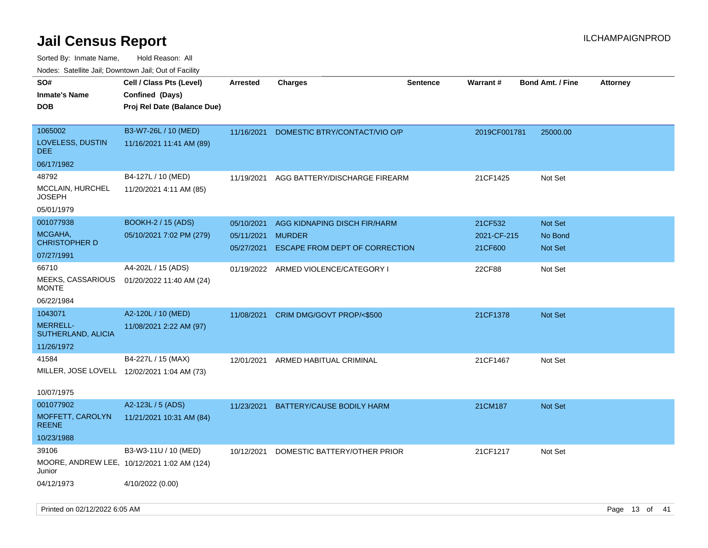| ivouss. Satellite Jall, Downtown Jall, Out of Facility |                                             |                 |                                      |                 |              |                         |                 |
|--------------------------------------------------------|---------------------------------------------|-----------------|--------------------------------------|-----------------|--------------|-------------------------|-----------------|
| SO#                                                    | Cell / Class Pts (Level)                    | <b>Arrested</b> | <b>Charges</b>                       | <b>Sentence</b> | Warrant#     | <b>Bond Amt. / Fine</b> | <b>Attorney</b> |
| <b>Inmate's Name</b>                                   | Confined (Days)                             |                 |                                      |                 |              |                         |                 |
| <b>DOB</b>                                             | Proj Rel Date (Balance Due)                 |                 |                                      |                 |              |                         |                 |
|                                                        |                                             |                 |                                      |                 |              |                         |                 |
| 1065002                                                | B3-W7-26L / 10 (MED)                        | 11/16/2021      | DOMESTIC BTRY/CONTACT/VIO O/P        |                 | 2019CF001781 | 25000.00                |                 |
| LOVELESS, DUSTIN<br>DEE.                               | 11/16/2021 11:41 AM (89)                    |                 |                                      |                 |              |                         |                 |
| 06/17/1982                                             |                                             |                 |                                      |                 |              |                         |                 |
| 48792                                                  | B4-127L / 10 (MED)                          | 11/19/2021      | AGG BATTERY/DISCHARGE FIREARM        |                 | 21CF1425     | Not Set                 |                 |
| MCCLAIN, HURCHEL<br>JOSEPH                             | 11/20/2021 4:11 AM (85)                     |                 |                                      |                 |              |                         |                 |
| 05/01/1979                                             |                                             |                 |                                      |                 |              |                         |                 |
| 001077938                                              | <b>BOOKH-2 / 15 (ADS)</b>                   | 05/10/2021      | AGG KIDNAPING DISCH FIR/HARM         |                 | 21CF532      | <b>Not Set</b>          |                 |
| MCGAHA,                                                | 05/10/2021 7:02 PM (279)                    | 05/11/2021      | <b>MURDER</b>                        |                 | 2021-CF-215  | No Bond                 |                 |
| <b>CHRISTOPHER D</b>                                   |                                             | 05/27/2021      | ESCAPE FROM DEPT OF CORRECTION       |                 | 21CF600      | <b>Not Set</b>          |                 |
| 07/27/1991                                             |                                             |                 |                                      |                 |              |                         |                 |
| 66710                                                  | A4-202L / 15 (ADS)                          |                 | 01/19/2022 ARMED VIOLENCE/CATEGORY I |                 | 22CF88       | Not Set                 |                 |
| MEEKS, CASSARIOUS<br><b>MONTE</b>                      | 01/20/2022 11:40 AM (24)                    |                 |                                      |                 |              |                         |                 |
| 06/22/1984                                             |                                             |                 |                                      |                 |              |                         |                 |
| 1043071                                                | A2-120L / 10 (MED)                          |                 | 11/08/2021 CRIM DMG/GOVT PROP/<\$500 |                 | 21CF1378     | <b>Not Set</b>          |                 |
| <b>MERRELL-</b><br>SUTHERLAND, ALICIA                  | 11/08/2021 2:22 AM (97)                     |                 |                                      |                 |              |                         |                 |
| 11/26/1972                                             |                                             |                 |                                      |                 |              |                         |                 |
| 41584                                                  | B4-227L / 15 (MAX)                          | 12/01/2021      | ARMED HABITUAL CRIMINAL              |                 | 21CF1467     | Not Set                 |                 |
|                                                        | MILLER, JOSE LOVELL 12/02/2021 1:04 AM (73) |                 |                                      |                 |              |                         |                 |
|                                                        |                                             |                 |                                      |                 |              |                         |                 |
| 10/07/1975                                             |                                             |                 |                                      |                 |              |                         |                 |
| 001077902                                              | A2-123L / 5 (ADS)                           | 11/23/2021      | BATTERY/CAUSE BODILY HARM            |                 | 21CM187      | <b>Not Set</b>          |                 |
| MOFFETT, CAROLYN<br><b>REENE</b>                       | 11/21/2021 10:31 AM (84)                    |                 |                                      |                 |              |                         |                 |
| 10/23/1988                                             |                                             |                 |                                      |                 |              |                         |                 |
| 39106                                                  | B3-W3-11U / 10 (MED)                        | 10/12/2021      | DOMESTIC BATTERY/OTHER PRIOR         |                 | 21CF1217     | Not Set                 |                 |
| Junior                                                 | MOORE, ANDREW LEE, 10/12/2021 1:02 AM (124) |                 |                                      |                 |              |                         |                 |
| 04/12/1973                                             | 4/10/2022 (0.00)                            |                 |                                      |                 |              |                         |                 |
|                                                        |                                             |                 |                                      |                 |              |                         |                 |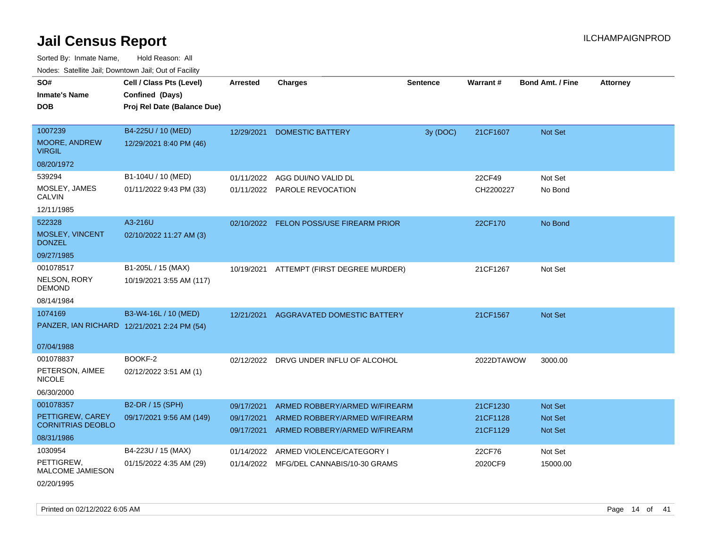Sorted By: Inmate Name, Hold Reason: All Nodes: Satellite Jail; Downtown Jail; Out of Facility

| routs. Saltille Jali, Downlown Jali, Out of Facility |                                             |                 |                                         |                 |                 |                         |                 |
|------------------------------------------------------|---------------------------------------------|-----------------|-----------------------------------------|-----------------|-----------------|-------------------------|-----------------|
| SO#                                                  | Cell / Class Pts (Level)                    | <b>Arrested</b> | <b>Charges</b>                          | <b>Sentence</b> | <b>Warrant#</b> | <b>Bond Amt. / Fine</b> | <b>Attorney</b> |
| <b>Inmate's Name</b>                                 | Confined (Days)                             |                 |                                         |                 |                 |                         |                 |
| <b>DOB</b>                                           | Proj Rel Date (Balance Due)                 |                 |                                         |                 |                 |                         |                 |
|                                                      |                                             |                 |                                         |                 |                 |                         |                 |
| 1007239                                              | B4-225U / 10 (MED)                          | 12/29/2021      | <b>DOMESTIC BATTERY</b>                 | 3y (DOC)        | 21CF1607        | <b>Not Set</b>          |                 |
| <b>MOORE, ANDREW</b><br><b>VIRGIL</b>                | 12/29/2021 8:40 PM (46)                     |                 |                                         |                 |                 |                         |                 |
| 08/20/1972                                           |                                             |                 |                                         |                 |                 |                         |                 |
| 539294                                               | B1-104U / 10 (MED)                          | 01/11/2022      | AGG DUI/NO VALID DL                     |                 | 22CF49          | Not Set                 |                 |
| MOSLEY, JAMES<br>CALVIN                              | 01/11/2022 9:43 PM (33)                     | 01/11/2022      | <b>PAROLE REVOCATION</b>                |                 | CH2200227       | No Bond                 |                 |
| 12/11/1985                                           |                                             |                 |                                         |                 |                 |                         |                 |
| 522328                                               | A3-216U                                     |                 | 02/10/2022 FELON POSS/USE FIREARM PRIOR |                 | 22CF170         | No Bond                 |                 |
| MOSLEY, VINCENT<br><b>DONZEL</b>                     | 02/10/2022 11:27 AM (3)                     |                 |                                         |                 |                 |                         |                 |
| 09/27/1985                                           |                                             |                 |                                         |                 |                 |                         |                 |
| 001078517                                            | B1-205L / 15 (MAX)                          | 10/19/2021      | ATTEMPT (FIRST DEGREE MURDER)           |                 | 21CF1267        | Not Set                 |                 |
| NELSON, RORY<br><b>DEMOND</b>                        | 10/19/2021 3:55 AM (117)                    |                 |                                         |                 |                 |                         |                 |
| 08/14/1984                                           |                                             |                 |                                         |                 |                 |                         |                 |
| 1074169                                              | B3-W4-16L / 10 (MED)                        | 12/21/2021      | AGGRAVATED DOMESTIC BATTERY             |                 | 21CF1567        | Not Set                 |                 |
|                                                      | PANZER, IAN RICHARD 12/21/2021 2:24 PM (54) |                 |                                         |                 |                 |                         |                 |
|                                                      |                                             |                 |                                         |                 |                 |                         |                 |
| 07/04/1988                                           |                                             |                 |                                         |                 |                 |                         |                 |
| 001078837                                            | BOOKF-2                                     | 02/12/2022      | DRVG UNDER INFLU OF ALCOHOL             |                 | 2022DTAWOW      | 3000.00                 |                 |
| PETERSON, AIMEE<br><b>NICOLE</b>                     | 02/12/2022 3:51 AM (1)                      |                 |                                         |                 |                 |                         |                 |
| 06/30/2000                                           |                                             |                 |                                         |                 |                 |                         |                 |
| 001078357                                            | B2-DR / 15 (SPH)                            | 09/17/2021      | ARMED ROBBERY/ARMED W/FIREARM           |                 | 21CF1230        | <b>Not Set</b>          |                 |
| PETTIGREW, CAREY                                     | 09/17/2021 9:56 AM (149)                    | 09/17/2021      | ARMED ROBBERY/ARMED W/FIREARM           |                 | 21CF1128        | <b>Not Set</b>          |                 |
| <b>CORNITRIAS DEOBLO</b>                             |                                             | 09/17/2021      | ARMED ROBBERY/ARMED W/FIREARM           |                 | 21CF1129        | <b>Not Set</b>          |                 |
| 08/31/1986                                           |                                             |                 |                                         |                 |                 |                         |                 |
| 1030954                                              | B4-223U / 15 (MAX)                          | 01/14/2022      | ARMED VIOLENCE/CATEGORY I               |                 | 22CF76          | Not Set                 |                 |
| PETTIGREW,<br><b>MALCOME JAMIESON</b>                | 01/15/2022 4:35 AM (29)                     | 01/14/2022      | MFG/DEL CANNABIS/10-30 GRAMS            |                 | 2020CF9         | 15000.00                |                 |
|                                                      |                                             |                 |                                         |                 |                 |                         |                 |

02/20/1995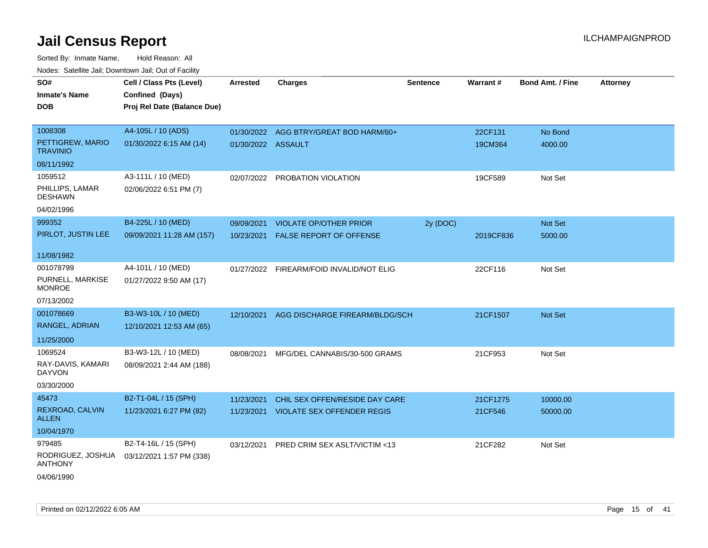| SO#                                 | Cell / Class Pts (Level)    | <b>Arrested</b>    | <b>Charges</b>                            | <b>Sentence</b> | <b>Warrant#</b> | <b>Bond Amt. / Fine</b> | <b>Attorney</b> |
|-------------------------------------|-----------------------------|--------------------|-------------------------------------------|-----------------|-----------------|-------------------------|-----------------|
| <b>Inmate's Name</b>                | Confined (Days)             |                    |                                           |                 |                 |                         |                 |
| <b>DOB</b>                          | Proj Rel Date (Balance Due) |                    |                                           |                 |                 |                         |                 |
|                                     |                             |                    |                                           |                 |                 |                         |                 |
| 1008308                             | A4-105L / 10 (ADS)          |                    | 01/30/2022 AGG BTRY/GREAT BOD HARM/60+    |                 | 22CF131         | No Bond                 |                 |
| PETTIGREW, MARIO<br><b>TRAVINIO</b> | 01/30/2022 6:15 AM (14)     | 01/30/2022 ASSAULT |                                           |                 | 19CM364         | 4000.00                 |                 |
| 08/11/1992                          |                             |                    |                                           |                 |                 |                         |                 |
| 1059512                             | A3-111L / 10 (MED)          | 02/07/2022         | PROBATION VIOLATION                       |                 | 19CF589         | Not Set                 |                 |
| PHILLIPS, LAMAR<br><b>DESHAWN</b>   | 02/06/2022 6:51 PM (7)      |                    |                                           |                 |                 |                         |                 |
| 04/02/1996                          |                             |                    |                                           |                 |                 |                         |                 |
| 999352                              | B4-225L / 10 (MED)          | 09/09/2021         | <b>VIOLATE OP/OTHER PRIOR</b>             | 2y (DOC)        |                 | Not Set                 |                 |
| PIRLOT, JUSTIN LEE                  | 09/09/2021 11:28 AM (157)   |                    | 10/23/2021 FALSE REPORT OF OFFENSE        |                 | 2019CF836       | 5000.00                 |                 |
|                                     |                             |                    |                                           |                 |                 |                         |                 |
| 11/08/1982                          |                             |                    |                                           |                 |                 |                         |                 |
| 001078799                           | A4-101L / 10 (MED)          |                    | 01/27/2022 FIREARM/FOID INVALID/NOT ELIG  |                 | 22CF116         | Not Set                 |                 |
| PURNELL, MARKISE<br><b>MONROE</b>   | 01/27/2022 9:50 AM (17)     |                    |                                           |                 |                 |                         |                 |
| 07/13/2002                          |                             |                    |                                           |                 |                 |                         |                 |
| 001078669                           | B3-W3-10L / 10 (MED)        |                    | 12/10/2021 AGG DISCHARGE FIREARM/BLDG/SCH |                 | 21CF1507        | Not Set                 |                 |
| RANGEL, ADRIAN                      | 12/10/2021 12:53 AM (65)    |                    |                                           |                 |                 |                         |                 |
| 11/25/2000                          |                             |                    |                                           |                 |                 |                         |                 |
| 1069524                             | B3-W3-12L / 10 (MED)        | 08/08/2021         | MFG/DEL CANNABIS/30-500 GRAMS             |                 | 21CF953         | Not Set                 |                 |
| RAY-DAVIS, KAMARI<br><b>DAYVON</b>  | 08/09/2021 2:44 AM (188)    |                    |                                           |                 |                 |                         |                 |
| 03/30/2000                          |                             |                    |                                           |                 |                 |                         |                 |
| 45473                               | B2-T1-04L / 15 (SPH)        | 11/23/2021         | CHIL SEX OFFEN/RESIDE DAY CARE            |                 | 21CF1275        | 10000.00                |                 |
| REXROAD, CALVIN<br><b>ALLEN</b>     | 11/23/2021 6:27 PM (82)     |                    | 11/23/2021 VIOLATE SEX OFFENDER REGIS     |                 | 21CF546         | 50000.00                |                 |
| 10/04/1970                          |                             |                    |                                           |                 |                 |                         |                 |
| 979485                              | B2-T4-16L / 15 (SPH)        | 03/12/2021         | PRED CRIM SEX ASLT/VICTIM <13             |                 | 21CF282         | Not Set                 |                 |
| RODRIGUEZ, JOSHUA<br><b>ANTHONY</b> | 03/12/2021 1:57 PM (338)    |                    |                                           |                 |                 |                         |                 |
| 04/06/1990                          |                             |                    |                                           |                 |                 |                         |                 |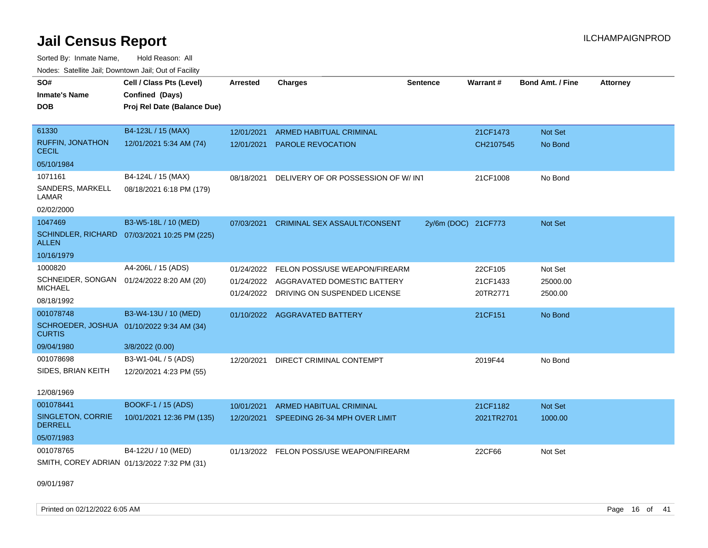Sorted By: Inmate Name, Hold Reason: All Nodes: Satellite Jail; Downtown Jail; Out of Facility

| SO#                                                         | Cell / Class Pts (Level)    | <b>Arrested</b> | <b>Charges</b>                           | <b>Sentence</b>     | Warrant#   | Bond Amt. / Fine | <b>Attorney</b> |
|-------------------------------------------------------------|-----------------------------|-----------------|------------------------------------------|---------------------|------------|------------------|-----------------|
| <b>Inmate's Name</b>                                        | Confined (Days)             |                 |                                          |                     |            |                  |                 |
| DOB                                                         | Proj Rel Date (Balance Due) |                 |                                          |                     |            |                  |                 |
| 61330                                                       | B4-123L / 15 (MAX)          | 12/01/2021      | ARMED HABITUAL CRIMINAL                  |                     | 21CF1473   | Not Set          |                 |
| <b>RUFFIN, JONATHON</b><br><b>CECIL</b>                     | 12/01/2021 5:34 AM (74)     | 12/01/2021      | PAROLE REVOCATION                        |                     | CH2107545  | No Bond          |                 |
| 05/10/1984                                                  |                             |                 |                                          |                     |            |                  |                 |
| 1071161                                                     | B4-124L / 15 (MAX)          | 08/18/2021      | DELIVERY OF OR POSSESSION OF W/INT       |                     | 21CF1008   | No Bond          |                 |
| SANDERS, MARKELL<br>LAMAR                                   | 08/18/2021 6:18 PM (179)    |                 |                                          |                     |            |                  |                 |
| 02/02/2000                                                  |                             |                 |                                          |                     |            |                  |                 |
| 1047469                                                     | B3-W5-18L / 10 (MED)        | 07/03/2021      | <b>CRIMINAL SEX ASSAULT/CONSENT</b>      | 2y/6m (DOC) 21CF773 |            | Not Set          |                 |
| <b>SCHINDLER, RICHARD</b><br><b>ALLEN</b>                   | 07/03/2021 10:25 PM (225)   |                 |                                          |                     |            |                  |                 |
| 10/16/1979                                                  |                             |                 |                                          |                     |            |                  |                 |
| 1000820                                                     | A4-206L / 15 (ADS)          | 01/24/2022      | FELON POSS/USE WEAPON/FIREARM            |                     | 22CF105    | Not Set          |                 |
| SCHNEIDER, SONGAN 01/24/2022 8:20 AM (20)<br><b>MICHAEL</b> |                             | 01/24/2022      | AGGRAVATED DOMESTIC BATTERY              |                     | 21CF1433   | 25000.00         |                 |
| 08/18/1992                                                  |                             |                 | 01/24/2022 DRIVING ON SUSPENDED LICENSE  |                     | 20TR2771   | 2500.00          |                 |
| 001078748                                                   | B3-W4-13U / 10 (MED)        |                 | 01/10/2022 AGGRAVATED BATTERY            |                     | 21CF151    | No Bond          |                 |
| SCHROEDER, JOSHUA 01/10/2022 9:34 AM (34)<br><b>CURTIS</b>  |                             |                 |                                          |                     |            |                  |                 |
| 09/04/1980                                                  | 3/8/2022 (0.00)             |                 |                                          |                     |            |                  |                 |
| 001078698                                                   | B3-W1-04L / 5 (ADS)         | 12/20/2021      | DIRECT CRIMINAL CONTEMPT                 |                     | 2019F44    | No Bond          |                 |
| SIDES, BRIAN KEITH                                          | 12/20/2021 4:23 PM (55)     |                 |                                          |                     |            |                  |                 |
| 12/08/1969                                                  |                             |                 |                                          |                     |            |                  |                 |
| 001078441                                                   | <b>BOOKF-1 / 15 (ADS)</b>   | 10/01/2021      | <b>ARMED HABITUAL CRIMINAL</b>           |                     | 21CF1182   | Not Set          |                 |
| SINGLETON, CORRIE<br><b>DERRELL</b>                         | 10/01/2021 12:36 PM (135)   | 12/20/2021      | SPEEDING 26-34 MPH OVER LIMIT            |                     | 2021TR2701 | 1000.00          |                 |
| 05/07/1983                                                  |                             |                 |                                          |                     |            |                  |                 |
| 001078765                                                   | B4-122U / 10 (MED)          |                 | 01/13/2022 FELON POSS/USE WEAPON/FIREARM |                     | 22CF66     | Not Set          |                 |
| SMITH, COREY ADRIAN 01/13/2022 7:32 PM (31)                 |                             |                 |                                          |                     |            |                  |                 |

09/01/1987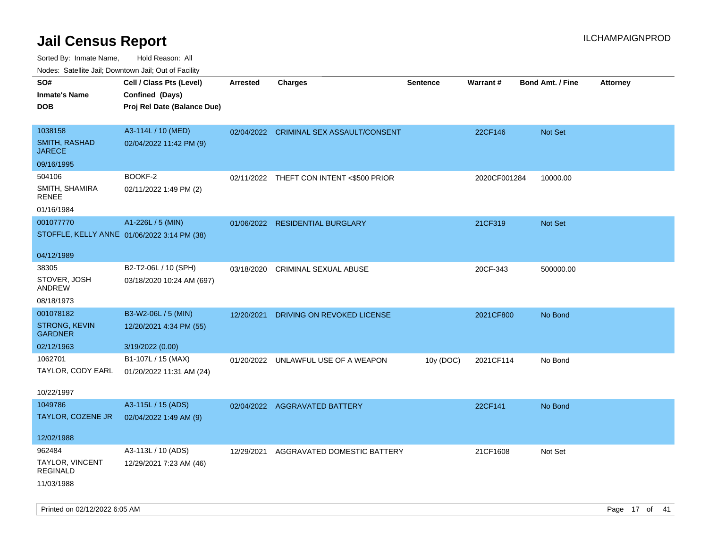| ivous. Saleling Jali, Downtown Jali, Out of Facility |                             |                 |                                          |                 |              |                         |                 |
|------------------------------------------------------|-----------------------------|-----------------|------------------------------------------|-----------------|--------------|-------------------------|-----------------|
| SO#                                                  | Cell / Class Pts (Level)    | <b>Arrested</b> | <b>Charges</b>                           | <b>Sentence</b> | Warrant#     | <b>Bond Amt. / Fine</b> | <b>Attorney</b> |
| <b>Inmate's Name</b>                                 | Confined (Days)             |                 |                                          |                 |              |                         |                 |
| <b>DOB</b>                                           | Proj Rel Date (Balance Due) |                 |                                          |                 |              |                         |                 |
|                                                      |                             |                 |                                          |                 |              |                         |                 |
| 1038158                                              | A3-114L / 10 (MED)          |                 | 02/04/2022 CRIMINAL SEX ASSAULT/CONSENT  |                 | 22CF146      | Not Set                 |                 |
| SMITH, RASHAD<br><b>JARECE</b>                       | 02/04/2022 11:42 PM (9)     |                 |                                          |                 |              |                         |                 |
| 09/16/1995                                           |                             |                 |                                          |                 |              |                         |                 |
| 504106                                               | BOOKF-2                     |                 | 02/11/2022 THEFT CON INTENT <\$500 PRIOR |                 | 2020CF001284 | 10000.00                |                 |
| SMITH, SHAMIRA<br>RENEE                              | 02/11/2022 1:49 PM (2)      |                 |                                          |                 |              |                         |                 |
| 01/16/1984                                           |                             |                 |                                          |                 |              |                         |                 |
| 001077770                                            | A1-226L / 5 (MIN)           |                 | 01/06/2022 RESIDENTIAL BURGLARY          |                 | 21CF319      | Not Set                 |                 |
| STOFFLE, KELLY ANNE 01/06/2022 3:14 PM (38)          |                             |                 |                                          |                 |              |                         |                 |
|                                                      |                             |                 |                                          |                 |              |                         |                 |
| 04/12/1989                                           |                             |                 |                                          |                 |              |                         |                 |
| 38305                                                | B2-T2-06L / 10 (SPH)        | 03/18/2020      | <b>CRIMINAL SEXUAL ABUSE</b>             |                 | 20CF-343     | 500000.00               |                 |
| STOVER, JOSH<br>ANDREW                               | 03/18/2020 10:24 AM (697)   |                 |                                          |                 |              |                         |                 |
| 08/18/1973                                           |                             |                 |                                          |                 |              |                         |                 |
| 001078182                                            | B3-W2-06L / 5 (MIN)         | 12/20/2021      | DRIVING ON REVOKED LICENSE               |                 | 2021CF800    | No Bond                 |                 |
| <b>STRONG, KEVIN</b><br><b>GARDNER</b>               | 12/20/2021 4:34 PM (55)     |                 |                                          |                 |              |                         |                 |
| 02/12/1963                                           | 3/19/2022 (0.00)            |                 |                                          |                 |              |                         |                 |
| 1062701                                              | B1-107L / 15 (MAX)          | 01/20/2022      | UNLAWFUL USE OF A WEAPON                 | 10y (DOC)       | 2021CF114    | No Bond                 |                 |
| TAYLOR, CODY EARL                                    | 01/20/2022 11:31 AM (24)    |                 |                                          |                 |              |                         |                 |
|                                                      |                             |                 |                                          |                 |              |                         |                 |
| 10/22/1997                                           |                             |                 |                                          |                 |              |                         |                 |
| 1049786                                              | A3-115L / 15 (ADS)          |                 | 02/04/2022 AGGRAVATED BATTERY            |                 | 22CF141      | No Bond                 |                 |
| TAYLOR, COZENE JR                                    | 02/04/2022 1:49 AM (9)      |                 |                                          |                 |              |                         |                 |
|                                                      |                             |                 |                                          |                 |              |                         |                 |
| 12/02/1988                                           |                             |                 |                                          |                 |              |                         |                 |
| 962484                                               | A3-113L / 10 (ADS)          | 12/29/2021      | AGGRAVATED DOMESTIC BATTERY              |                 | 21CF1608     | Not Set                 |                 |
| TAYLOR, VINCENT<br><b>REGINALD</b>                   | 12/29/2021 7:23 AM (46)     |                 |                                          |                 |              |                         |                 |
| 11/03/1988                                           |                             |                 |                                          |                 |              |                         |                 |
|                                                      |                             |                 |                                          |                 |              |                         |                 |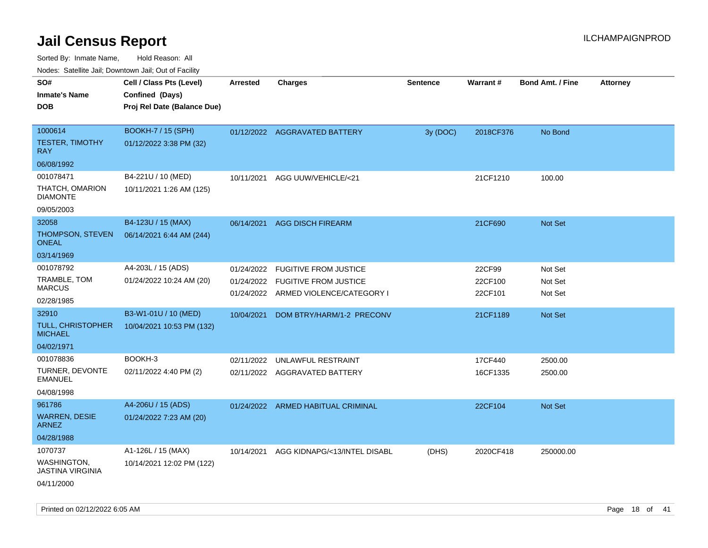Sorted By: Inmate Name, Hold Reason: All

| Nodes: Satellite Jail; Downtown Jail; Out of Facility |                             |                 |                                      |          |                 |                  |                 |
|-------------------------------------------------------|-----------------------------|-----------------|--------------------------------------|----------|-----------------|------------------|-----------------|
| SO#                                                   | Cell / Class Pts (Level)    | <b>Arrested</b> | <b>Charges</b>                       | Sentence | <b>Warrant#</b> | Bond Amt. / Fine | <b>Attorney</b> |
| <b>Inmate's Name</b>                                  | Confined (Days)             |                 |                                      |          |                 |                  |                 |
| <b>DOB</b>                                            | Proj Rel Date (Balance Due) |                 |                                      |          |                 |                  |                 |
|                                                       |                             |                 |                                      |          |                 |                  |                 |
| 1000614                                               | <b>BOOKH-7 / 15 (SPH)</b>   |                 | 01/12/2022 AGGRAVATED BATTERY        | 3y (DOC) | 2018CF376       | No Bond          |                 |
| <b>TESTER, TIMOTHY</b><br><b>RAY</b>                  | 01/12/2022 3:38 PM (32)     |                 |                                      |          |                 |                  |                 |
| 06/08/1992                                            |                             |                 |                                      |          |                 |                  |                 |
| 001078471                                             | B4-221U / 10 (MED)          | 10/11/2021      | AGG UUW/VEHICLE/<21                  |          | 21CF1210        | 100.00           |                 |
| THATCH, OMARION<br><b>DIAMONTE</b>                    | 10/11/2021 1:26 AM (125)    |                 |                                      |          |                 |                  |                 |
| 09/05/2003                                            |                             |                 |                                      |          |                 |                  |                 |
| 32058                                                 | B4-123U / 15 (MAX)          | 06/14/2021      | <b>AGG DISCH FIREARM</b>             |          | 21CF690         | Not Set          |                 |
| THOMPSON, STEVEN<br><b>ONEAL</b>                      | 06/14/2021 6:44 AM (244)    |                 |                                      |          |                 |                  |                 |
| 03/14/1969                                            |                             |                 |                                      |          |                 |                  |                 |
| 001078792                                             | A4-203L / 15 (ADS)          | 01/24/2022      | <b>FUGITIVE FROM JUSTICE</b>         |          | 22CF99          | Not Set          |                 |
| TRAMBLE, TOM                                          | 01/24/2022 10:24 AM (20)    | 01/24/2022      | <b>FUGITIVE FROM JUSTICE</b>         |          | 22CF100         | Not Set          |                 |
| <b>MARCUS</b>                                         |                             |                 | 01/24/2022 ARMED VIOLENCE/CATEGORY I |          | 22CF101         | Not Set          |                 |
| 02/28/1985                                            |                             |                 |                                      |          |                 |                  |                 |
| 32910                                                 | B3-W1-01U / 10 (MED)        | 10/04/2021      | DOM BTRY/HARM/1-2 PRECONV            |          | 21CF1189        | Not Set          |                 |
| TULL, CHRISTOPHER<br><b>MICHAEL</b>                   | 10/04/2021 10:53 PM (132)   |                 |                                      |          |                 |                  |                 |
| 04/02/1971                                            |                             |                 |                                      |          |                 |                  |                 |
| 001078836                                             | BOOKH-3                     | 02/11/2022      | UNLAWFUL RESTRAINT                   |          | 17CF440         | 2500.00          |                 |
| TURNER, DEVONTE<br><b>EMANUEL</b>                     | 02/11/2022 4:40 PM (2)      |                 | 02/11/2022 AGGRAVATED BATTERY        |          | 16CF1335        | 2500.00          |                 |
| 04/08/1998                                            |                             |                 |                                      |          |                 |                  |                 |
| 961786                                                | A4-206U / 15 (ADS)          |                 | 01/24/2022 ARMED HABITUAL CRIMINAL   |          | 22CF104         | Not Set          |                 |
| <b>WARREN, DESIE</b><br><b>ARNEZ</b>                  | 01/24/2022 7:23 AM (20)     |                 |                                      |          |                 |                  |                 |
| 04/28/1988                                            |                             |                 |                                      |          |                 |                  |                 |
| 1070737                                               | A1-126L / 15 (MAX)          | 10/14/2021      | AGG KIDNAPG/<13/INTEL DISABL         | (DHS)    | 2020CF418       | 250000.00        |                 |
| <b>WASHINGTON,</b><br><b>JASTINA VIRGINIA</b>         | 10/14/2021 12:02 PM (122)   |                 |                                      |          |                 |                  |                 |
|                                                       |                             |                 |                                      |          |                 |                  |                 |

04/11/2000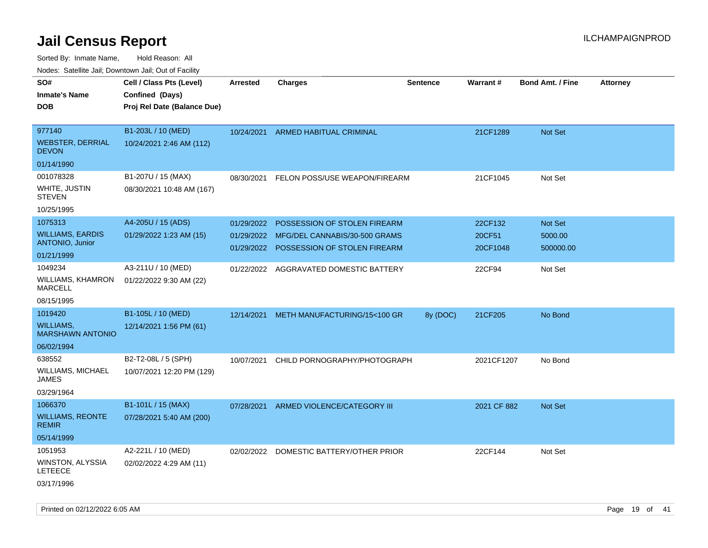| rougs. Calcing Jan, Downtown Jan, Out of Facility                          |                                                                            |                                        |                                                                                               |                 |                               |                                        |                 |
|----------------------------------------------------------------------------|----------------------------------------------------------------------------|----------------------------------------|-----------------------------------------------------------------------------------------------|-----------------|-------------------------------|----------------------------------------|-----------------|
| SO#<br><b>Inmate's Name</b><br><b>DOB</b>                                  | Cell / Class Pts (Level)<br>Confined (Days)<br>Proj Rel Date (Balance Due) | <b>Arrested</b>                        | <b>Charges</b>                                                                                | <b>Sentence</b> | <b>Warrant#</b>               | <b>Bond Amt. / Fine</b>                | <b>Attorney</b> |
| 977140<br><b>WEBSTER, DERRIAL</b><br><b>DEVON</b>                          | B1-203L / 10 (MED)<br>10/24/2021 2:46 AM (112)                             | 10/24/2021                             | ARMED HABITUAL CRIMINAL                                                                       |                 | 21CF1289                      | <b>Not Set</b>                         |                 |
| 01/14/1990<br>001078328<br>WHITE, JUSTIN<br><b>STEVEN</b>                  | B1-207U / 15 (MAX)<br>08/30/2021 10:48 AM (167)                            | 08/30/2021                             | FELON POSS/USE WEAPON/FIREARM                                                                 |                 | 21CF1045                      | Not Set                                |                 |
| 10/25/1995                                                                 |                                                                            |                                        |                                                                                               |                 |                               |                                        |                 |
| 1075313<br><b>WILLIAMS, EARDIS</b><br><b>ANTONIO, Junior</b><br>01/21/1999 | A4-205U / 15 (ADS)<br>01/29/2022 1:23 AM (15)                              | 01/29/2022<br>01/29/2022<br>01/29/2022 | POSSESSION OF STOLEN FIREARM<br>MFG/DEL CANNABIS/30-500 GRAMS<br>POSSESSION OF STOLEN FIREARM |                 | 22CF132<br>20CF51<br>20CF1048 | <b>Not Set</b><br>5000.00<br>500000.00 |                 |
| 1049234<br>WILLIAMS, KHAMRON<br><b>MARCELL</b>                             | A3-211U / 10 (MED)<br>01/22/2022 9:30 AM (22)                              | 01/22/2022                             | AGGRAVATED DOMESTIC BATTERY                                                                   |                 | 22CF94                        | Not Set                                |                 |
| 08/15/1995<br>1019420<br>WILLIAMS,<br><b>MARSHAWN ANTONIO</b>              | B1-105L / 10 (MED)<br>12/14/2021 1:56 PM (61)                              | 12/14/2021                             | METH MANUFACTURING/15<100 GR                                                                  | 8y (DOC)        | 21CF205                       | No Bond                                |                 |
| 06/02/1994<br>638552<br><b>WILLIAMS, MICHAEL</b><br>JAMES<br>03/29/1964    | B2-T2-08L / 5 (SPH)<br>10/07/2021 12:20 PM (129)                           | 10/07/2021                             | CHILD PORNOGRAPHY/PHOTOGRAPH                                                                  |                 | 2021CF1207                    | No Bond                                |                 |
| 1066370<br><b>WILLIAMS, REONTE</b><br><b>REMIR</b><br>05/14/1999           | B1-101L / 15 (MAX)<br>07/28/2021 5:40 AM (200)                             | 07/28/2021                             | ARMED VIOLENCE/CATEGORY III                                                                   |                 | 2021 CF 882                   | <b>Not Set</b>                         |                 |
| 1051953<br>WINSTON, ALYSSIA<br><b>LETEECE</b><br>03/17/1996                | A2-221L / 10 (MED)<br>02/02/2022 4:29 AM (11)                              | 02/02/2022                             | DOMESTIC BATTERY/OTHER PRIOR                                                                  |                 | 22CF144                       | Not Set                                |                 |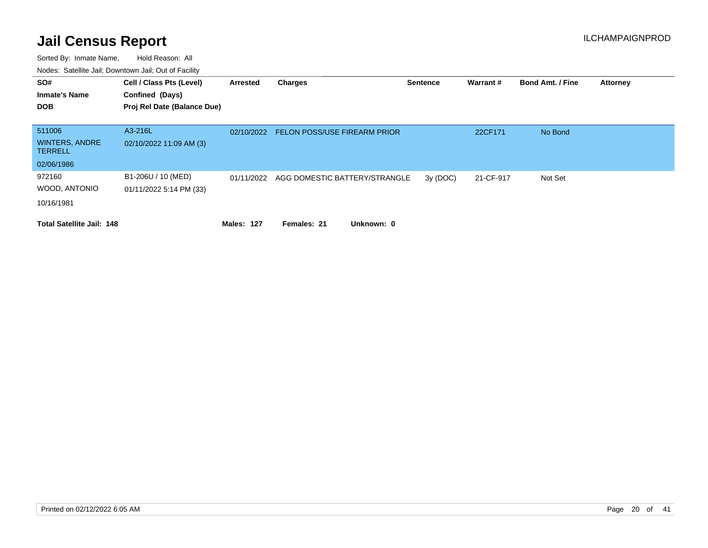| SO#<br><b>Inmate's Name</b><br><b>DOB</b>                       | Cell / Class Pts (Level)<br>Confined (Days)<br>Proj Rel Date (Balance Due) | Arrested          | <b>Charges</b>                      | <b>Sentence</b> | Warrant#  | <b>Bond Amt. / Fine</b> | <b>Attorney</b> |
|-----------------------------------------------------------------|----------------------------------------------------------------------------|-------------------|-------------------------------------|-----------------|-----------|-------------------------|-----------------|
| 511006<br><b>WINTERS, ANDRE</b><br><b>TERRELL</b><br>02/06/1986 | A3-216L<br>02/10/2022 11:09 AM (3)                                         | 02/10/2022        | <b>FELON POSS/USE FIREARM PRIOR</b> |                 | 22CF171   | No Bond                 |                 |
| 972160<br>WOOD, ANTONIO<br>10/16/1981                           | B1-206U / 10 (MED)<br>01/11/2022 5:14 PM (33)                              | 01/11/2022        | AGG DOMESTIC BATTERY/STRANGLE       | 3y(DOC)         | 21-CF-917 | Not Set                 |                 |
| <b>Total Satellite Jail: 148</b>                                |                                                                            | <b>Males: 127</b> | Unknown: 0<br>Females: 21           |                 |           |                         |                 |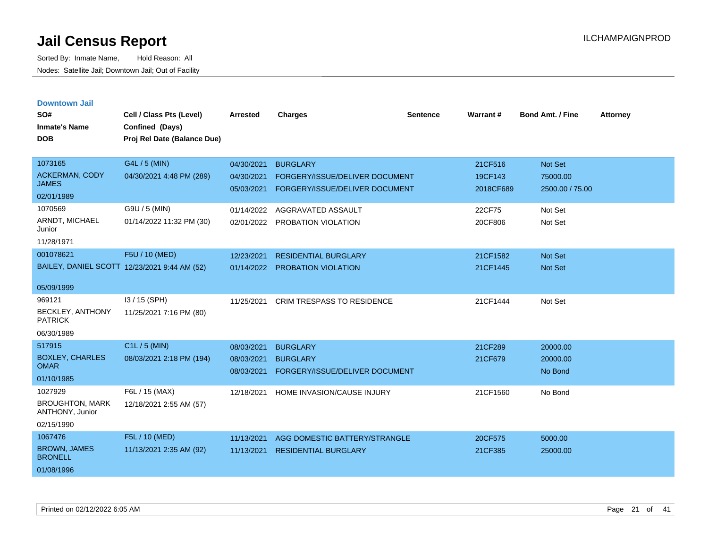| <b>Downtown Jail</b>                      |                                              |            |                                   |          |           |                         |                 |
|-------------------------------------------|----------------------------------------------|------------|-----------------------------------|----------|-----------|-------------------------|-----------------|
| SO#                                       | Cell / Class Pts (Level)                     | Arrested   | <b>Charges</b>                    | Sentence | Warrant#  | <b>Bond Amt. / Fine</b> | <b>Attorney</b> |
| <b>Inmate's Name</b>                      | Confined (Days)                              |            |                                   |          |           |                         |                 |
| <b>DOB</b>                                | Proj Rel Date (Balance Due)                  |            |                                   |          |           |                         |                 |
|                                           |                                              |            |                                   |          |           |                         |                 |
| 1073165                                   | G4L / 5 (MIN)                                | 04/30/2021 | <b>BURGLARY</b>                   |          | 21CF516   | <b>Not Set</b>          |                 |
| <b>ACKERMAN, CODY</b>                     | 04/30/2021 4:48 PM (289)                     | 04/30/2021 | FORGERY/ISSUE/DELIVER DOCUMENT    |          | 19CF143   | 75000.00                |                 |
| <b>JAMES</b>                              |                                              | 05/03/2021 | FORGERY/ISSUE/DELIVER DOCUMENT    |          | 2018CF689 | 2500.00 / 75.00         |                 |
| 02/01/1989                                |                                              |            |                                   |          |           |                         |                 |
| 1070569                                   | G9U / 5 (MIN)                                | 01/14/2022 | AGGRAVATED ASSAULT                |          | 22CF75    | Not Set                 |                 |
| ARNDT, MICHAEL<br>Junior                  | 01/14/2022 11:32 PM (30)                     | 02/01/2022 | PROBATION VIOLATION               |          | 20CF806   | Not Set                 |                 |
| 11/28/1971                                |                                              |            |                                   |          |           |                         |                 |
| 001078621                                 | F5U / 10 (MED)                               | 12/23/2021 | <b>RESIDENTIAL BURGLARY</b>       |          | 21CF1582  | Not Set                 |                 |
|                                           | BAILEY, DANIEL SCOTT 12/23/2021 9:44 AM (52) | 01/14/2022 | <b>PROBATION VIOLATION</b>        |          | 21CF1445  | <b>Not Set</b>          |                 |
| 05/09/1999                                |                                              |            |                                   |          |           |                         |                 |
| 969121                                    | I3 / 15 (SPH)                                | 11/25/2021 | <b>CRIM TRESPASS TO RESIDENCE</b> |          | 21CF1444  | Not Set                 |                 |
| <b>BECKLEY, ANTHONY</b>                   | 11/25/2021 7:16 PM (80)                      |            |                                   |          |           |                         |                 |
| <b>PATRICK</b>                            |                                              |            |                                   |          |           |                         |                 |
| 06/30/1989                                |                                              |            |                                   |          |           |                         |                 |
| 517915                                    | C1L / 5 (MIN)                                | 08/03/2021 | <b>BURGLARY</b>                   |          | 21CF289   | 20000.00                |                 |
| <b>BOXLEY, CHARLES</b>                    | 08/03/2021 2:18 PM (194)                     | 08/03/2021 | <b>BURGLARY</b>                   |          | 21CF679   | 20000.00                |                 |
| <b>OMAR</b>                               |                                              | 08/03/2021 | FORGERY/ISSUE/DELIVER DOCUMENT    |          |           | No Bond                 |                 |
| 01/10/1985                                |                                              |            |                                   |          |           |                         |                 |
| 1027929                                   | F6L / 15 (MAX)                               | 12/18/2021 | HOME INVASION/CAUSE INJURY        |          | 21CF1560  | No Bond                 |                 |
| <b>BROUGHTON, MARK</b><br>ANTHONY, Junior | 12/18/2021 2:55 AM (57)                      |            |                                   |          |           |                         |                 |
| 02/15/1990                                |                                              |            |                                   |          |           |                         |                 |
| 1067476                                   | F5L / 10 (MED)                               | 11/13/2021 | AGG DOMESTIC BATTERY/STRANGLE     |          | 20CF575   | 5000.00                 |                 |
| <b>BROWN, JAMES</b><br><b>BRONELL</b>     | 11/13/2021 2:35 AM (92)                      | 11/13/2021 | <b>RESIDENTIAL BURGLARY</b>       |          | 21CF385   | 25000.00                |                 |
| 01/08/1996                                |                                              |            |                                   |          |           |                         |                 |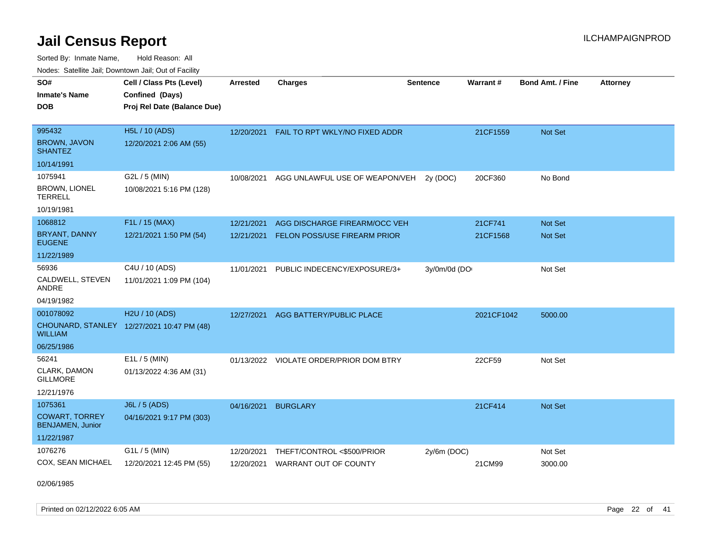Sorted By: Inmate Name, Hold Reason: All Nodes: Satellite Jail; Downtown Jail; Out of Facility

| SO#                                              | Cell / Class Pts (Level)                   | <b>Arrested</b> | <b>Charges</b>                          | <b>Sentence</b> | Warrant#   | <b>Bond Amt. / Fine</b> | <b>Attorney</b> |
|--------------------------------------------------|--------------------------------------------|-----------------|-----------------------------------------|-----------------|------------|-------------------------|-----------------|
| <b>Inmate's Name</b>                             | Confined (Days)                            |                 |                                         |                 |            |                         |                 |
| <b>DOB</b>                                       | Proj Rel Date (Balance Due)                |                 |                                         |                 |            |                         |                 |
|                                                  |                                            |                 |                                         |                 |            |                         |                 |
| 995432                                           | <b>H5L / 10 (ADS)</b>                      | 12/20/2021      | FAIL TO RPT WKLY/NO FIXED ADDR          |                 | 21CF1559   | Not Set                 |                 |
| <b>BROWN, JAVON</b><br><b>SHANTEZ</b>            | 12/20/2021 2:06 AM (55)                    |                 |                                         |                 |            |                         |                 |
| 10/14/1991                                       |                                            |                 |                                         |                 |            |                         |                 |
| 1075941                                          | G2L / 5 (MIN)                              | 10/08/2021      | AGG UNLAWFUL USE OF WEAPON/VEH          | 2y (DOC)        | 20CF360    | No Bond                 |                 |
| <b>BROWN, LIONEL</b><br><b>TERRELL</b>           | 10/08/2021 5:16 PM (128)                   |                 |                                         |                 |            |                         |                 |
| 10/19/1981                                       |                                            |                 |                                         |                 |            |                         |                 |
| 1068812                                          | F1L / 15 (MAX)                             | 12/21/2021      | AGG DISCHARGE FIREARM/OCC VEH           |                 | 21CF741    | Not Set                 |                 |
| <b>BRYANT, DANNY</b><br><b>EUGENE</b>            | 12/21/2021 1:50 PM (54)                    | 12/21/2021      | FELON POSS/USE FIREARM PRIOR            |                 | 21CF1568   | Not Set                 |                 |
| 11/22/1989                                       |                                            |                 |                                         |                 |            |                         |                 |
| 56936                                            | C4U / 10 (ADS)                             | 11/01/2021      | PUBLIC INDECENCY/EXPOSURE/3+            | 3y/0m/0d (DO    |            | Not Set                 |                 |
| CALDWELL, STEVEN<br>ANDRE                        | 11/01/2021 1:09 PM (104)                   |                 |                                         |                 |            |                         |                 |
| 04/19/1982                                       |                                            |                 |                                         |                 |            |                         |                 |
| 001078092                                        | H2U / 10 (ADS)                             | 12/27/2021      | AGG BATTERY/PUBLIC PLACE                |                 | 2021CF1042 | 5000.00                 |                 |
| <b>WILLIAM</b>                                   | CHOUNARD, STANLEY 12/27/2021 10:47 PM (48) |                 |                                         |                 |            |                         |                 |
| 06/25/1986                                       |                                            |                 |                                         |                 |            |                         |                 |
| 56241                                            | $E1L / 5$ (MIN)                            |                 | 01/13/2022 VIOLATE ORDER/PRIOR DOM BTRY |                 | 22CF59     | Not Set                 |                 |
| CLARK, DAMON<br><b>GILLMORE</b>                  | 01/13/2022 4:36 AM (31)                    |                 |                                         |                 |            |                         |                 |
| 12/21/1976                                       |                                            |                 |                                         |                 |            |                         |                 |
| 1075361                                          | J6L / 5 (ADS)                              | 04/16/2021      | <b>BURGLARY</b>                         |                 | 21CF414    | Not Set                 |                 |
| <b>COWART, TORREY</b><br><b>BENJAMEN, Junior</b> | 04/16/2021 9:17 PM (303)                   |                 |                                         |                 |            |                         |                 |
| 11/22/1987                                       |                                            |                 |                                         |                 |            |                         |                 |
| 1076276                                          | $G1L / 5$ (MIN)                            | 12/20/2021      | THEFT/CONTROL <\$500/PRIOR              | $2y/6m$ (DOC)   |            | Not Set                 |                 |
| COX, SEAN MICHAEL                                | 12/20/2021 12:45 PM (55)                   | 12/20/2021      | <b>WARRANT OUT OF COUNTY</b>            |                 | 21CM99     | 3000.00                 |                 |

02/06/1985

Printed on 02/12/2022 6:05 AM Page 22 of 41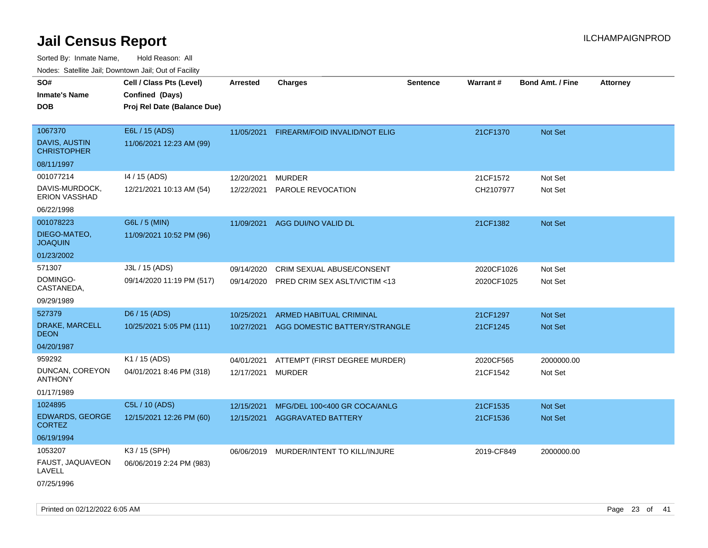| ivouss. Satellite Jali, Downtown Jali, Out of Facility            |                                                                            |                          |                                                                 |                 |                          |                                  |                 |
|-------------------------------------------------------------------|----------------------------------------------------------------------------|--------------------------|-----------------------------------------------------------------|-----------------|--------------------------|----------------------------------|-----------------|
| SO#<br>Inmate's Name<br><b>DOB</b>                                | Cell / Class Pts (Level)<br>Confined (Days)<br>Proj Rel Date (Balance Due) | <b>Arrested</b>          | <b>Charges</b>                                                  | <b>Sentence</b> | Warrant#                 | <b>Bond Amt. / Fine</b>          | <b>Attorney</b> |
| 1067370<br>DAVIS, AUSTIN<br><b>CHRISTOPHER</b><br>08/11/1997      | E6L / 15 (ADS)<br>11/06/2021 12:23 AM (99)                                 | 11/05/2021               | FIREARM/FOID INVALID/NOT ELIG                                   |                 | 21CF1370                 | Not Set                          |                 |
| 001077214<br>DAVIS-MURDOCK,<br><b>ERION VASSHAD</b><br>06/22/1998 | 14 / 15 (ADS)<br>12/21/2021 10:13 AM (54)                                  | 12/20/2021<br>12/22/2021 | <b>MURDER</b><br>PAROLE REVOCATION                              |                 | 21CF1572<br>CH2107977    | Not Set<br>Not Set               |                 |
| 001078223<br>DIEGO-MATEO,<br>JOAQUIN<br>01/23/2002                | G6L / 5 (MIN)<br>11/09/2021 10:52 PM (96)                                  | 11/09/2021               | AGG DUI/NO VALID DL                                             |                 | 21CF1382                 | <b>Not Set</b>                   |                 |
| 571307<br>DOMINGO-<br>CASTANEDA,<br>09/29/1989                    | J3L / 15 (ADS)<br>09/14/2020 11:19 PM (517)                                | 09/14/2020<br>09/14/2020 | CRIM SEXUAL ABUSE/CONSENT<br>PRED CRIM SEX ASLT/VICTIM <13      |                 | 2020CF1026<br>2020CF1025 | Not Set<br>Not Set               |                 |
| 527379<br>DRAKE, MARCELL<br>DEON<br>04/20/1987                    | D6 / 15 (ADS)<br>10/25/2021 5:05 PM (111)                                  | 10/25/2021<br>10/27/2021 | <b>ARMED HABITUAL CRIMINAL</b><br>AGG DOMESTIC BATTERY/STRANGLE |                 | 21CF1297<br>21CF1245     | <b>Not Set</b><br><b>Not Set</b> |                 |
| 959292<br>DUNCAN, COREYON<br>ANTHONY<br>01/17/1989                | K1 / 15 (ADS)<br>04/01/2021 8:46 PM (318)                                  | 04/01/2021<br>12/17/2021 | ATTEMPT (FIRST DEGREE MURDER)<br>MURDER                         |                 | 2020CF565<br>21CF1542    | 2000000.00<br>Not Set            |                 |
| 1024895<br><b>EDWARDS, GEORGE</b><br>CORTEZ<br>06/19/1994         | C5L / 10 (ADS)<br>12/15/2021 12:26 PM (60)                                 | 12/15/2021<br>12/15/2021 | MFG/DEL 100<400 GR COCA/ANLG<br><b>AGGRAVATED BATTERY</b>       |                 | 21CF1535<br>21CF1536     | <b>Not Set</b><br><b>Not Set</b> |                 |
| 1053207<br>FAUST, JAQUAVEON<br>LAVELL<br>07/25/1996               | K3 / 15 (SPH)<br>06/06/2019 2:24 PM (983)                                  |                          | 06/06/2019 MURDER/INTENT TO KILL/INJURE                         |                 | 2019-CF849               | 2000000.00                       |                 |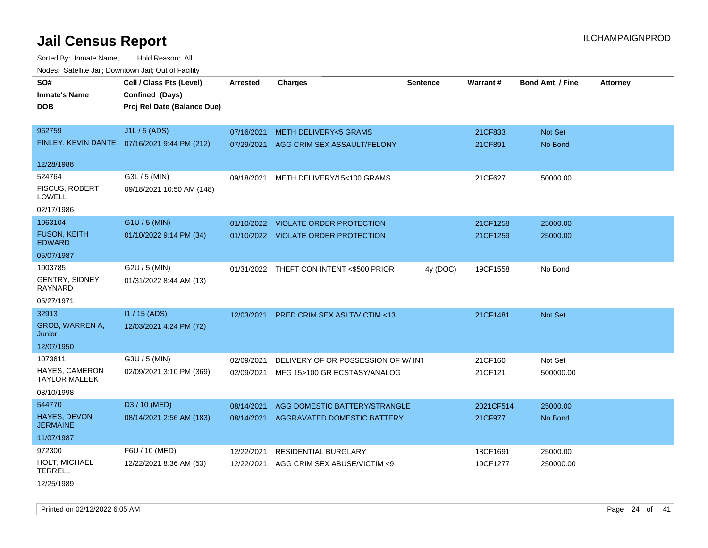Sorted By: Inmate Name, Hold Reason: All Nodes: Satellite Jail; Downtown Jail; Out of Facility

| rougs. Calcing Jan, Downtown Jan, Out of Facinty |                                              |                 |                                          |                 |                 |                         |                 |
|--------------------------------------------------|----------------------------------------------|-----------------|------------------------------------------|-----------------|-----------------|-------------------------|-----------------|
| SO#<br><b>Inmate's Name</b>                      | Cell / Class Pts (Level)<br>Confined (Days)  | <b>Arrested</b> | <b>Charges</b>                           | <b>Sentence</b> | <b>Warrant#</b> | <b>Bond Amt. / Fine</b> | <b>Attorney</b> |
| <b>DOB</b>                                       | Proj Rel Date (Balance Due)                  |                 |                                          |                 |                 |                         |                 |
| 962759                                           | J1L / 5 (ADS)                                | 07/16/2021      | <b>METH DELIVERY&lt;5 GRAMS</b>          |                 | 21CF833         | Not Set                 |                 |
|                                                  | FINLEY, KEVIN DANTE 07/16/2021 9:44 PM (212) | 07/29/2021      | AGG CRIM SEX ASSAULT/FELONY              |                 | 21CF891         | No Bond                 |                 |
| 12/28/1988                                       |                                              |                 |                                          |                 |                 |                         |                 |
| 524764                                           | G3L / 5 (MIN)                                | 09/18/2021      | METH DELIVERY/15<100 GRAMS               |                 | 21CF627         | 50000.00                |                 |
| <b>FISCUS, ROBERT</b><br><b>LOWELL</b>           | 09/18/2021 10:50 AM (148)                    |                 |                                          |                 |                 |                         |                 |
| 02/17/1986                                       |                                              |                 |                                          |                 |                 |                         |                 |
| 1063104                                          | G1U / 5 (MIN)                                |                 | 01/10/2022 VIOLATE ORDER PROTECTION      |                 | 21CF1258        | 25000.00                |                 |
| <b>FUSON, KEITH</b><br><b>EDWARD</b>             | 01/10/2022 9:14 PM (34)                      |                 | 01/10/2022 VIOLATE ORDER PROTECTION      |                 | 21CF1259        | 25000.00                |                 |
| 05/07/1987                                       |                                              |                 |                                          |                 |                 |                         |                 |
| 1003785                                          | G2U / 5 (MIN)                                |                 | 01/31/2022 THEFT CON INTENT <\$500 PRIOR | 4y (DOC)        | 19CF1558        | No Bond                 |                 |
| <b>GENTRY, SIDNEY</b><br><b>RAYNARD</b>          | 01/31/2022 8:44 AM (13)                      |                 |                                          |                 |                 |                         |                 |
| 05/27/1971                                       |                                              |                 |                                          |                 |                 |                         |                 |
| 32913                                            | I1 / 15 (ADS)                                | 12/03/2021      | <b>PRED CRIM SEX ASLT/VICTIM &lt;13</b>  |                 | 21CF1481        | <b>Not Set</b>          |                 |
| GROB, WARREN A,<br>Junior                        | 12/03/2021 4:24 PM (72)                      |                 |                                          |                 |                 |                         |                 |
| 12/07/1950                                       |                                              |                 |                                          |                 |                 |                         |                 |
| 1073611                                          | G3U / 5 (MIN)                                | 02/09/2021      | DELIVERY OF OR POSSESSION OF W/INT       |                 | 21CF160         | Not Set                 |                 |
| <b>HAYES, CAMERON</b><br><b>TAYLOR MALEEK</b>    | 02/09/2021 3:10 PM (369)                     | 02/09/2021      | MFG 15>100 GR ECSTASY/ANALOG             |                 | 21CF121         | 500000.00               |                 |
| 08/10/1998                                       |                                              |                 |                                          |                 |                 |                         |                 |
| 544770                                           | D3 / 10 (MED)                                | 08/14/2021      | AGG DOMESTIC BATTERY/STRANGLE            |                 | 2021CF514       | 25000.00                |                 |
| <b>HAYES, DEVON</b><br><b>JERMAINE</b>           | 08/14/2021 2:56 AM (183)                     | 08/14/2021      | AGGRAVATED DOMESTIC BATTERY              |                 | 21CF977         | No Bond                 |                 |
| 11/07/1987                                       |                                              |                 |                                          |                 |                 |                         |                 |
| 972300                                           | F6U / 10 (MED)                               | 12/22/2021      | <b>RESIDENTIAL BURGLARY</b>              |                 | 18CF1691        | 25000.00                |                 |
| HOLT, MICHAEL<br><b>TERRELL</b>                  | 12/22/2021 8:36 AM (53)                      | 12/22/2021      | AGG CRIM SEX ABUSE/VICTIM <9             |                 | 19CF1277        | 250000.00               |                 |
|                                                  |                                              |                 |                                          |                 |                 |                         |                 |

12/25/1989

Printed on 02/12/2022 6:05 AM Page 24 of 41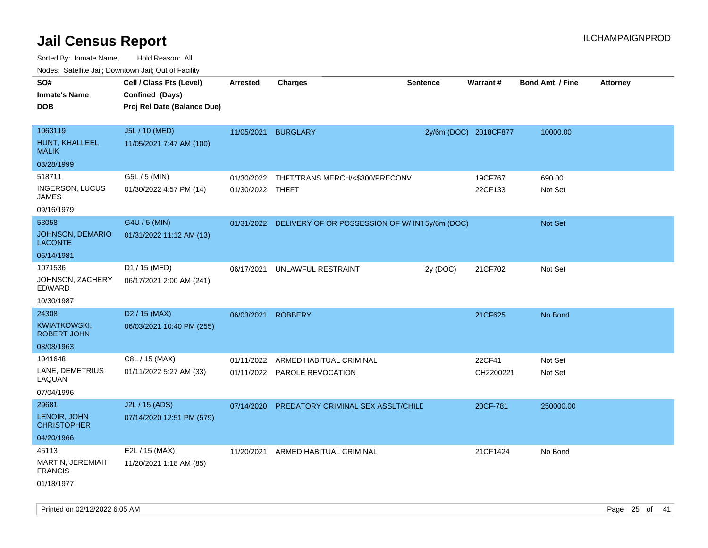Sorted By: Inmate Name, Hold Reason: All Nodes: Satellite Jail; Downtown Jail; Out of Facility

| Todoo. Catolino can, Bowritown can, Oat or I domt<br>SO#<br><b>Inmate's Name</b><br><b>DOB</b> | Cell / Class Pts (Level)<br>Confined (Days)<br>Proj Rel Date (Balance Due) | Arrested                       | <b>Charges</b>                                           | <b>Sentence</b> | <b>Warrant#</b>       | <b>Bond Amt. / Fine</b> | <b>Attorney</b> |
|------------------------------------------------------------------------------------------------|----------------------------------------------------------------------------|--------------------------------|----------------------------------------------------------|-----------------|-----------------------|-------------------------|-----------------|
| 1063119<br>HUNT, KHALLEEL<br><b>MALIK</b>                                                      | J5L / 10 (MED)<br>11/05/2021 7:47 AM (100)                                 | 11/05/2021                     | <b>BURGLARY</b>                                          |                 | 2y/6m (DOC) 2018CF877 | 10000.00                |                 |
| 03/28/1999                                                                                     |                                                                            |                                |                                                          |                 |                       |                         |                 |
| 518711<br>INGERSON, LUCUS<br>JAMES                                                             | G5L / 5 (MIN)<br>01/30/2022 4:57 PM (14)                                   | 01/30/2022<br>01/30/2022 THEFT | THFT/TRANS MERCH/<\$300/PRECONV                          |                 | 19CF767<br>22CF133    | 690.00<br>Not Set       |                 |
| 09/16/1979                                                                                     |                                                                            |                                |                                                          |                 |                       |                         |                 |
| 53058<br>JOHNSON, DEMARIO<br><b>LACONTE</b>                                                    | G4U / 5 (MIN)<br>01/31/2022 11:12 AM (13)                                  |                                | 01/31/2022 DELIVERY OF OR POSSESSION OF W/IN15y/6m (DOC) |                 |                       | Not Set                 |                 |
| 06/14/1981                                                                                     |                                                                            |                                |                                                          |                 |                       |                         |                 |
| 1071536<br>JOHNSON, ZACHERY<br>EDWARD                                                          | D1 / 15 (MED)<br>06/17/2021 2:00 AM (241)                                  | 06/17/2021                     | UNLAWFUL RESTRAINT                                       | 2y (DOC)        | 21CF702               | Not Set                 |                 |
| 10/30/1987                                                                                     |                                                                            |                                |                                                          |                 |                       |                         |                 |
| 24308                                                                                          | D <sub>2</sub> / 15 (MAX)                                                  | 06/03/2021                     | <b>ROBBERY</b>                                           |                 | 21CF625               | No Bond                 |                 |
| KWIATKOWSKI,<br><b>ROBERT JOHN</b>                                                             | 06/03/2021 10:40 PM (255)                                                  |                                |                                                          |                 |                       |                         |                 |
| 08/08/1963                                                                                     |                                                                            |                                |                                                          |                 |                       |                         |                 |
| 1041648                                                                                        | C8L / 15 (MAX)                                                             | 01/11/2022                     | ARMED HABITUAL CRIMINAL                                  |                 | 22CF41                | Not Set                 |                 |
| LANE, DEMETRIUS<br>LAQUAN                                                                      | 01/11/2022 5:27 AM (33)                                                    |                                | 01/11/2022 PAROLE REVOCATION                             |                 | CH2200221             | Not Set                 |                 |
| 07/04/1996                                                                                     |                                                                            |                                |                                                          |                 |                       |                         |                 |
| 29681                                                                                          | J2L / 15 (ADS)                                                             | 07/14/2020                     | PREDATORY CRIMINAL SEX ASSLT/CHILE                       |                 | 20CF-781              | 250000.00               |                 |
| LENOIR, JOHN<br><b>CHRISTOPHER</b>                                                             | 07/14/2020 12:51 PM (579)                                                  |                                |                                                          |                 |                       |                         |                 |
| 04/20/1966                                                                                     |                                                                            |                                |                                                          |                 |                       |                         |                 |
| 45113                                                                                          | E2L / 15 (MAX)                                                             | 11/20/2021                     | ARMED HABITUAL CRIMINAL                                  |                 | 21CF1424              | No Bond                 |                 |
| MARTIN, JEREMIAH<br><b>FRANCIS</b><br>01/18/1977                                               | 11/20/2021 1:18 AM (85)                                                    |                                |                                                          |                 |                       |                         |                 |
|                                                                                                |                                                                            |                                |                                                          |                 |                       |                         |                 |

Printed on 02/12/2022 6:05 AM Page 25 of 41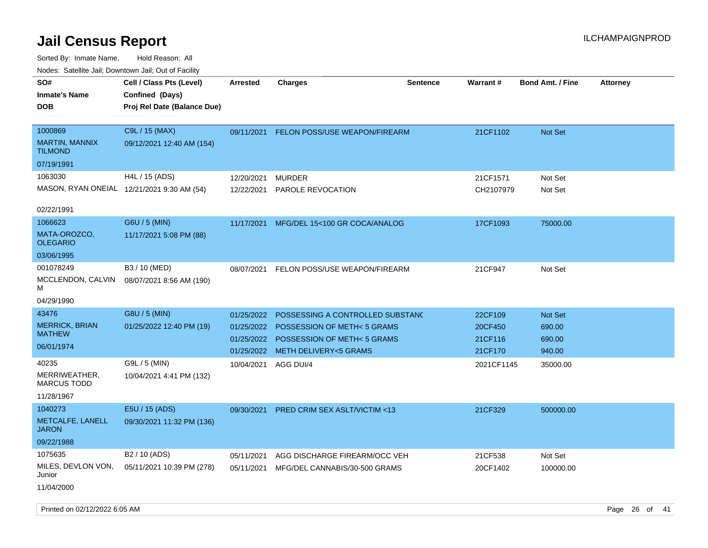Sorted By: Inmate Name, Hold Reason: All Nodes: Satellite Jail; Downtown Jail; Out of Facility

| i vuuto. Talelille Jall, Duwilluwii Jall, Out of Facility |                                            |                 |                                         |                 |            |                         |                 |
|-----------------------------------------------------------|--------------------------------------------|-----------------|-----------------------------------------|-----------------|------------|-------------------------|-----------------|
| SO#                                                       | Cell / Class Pts (Level)                   | <b>Arrested</b> | Charges                                 | <b>Sentence</b> | Warrant#   | <b>Bond Amt. / Fine</b> | <b>Attorney</b> |
| Inmate's Name                                             | Confined (Days)                            |                 |                                         |                 |            |                         |                 |
| DOB                                                       | Proj Rel Date (Balance Due)                |                 |                                         |                 |            |                         |                 |
|                                                           |                                            |                 |                                         |                 |            |                         |                 |
| 1000869                                                   | C9L / 15 (MAX)                             | 09/11/2021      | <b>FELON POSS/USE WEAPON/FIREARM</b>    |                 | 21CF1102   | Not Set                 |                 |
| <b>MARTIN, MANNIX</b><br>TILMOND                          | 09/12/2021 12:40 AM (154)                  |                 |                                         |                 |            |                         |                 |
| 07/19/1991                                                |                                            |                 |                                         |                 |            |                         |                 |
| 1063030                                                   | H4L / 15 (ADS)                             | 12/20/2021      | <b>MURDER</b>                           |                 | 21CF1571   | Not Set                 |                 |
|                                                           | MASON, RYAN ONEIAL 12/21/2021 9:30 AM (54) | 12/22/2021      | <b>PAROLE REVOCATION</b>                |                 | CH2107979  | Not Set                 |                 |
|                                                           |                                            |                 |                                         |                 |            |                         |                 |
| 02/22/1991                                                |                                            |                 |                                         |                 |            |                         |                 |
| 1066623                                                   | G6U / 5 (MIN)                              | 11/17/2021      | MFG/DEL 15<100 GR COCA/ANALOG           |                 | 17CF1093   | 75000.00                |                 |
| MATA-OROZCO,<br>OLEGARIO                                  | 11/17/2021 5:08 PM (88)                    |                 |                                         |                 |            |                         |                 |
| 03/06/1995                                                |                                            |                 |                                         |                 |            |                         |                 |
| 001078249                                                 | B3 / 10 (MED)                              | 08/07/2021      | FELON POSS/USE WEAPON/FIREARM           |                 | 21CF947    | Not Set                 |                 |
| MCCLENDON, CALVIN                                         | 08/07/2021 8:56 AM (190)                   |                 |                                         |                 |            |                         |                 |
| М                                                         |                                            |                 |                                         |                 |            |                         |                 |
| 04/29/1990                                                |                                            |                 |                                         |                 |            |                         |                 |
| 43476                                                     | G8U / 5 (MIN)                              | 01/25/2022      | POSSESSING A CONTROLLED SUBSTAND        |                 | 22CF109    | <b>Not Set</b>          |                 |
| <b>MERRICK, BRIAN</b>                                     | 01/25/2022 12:40 PM (19)                   | 01/25/2022      | POSSESSION OF METH< 5 GRAMS             |                 | 20CF450    | 690.00                  |                 |
| <b>MATHEW</b>                                             |                                            | 01/25/2022      | POSSESSION OF METH< 5 GRAMS             |                 | 21CF116    | 690.00                  |                 |
| 06/01/1974                                                |                                            | 01/25/2022      | <b>METH DELIVERY&lt;5 GRAMS</b>         |                 | 21CF170    | 940.00                  |                 |
| 40235                                                     | G9L / 5 (MIN)                              | 10/04/2021      | AGG DUI/4                               |                 | 2021CF1145 | 35000.00                |                 |
| MERRIWEATHER,<br>MARCUS TODD                              | 10/04/2021 4:41 PM (132)                   |                 |                                         |                 |            |                         |                 |
| 11/28/1967                                                |                                            |                 |                                         |                 |            |                         |                 |
| 1040273                                                   | E5U / 15 (ADS)                             | 09/30/2021      | <b>PRED CRIM SEX ASLT/VICTIM &lt;13</b> |                 | 21CF329    | 500000.00               |                 |
| <b>METCALFE, LANELL</b><br>JARON                          | 09/30/2021 11:32 PM (136)                  |                 |                                         |                 |            |                         |                 |
| 09/22/1988                                                |                                            |                 |                                         |                 |            |                         |                 |
| 1075635                                                   | B <sub>2</sub> / 10 (ADS)                  | 05/11/2021      | AGG DISCHARGE FIREARM/OCC VEH           |                 | 21CF538    | Not Set                 |                 |
| MILES, DEVLON VON,<br>Junior                              | 05/11/2021 10:39 PM (278)                  | 05/11/2021      | MFG/DEL CANNABIS/30-500 GRAMS           |                 | 20CF1402   | 100000.00               |                 |
| 11/04/2000                                                |                                            |                 |                                         |                 |            |                         |                 |

Printed on 02/12/2022 6:05 AM Page 26 of 41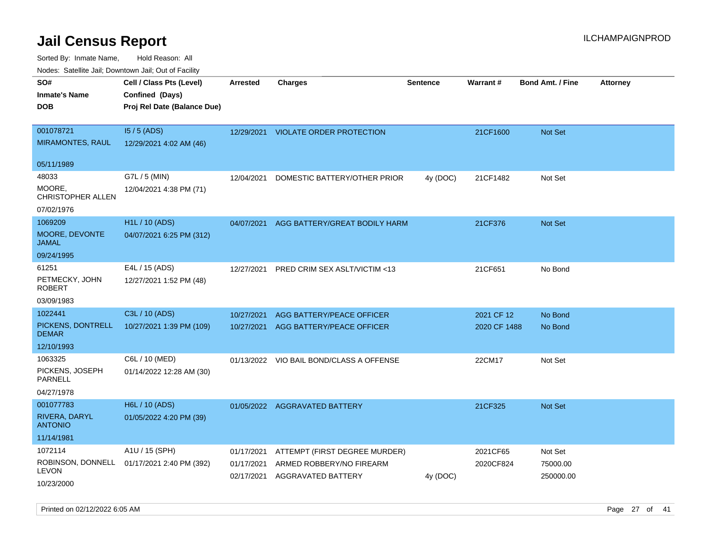Sorted By: Inmate Name, Hold Reason: All

|  | Nodes: Satellite Jail; Downtown Jail; Out of Facility |  |  |  |
|--|-------------------------------------------------------|--|--|--|
|--|-------------------------------------------------------|--|--|--|

| SO#<br><b>Inmate's Name</b><br><b>DOB</b>           | Cell / Class Pts (Level)<br>Confined (Days)<br>Proj Rel Date (Balance Due) | <b>Arrested</b>          | <b>Charges</b>                                 | <b>Sentence</b> | <b>Warrant#</b> | <b>Bond Amt. / Fine</b> | <b>Attorney</b> |
|-----------------------------------------------------|----------------------------------------------------------------------------|--------------------------|------------------------------------------------|-----------------|-----------------|-------------------------|-----------------|
| 001078721<br><b>MIRAMONTES, RAUL</b>                | $15/5$ (ADS)<br>12/29/2021 4:02 AM (46)                                    | 12/29/2021               | <b>VIOLATE ORDER PROTECTION</b>                |                 | 21CF1600        | Not Set                 |                 |
| 05/11/1989                                          |                                                                            |                          |                                                |                 |                 |                         |                 |
| 48033<br>MOORE,<br>CHRISTOPHER ALLEN<br>07/02/1976  | G7L / 5 (MIN)<br>12/04/2021 4:38 PM (71)                                   | 12/04/2021               | DOMESTIC BATTERY/OTHER PRIOR                   | 4y (DOC)        | 21CF1482        | Not Set                 |                 |
| 1069209<br>MOORE, DEVONTE<br><b>JAMAL</b>           | <b>H1L / 10 (ADS)</b><br>04/07/2021 6:25 PM (312)                          | 04/07/2021               | AGG BATTERY/GREAT BODILY HARM                  |                 | 21CF376         | <b>Not Set</b>          |                 |
| 09/24/1995                                          |                                                                            |                          |                                                |                 |                 |                         |                 |
| 61251<br>PETMECKY, JOHN<br><b>ROBERT</b>            | E4L / 15 (ADS)<br>12/27/2021 1:52 PM (48)                                  | 12/27/2021               | PRED CRIM SEX ASLT/VICTIM <13                  |                 | 21CF651         | No Bond                 |                 |
| 03/09/1983                                          |                                                                            |                          |                                                |                 |                 |                         |                 |
| 1022441                                             | C3L / 10 (ADS)                                                             | 10/27/2021               | AGG BATTERY/PEACE OFFICER                      |                 | 2021 CF 12      | No Bond                 |                 |
| PICKENS, DONTRELL<br><b>DEMAR</b>                   | 10/27/2021 1:39 PM (109)                                                   |                          | 10/27/2021 AGG BATTERY/PEACE OFFICER           |                 | 2020 CF 1488    | No Bond                 |                 |
| 12/10/1993                                          |                                                                            |                          |                                                |                 |                 |                         |                 |
| 1063325<br>PICKENS, JOSEPH<br>PARNELL<br>04/27/1978 | C6L / 10 (MED)<br>01/14/2022 12:28 AM (30)                                 |                          | 01/13/2022 VIO BAIL BOND/CLASS A OFFENSE       |                 | 22CM17          | Not Set                 |                 |
| 001077783                                           | <b>H6L / 10 (ADS)</b>                                                      |                          | 01/05/2022 AGGRAVATED BATTERY                  |                 | 21CF325         | Not Set                 |                 |
| RIVERA, DARYL<br><b>ANTONIO</b>                     | 01/05/2022 4:20 PM (39)                                                    |                          |                                                |                 |                 |                         |                 |
| 11/14/1981                                          |                                                                            |                          |                                                |                 |                 |                         |                 |
| 1072114                                             | A1U / 15 (SPH)                                                             | 01/17/2021               | ATTEMPT (FIRST DEGREE MURDER)                  |                 | 2021CF65        | Not Set                 |                 |
| ROBINSON, DONNELL<br><b>LEVON</b><br>10/23/2000     | 01/17/2021 2:40 PM (392)                                                   | 01/17/2021<br>02/17/2021 | ARMED ROBBERY/NO FIREARM<br>AGGRAVATED BATTERY | 4y (DOC)        | 2020CF824       | 75000.00<br>250000.00   |                 |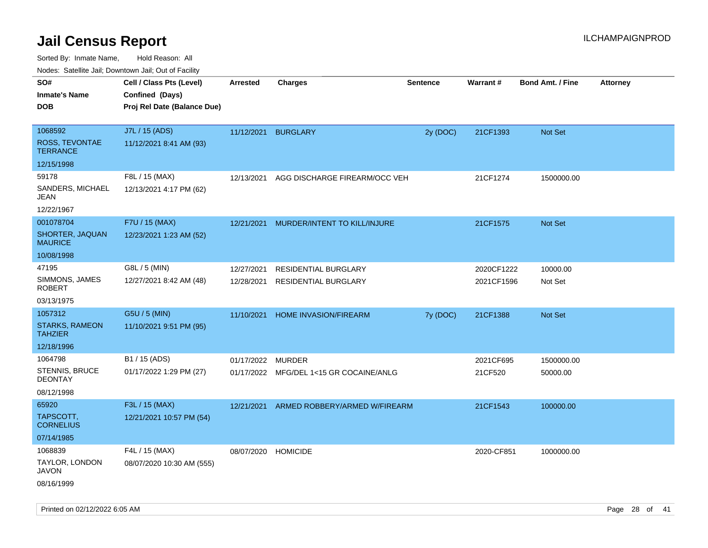Sorted By: Inmate Name, Hold Reason: All

Nodes: Satellite Jail; Downtown Jail; Out of Facility

| ivouss. Saleling Jali, Downtown Jali, Out of Facility |                             |                     |                                         |                 |            |                         |                 |
|-------------------------------------------------------|-----------------------------|---------------------|-----------------------------------------|-----------------|------------|-------------------------|-----------------|
| SO#                                                   | Cell / Class Pts (Level)    | <b>Arrested</b>     | <b>Charges</b>                          | <b>Sentence</b> | Warrant#   | <b>Bond Amt. / Fine</b> | <b>Attorney</b> |
| <b>Inmate's Name</b>                                  | Confined (Days)             |                     |                                         |                 |            |                         |                 |
| <b>DOB</b>                                            | Proj Rel Date (Balance Due) |                     |                                         |                 |            |                         |                 |
|                                                       |                             |                     |                                         |                 |            |                         |                 |
| 1068592                                               | J7L / 15 (ADS)              | 11/12/2021 BURGLARY |                                         | 2y (DOC)        | 21CF1393   | Not Set                 |                 |
| <b>ROSS, TEVONTAE</b><br><b>TERRANCE</b>              | 11/12/2021 8:41 AM (93)     |                     |                                         |                 |            |                         |                 |
| 12/15/1998                                            |                             |                     |                                         |                 |            |                         |                 |
| 59178                                                 | F8L / 15 (MAX)              | 12/13/2021          | AGG DISCHARGE FIREARM/OCC VEH           |                 | 21CF1274   | 1500000.00              |                 |
| SANDERS, MICHAEL<br>JEAN                              | 12/13/2021 4:17 PM (62)     |                     |                                         |                 |            |                         |                 |
| 12/22/1967                                            |                             |                     |                                         |                 |            |                         |                 |
| 001078704                                             | F7U / 15 (MAX)              | 12/21/2021          | MURDER/INTENT TO KILL/INJURE            |                 | 21CF1575   | Not Set                 |                 |
| SHORTER, JAQUAN<br><b>MAURICE</b>                     | 12/23/2021 1:23 AM (52)     |                     |                                         |                 |            |                         |                 |
| 10/08/1998                                            |                             |                     |                                         |                 |            |                         |                 |
| 47195                                                 | G8L / 5 (MIN)               | 12/27/2021          | <b>RESIDENTIAL BURGLARY</b>             |                 | 2020CF1222 | 10000.00                |                 |
| SIMMONS, JAMES<br><b>ROBERT</b>                       | 12/27/2021 8:42 AM (48)     | 12/28/2021          | <b>RESIDENTIAL BURGLARY</b>             |                 | 2021CF1596 | Not Set                 |                 |
| 03/13/1975                                            |                             |                     |                                         |                 |            |                         |                 |
| 1057312                                               | G5U / 5 (MIN)               | 11/10/2021          | <b>HOME INVASION/FIREARM</b>            | 7y (DOC)        | 21CF1388   | Not Set                 |                 |
| <b>STARKS, RAMEON</b><br><b>TAHZIER</b>               | 11/10/2021 9:51 PM (95)     |                     |                                         |                 |            |                         |                 |
| 12/18/1996                                            |                             |                     |                                         |                 |            |                         |                 |
| 1064798                                               | B1 / 15 (ADS)               | 01/17/2022 MURDER   |                                         |                 | 2021CF695  | 1500000.00              |                 |
| STENNIS, BRUCE<br><b>DEONTAY</b>                      | 01/17/2022 1:29 PM (27)     |                     | 01/17/2022 MFG/DEL 1<15 GR COCAINE/ANLG |                 | 21CF520    | 50000.00                |                 |
| 08/12/1998                                            |                             |                     |                                         |                 |            |                         |                 |
| 65920                                                 | F3L / 15 (MAX)              | 12/21/2021          | ARMED ROBBERY/ARMED W/FIREARM           |                 | 21CF1543   | 100000.00               |                 |
| TAPSCOTT.<br><b>CORNELIUS</b>                         | 12/21/2021 10:57 PM (54)    |                     |                                         |                 |            |                         |                 |
| 07/14/1985                                            |                             |                     |                                         |                 |            |                         |                 |
| 1068839                                               | F4L / 15 (MAX)              | 08/07/2020 HOMICIDE |                                         |                 | 2020-CF851 | 1000000.00              |                 |
| TAYLOR, LONDON<br><b>JAVON</b>                        | 08/07/2020 10:30 AM (555)   |                     |                                         |                 |            |                         |                 |
| 08/16/1999                                            |                             |                     |                                         |                 |            |                         |                 |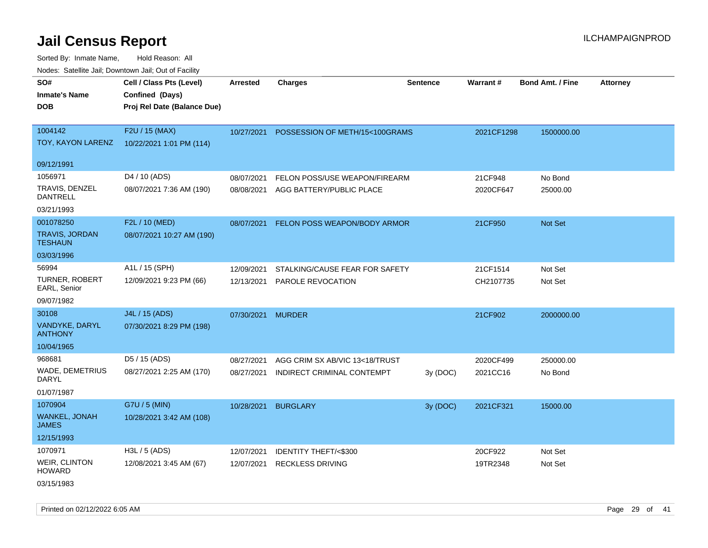Sorted By: Inmate Name, Hold Reason: All Nodes: Satellite Jail; Downtown Jail; Out of Facility

| roaco. Catolino cali, Domntonn cali, Out of Facility |                             |                   |                                           |                 |            |                         |                 |
|------------------------------------------------------|-----------------------------|-------------------|-------------------------------------------|-----------------|------------|-------------------------|-----------------|
| SO#                                                  | Cell / Class Pts (Level)    | <b>Arrested</b>   | <b>Charges</b>                            | <b>Sentence</b> | Warrant#   | <b>Bond Amt. / Fine</b> | <b>Attorney</b> |
| <b>Inmate's Name</b>                                 | Confined (Days)             |                   |                                           |                 |            |                         |                 |
| <b>DOB</b>                                           | Proj Rel Date (Balance Due) |                   |                                           |                 |            |                         |                 |
|                                                      |                             |                   |                                           |                 |            |                         |                 |
| 1004142                                              | F2U / 15 (MAX)              |                   | 10/27/2021 POSSESSION OF METH/15<100GRAMS |                 | 2021CF1298 | 1500000.00              |                 |
| TOY, KAYON LARENZ                                    | 10/22/2021 1:01 PM (114)    |                   |                                           |                 |            |                         |                 |
|                                                      |                             |                   |                                           |                 |            |                         |                 |
| 09/12/1991                                           |                             |                   |                                           |                 |            |                         |                 |
| 1056971                                              | D <sub>4</sub> / 10 (ADS)   | 08/07/2021        | FELON POSS/USE WEAPON/FIREARM             |                 | 21CF948    | No Bond                 |                 |
| TRAVIS, DENZEL<br><b>DANTRELL</b>                    | 08/07/2021 7:36 AM (190)    | 08/08/2021        | AGG BATTERY/PUBLIC PLACE                  |                 | 2020CF647  | 25000.00                |                 |
| 03/21/1993                                           |                             |                   |                                           |                 |            |                         |                 |
| 001078250                                            | F2L / 10 (MED)              | 08/07/2021        | FELON POSS WEAPON/BODY ARMOR              |                 | 21CF950    | Not Set                 |                 |
| <b>TRAVIS, JORDAN</b><br><b>TESHAUN</b>              | 08/07/2021 10:27 AM (190)   |                   |                                           |                 |            |                         |                 |
| 03/03/1996                                           |                             |                   |                                           |                 |            |                         |                 |
| 56994                                                | A1L / 15 (SPH)              | 12/09/2021        | STALKING/CAUSE FEAR FOR SAFETY            |                 | 21CF1514   | Not Set                 |                 |
| <b>TURNER, ROBERT</b>                                | 12/09/2021 9:23 PM (66)     | 12/13/2021        | PAROLE REVOCATION                         |                 | CH2107735  | Not Set                 |                 |
| EARL, Senior                                         |                             |                   |                                           |                 |            |                         |                 |
| 09/07/1982                                           |                             |                   |                                           |                 |            |                         |                 |
| 30108                                                | J4L / 15 (ADS)              | 07/30/2021 MURDER |                                           |                 | 21CF902    | 2000000.00              |                 |
| VANDYKE, DARYL<br><b>ANTHONY</b>                     | 07/30/2021 8:29 PM (198)    |                   |                                           |                 |            |                         |                 |
| 10/04/1965                                           |                             |                   |                                           |                 |            |                         |                 |
| 968681                                               | D5 / 15 (ADS)               | 08/27/2021        | AGG CRIM SX AB/VIC 13<18/TRUST            |                 | 2020CF499  | 250000.00               |                 |
| <b>WADE, DEMETRIUS</b><br><b>DARYL</b>               | 08/27/2021 2:25 AM (170)    | 08/27/2021        | INDIRECT CRIMINAL CONTEMPT                | 3y(DOC)         | 2021CC16   | No Bond                 |                 |
| 01/07/1987                                           |                             |                   |                                           |                 |            |                         |                 |
| 1070904                                              | G7U / 5 (MIN)               | 10/28/2021        | <b>BURGLARY</b>                           | 3y (DOC)        | 2021CF321  | 15000.00                |                 |
| <b>WANKEL, JONAH</b><br><b>JAMES</b>                 | 10/28/2021 3:42 AM (108)    |                   |                                           |                 |            |                         |                 |
| 12/15/1993                                           |                             |                   |                                           |                 |            |                         |                 |
| 1070971                                              | $H3L / 5$ (ADS)             | 12/07/2021        | IDENTITY THEFT/<\$300                     |                 | 20CF922    | Not Set                 |                 |
| <b>WEIR, CLINTON</b><br><b>HOWARD</b>                | 12/08/2021 3:45 AM (67)     | 12/07/2021        | <b>RECKLESS DRIVING</b>                   |                 | 19TR2348   | Not Set                 |                 |
| 03/15/1983                                           |                             |                   |                                           |                 |            |                         |                 |

Printed on 02/12/2022 6:05 AM Page 29 of 41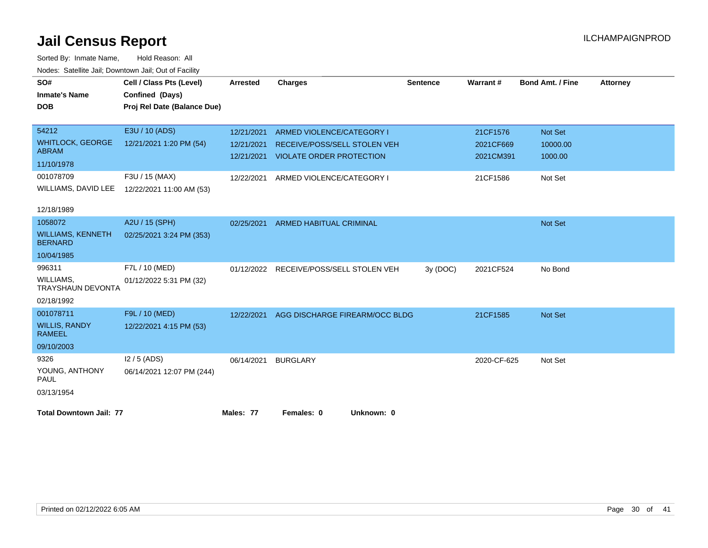| SO#                                        | Cell / Class Pts (Level)    | <b>Arrested</b> | <b>Charges</b>                  | <b>Sentence</b> | Warrant#    | Bond Amt. / Fine | <b>Attorney</b> |
|--------------------------------------------|-----------------------------|-----------------|---------------------------------|-----------------|-------------|------------------|-----------------|
| <b>Inmate's Name</b>                       | Confined (Days)             |                 |                                 |                 |             |                  |                 |
| <b>DOB</b>                                 | Proj Rel Date (Balance Due) |                 |                                 |                 |             |                  |                 |
|                                            |                             |                 |                                 |                 |             |                  |                 |
| 54212                                      | E3U / 10 (ADS)              | 12/21/2021      | ARMED VIOLENCE/CATEGORY I       |                 | 21CF1576    | Not Set          |                 |
| <b>WHITLOCK, GEORGE</b>                    | 12/21/2021 1:20 PM (54)     | 12/21/2021      | RECEIVE/POSS/SELL STOLEN VEH    |                 | 2021CF669   | 10000.00         |                 |
| <b>ABRAM</b>                               |                             | 12/21/2021      | <b>VIOLATE ORDER PROTECTION</b> |                 | 2021CM391   | 1000.00          |                 |
| 11/10/1978                                 |                             |                 |                                 |                 |             |                  |                 |
| 001078709                                  | F3U / 15 (MAX)              | 12/22/2021      | ARMED VIOLENCE/CATEGORY I       |                 | 21CF1586    | Not Set          |                 |
| WILLIAMS, DAVID LEE                        | 12/22/2021 11:00 AM (53)    |                 |                                 |                 |             |                  |                 |
|                                            |                             |                 |                                 |                 |             |                  |                 |
| 12/18/1989                                 |                             |                 |                                 |                 |             |                  |                 |
| 1058072                                    | A2U / 15 (SPH)              | 02/25/2021      | <b>ARMED HABITUAL CRIMINAL</b>  |                 |             | Not Set          |                 |
| <b>WILLIAMS, KENNETH</b><br><b>BERNARD</b> | 02/25/2021 3:24 PM (353)    |                 |                                 |                 |             |                  |                 |
| 10/04/1985                                 |                             |                 |                                 |                 |             |                  |                 |
| 996311                                     | F7L / 10 (MED)              | 01/12/2022      | RECEIVE/POSS/SELL STOLEN VEH    | 3y (DOC)        | 2021CF524   | No Bond          |                 |
| WILLIAMS,<br>TRAYSHAUN DEVONTA             | 01/12/2022 5:31 PM (32)     |                 |                                 |                 |             |                  |                 |
| 02/18/1992                                 |                             |                 |                                 |                 |             |                  |                 |
| 001078711                                  | F9L / 10 (MED)              | 12/22/2021      | AGG DISCHARGE FIREARM/OCC BLDG  |                 | 21CF1585    | Not Set          |                 |
| <b>WILLIS, RANDY</b><br><b>RAMEEL</b>      | 12/22/2021 4:15 PM (53)     |                 |                                 |                 |             |                  |                 |
| 09/10/2003                                 |                             |                 |                                 |                 |             |                  |                 |
| 9326                                       | $12/5$ (ADS)                | 06/14/2021      | <b>BURGLARY</b>                 |                 | 2020-CF-625 | Not Set          |                 |
| YOUNG, ANTHONY<br><b>PAUL</b>              | 06/14/2021 12:07 PM (244)   |                 |                                 |                 |             |                  |                 |
| 03/13/1954                                 |                             |                 |                                 |                 |             |                  |                 |
|                                            |                             |                 |                                 |                 |             |                  |                 |
| <b>Total Downtown Jail: 77</b>             |                             | Males: 77       | Females: 0<br>Unknown: 0        |                 |             |                  |                 |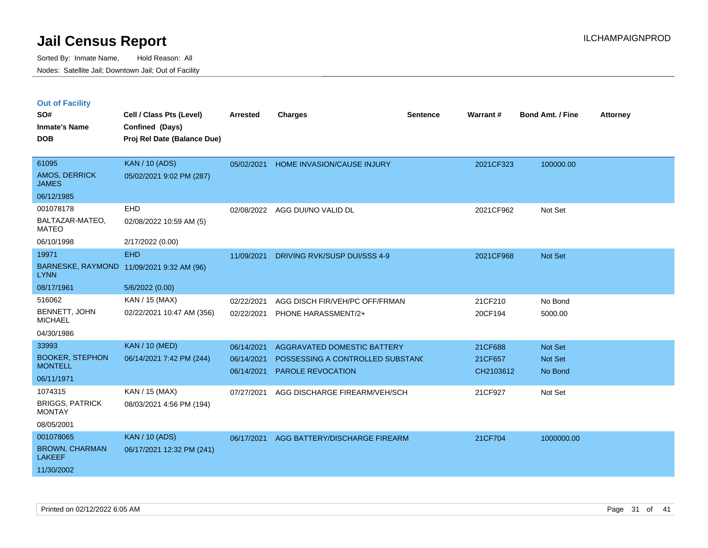|  |  | <b>Out of Facility</b> |
|--|--|------------------------|
|  |  |                        |

| SO#<br><b>Inmate's Name</b><br><b>DOB</b>                         | Cell / Class Pts (Level)<br>Confined (Days)<br>Proj Rel Date (Balance Due) | <b>Arrested</b>                        | <b>Charges</b>                                                                              | <b>Sentence</b> | Warrant#                        | <b>Bond Amt. / Fine</b>       | <b>Attorney</b> |
|-------------------------------------------------------------------|----------------------------------------------------------------------------|----------------------------------------|---------------------------------------------------------------------------------------------|-----------------|---------------------------------|-------------------------------|-----------------|
| 61095<br>AMOS, DERRICK<br><b>JAMES</b><br>06/12/1985              | <b>KAN / 10 (ADS)</b><br>05/02/2021 9:02 PM (287)                          | 05/02/2021                             | <b>HOME INVASION/CAUSE INJURY</b>                                                           |                 | 2021CF323                       | 100000.00                     |                 |
| 001078178<br>BALTAZAR-MATEO,<br><b>MATEO</b><br>06/10/1998        | EHD<br>02/08/2022 10:59 AM (5)<br>2/17/2022 (0.00)                         | 02/08/2022                             | AGG DUI/NO VALID DL                                                                         |                 | 2021CF962                       | Not Set                       |                 |
| 19971<br><b>LYNN</b><br>08/17/1961                                | <b>EHD</b><br>BARNESKE, RAYMOND 11/09/2021 9:32 AM (96)<br>5/6/2022 (0.00) | 11/09/2021                             | DRIVING RVK/SUSP DUI/SSS 4-9                                                                |                 | 2021CF968                       | Not Set                       |                 |
| 516062<br>BENNETT, JOHN<br><b>MICHAEL</b><br>04/30/1986           | KAN / 15 (MAX)<br>02/22/2021 10:47 AM (356)                                | 02/22/2021<br>02/22/2021               | AGG DISCH FIR/VEH/PC OFF/FRMAN<br>PHONE HARASSMENT/2+                                       |                 | 21CF210<br>20CF194              | No Bond<br>5000.00            |                 |
| 33993<br><b>BOOKER, STEPHON</b><br><b>MONTELL</b><br>06/11/1971   | <b>KAN / 10 (MED)</b><br>06/14/2021 7:42 PM (244)                          | 06/14/2021<br>06/14/2021<br>06/14/2021 | AGGRAVATED DOMESTIC BATTERY<br>POSSESSING A CONTROLLED SUBSTANC<br><b>PAROLE REVOCATION</b> |                 | 21CF688<br>21CF657<br>CH2103612 | Not Set<br>Not Set<br>No Bond |                 |
| 1074315<br><b>BRIGGS, PATRICK</b><br><b>MONTAY</b><br>08/05/2001  | KAN / 15 (MAX)<br>08/03/2021 4:56 PM (194)                                 | 07/27/2021                             | AGG DISCHARGE FIREARM/VEH/SCH                                                               |                 | 21CF927                         | Not Set                       |                 |
| 001078065<br><b>BROWN, CHARMAN</b><br><b>LAKEEF</b><br>11/30/2002 | <b>KAN / 10 (ADS)</b><br>06/17/2021 12:32 PM (241)                         | 06/17/2021                             | AGG BATTERY/DISCHARGE FIREARM                                                               |                 | 21CF704                         | 1000000.00                    |                 |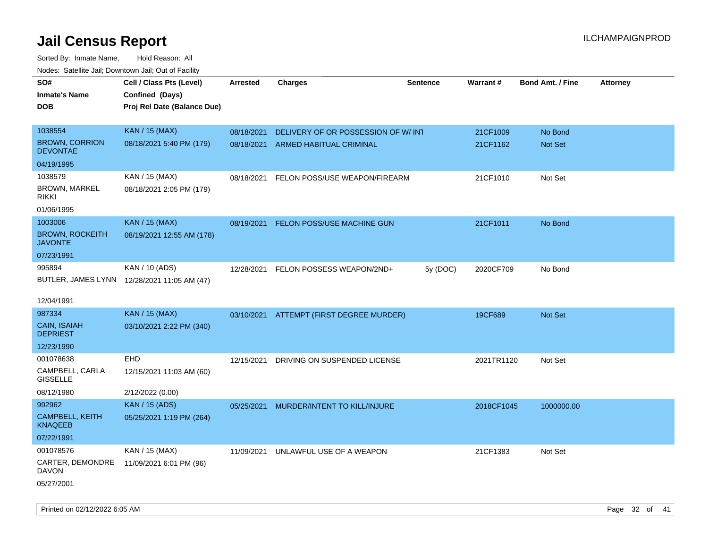| roaco. Catolino cali, Downtown cali, Out of Fability |                                             |                 |                                    |                 |            |                         |                 |
|------------------------------------------------------|---------------------------------------------|-----------------|------------------------------------|-----------------|------------|-------------------------|-----------------|
| SO#                                                  | Cell / Class Pts (Level)                    | <b>Arrested</b> | <b>Charges</b>                     | <b>Sentence</b> | Warrant#   | <b>Bond Amt. / Fine</b> | <b>Attorney</b> |
| <b>Inmate's Name</b>                                 | Confined (Days)                             |                 |                                    |                 |            |                         |                 |
| DOB                                                  | Proj Rel Date (Balance Due)                 |                 |                                    |                 |            |                         |                 |
|                                                      |                                             |                 |                                    |                 |            |                         |                 |
| 1038554                                              | <b>KAN / 15 (MAX)</b>                       | 08/18/2021      | DELIVERY OF OR POSSESSION OF W/INT |                 | 21CF1009   | No Bond                 |                 |
| <b>BROWN, CORRION</b><br><b>DEVONTAE</b>             | 08/18/2021 5:40 PM (179)                    | 08/18/2021      | ARMED HABITUAL CRIMINAL            |                 | 21CF1162   | Not Set                 |                 |
| 04/19/1995                                           |                                             |                 |                                    |                 |            |                         |                 |
| 1038579                                              | KAN / 15 (MAX)                              | 08/18/2021      | FELON POSS/USE WEAPON/FIREARM      |                 | 21CF1010   | Not Set                 |                 |
| <b>BROWN, MARKEL</b><br>rikki                        | 08/18/2021 2:05 PM (179)                    |                 |                                    |                 |            |                         |                 |
| 01/06/1995                                           |                                             |                 |                                    |                 |            |                         |                 |
| 1003006                                              | <b>KAN / 15 (MAX)</b>                       | 08/19/2021      | FELON POSS/USE MACHINE GUN         |                 | 21CF1011   | No Bond                 |                 |
| <b>BROWN, ROCKEITH</b><br><b>JAVONTE</b>             | 08/19/2021 12:55 AM (178)                   |                 |                                    |                 |            |                         |                 |
| 07/23/1991                                           |                                             |                 |                                    |                 |            |                         |                 |
| 995894                                               | KAN / 10 (ADS)                              | 12/28/2021      | FELON POSSESS WEAPON/2ND+          | 5y (DOC)        | 2020CF709  | No Bond                 |                 |
|                                                      | BUTLER, JAMES LYNN 12/28/2021 11:05 AM (47) |                 |                                    |                 |            |                         |                 |
|                                                      |                                             |                 |                                    |                 |            |                         |                 |
| 12/04/1991                                           |                                             |                 |                                    |                 |            |                         |                 |
| 987334                                               | <b>KAN / 15 (MAX)</b>                       | 03/10/2021      | ATTEMPT (FIRST DEGREE MURDER)      |                 | 19CF689    | <b>Not Set</b>          |                 |
| CAIN, ISAIAH<br><b>DEPRIEST</b>                      | 03/10/2021 2:22 PM (340)                    |                 |                                    |                 |            |                         |                 |
| 12/23/1990                                           |                                             |                 |                                    |                 |            |                         |                 |
| 001078638                                            | <b>EHD</b>                                  | 12/15/2021      | DRIVING ON SUSPENDED LICENSE       |                 | 2021TR1120 | Not Set                 |                 |
| CAMPBELL, CARLA<br><b>GISSELLE</b>                   | 12/15/2021 11:03 AM (60)                    |                 |                                    |                 |            |                         |                 |
| 08/12/1980                                           | 2/12/2022 (0.00)                            |                 |                                    |                 |            |                         |                 |
| 992962                                               | <b>KAN / 15 (ADS)</b>                       | 05/25/2021      | MURDER/INTENT TO KILL/INJURE       |                 | 2018CF1045 | 1000000.00              |                 |
| <b>CAMPBELL, KEITH</b><br>KNAQEEB                    | 05/25/2021 1:19 PM (264)                    |                 |                                    |                 |            |                         |                 |
| 07/22/1991                                           |                                             |                 |                                    |                 |            |                         |                 |
| 001078576                                            | KAN / 15 (MAX)                              | 11/09/2021      | UNLAWFUL USE OF A WEAPON           |                 | 21CF1383   | Not Set                 |                 |
| CARTER, DEMONDRE<br><b>DAVON</b>                     | 11/09/2021 6:01 PM (96)                     |                 |                                    |                 |            |                         |                 |
| 05/27/2001                                           |                                             |                 |                                    |                 |            |                         |                 |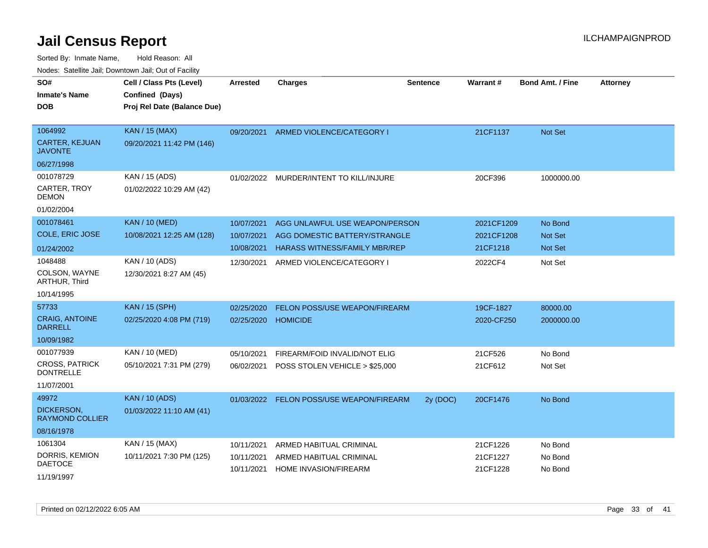| rouco. Calcinic Jan, Downtown Jan, Out of Facility |                                                                            |                          |                                                                 |                 |                          |                         |                 |
|----------------------------------------------------|----------------------------------------------------------------------------|--------------------------|-----------------------------------------------------------------|-----------------|--------------------------|-------------------------|-----------------|
| SO#<br>Inmate's Name<br><b>DOB</b>                 | Cell / Class Pts (Level)<br>Confined (Days)<br>Proj Rel Date (Balance Due) | <b>Arrested</b>          | <b>Charges</b>                                                  | <b>Sentence</b> | Warrant#                 | <b>Bond Amt. / Fine</b> | <b>Attorney</b> |
| 1064992<br><b>CARTER, KEJUAN</b><br>JAVONTE        | <b>KAN / 15 (MAX)</b><br>09/20/2021 11:42 PM (146)                         | 09/20/2021               | ARMED VIOLENCE/CATEGORY I                                       |                 | 21CF1137                 | Not Set                 |                 |
| 06/27/1998                                         |                                                                            |                          |                                                                 |                 |                          |                         |                 |
| 001078729<br>CARTER, TROY<br>DEMON                 | KAN / 15 (ADS)<br>01/02/2022 10:29 AM (42)                                 |                          | 01/02/2022 MURDER/INTENT TO KILL/INJURE                         |                 | 20CF396                  | 1000000.00              |                 |
| 01/02/2004                                         |                                                                            |                          |                                                                 |                 |                          |                         |                 |
| 001078461<br>COLE, ERIC JOSE                       | <b>KAN / 10 (MED)</b><br>10/08/2021 12:25 AM (128)                         | 10/07/2021<br>10/07/2021 | AGG UNLAWFUL USE WEAPON/PERSON<br>AGG DOMESTIC BATTERY/STRANGLE |                 | 2021CF1209<br>2021CF1208 | No Bond<br>Not Set      |                 |
| 01/24/2002                                         |                                                                            | 10/08/2021               | <b>HARASS WITNESS/FAMILY MBR/REP</b>                            |                 | 21CF1218                 | Not Set                 |                 |
| 1048488<br>COLSON, WAYNE<br>ARTHUR, Third          | KAN / 10 (ADS)<br>12/30/2021 8:27 AM (45)                                  | 12/30/2021               | ARMED VIOLENCE/CATEGORY I                                       |                 | 2022CF4                  | Not Set                 |                 |
| 10/14/1995                                         |                                                                            |                          |                                                                 |                 |                          |                         |                 |
| 57733                                              | <b>KAN / 15 (SPH)</b>                                                      | 02/25/2020               | <b>FELON POSS/USE WEAPON/FIREARM</b>                            |                 | 19CF-1827                | 80000.00                |                 |
| <b>CRAIG, ANTOINE</b><br><b>DARRELL</b>            | 02/25/2020 4:08 PM (719)                                                   | 02/25/2020               | <b>HOMICIDE</b>                                                 |                 | 2020-CF250               | 2000000.00              |                 |
| 10/09/1982                                         |                                                                            |                          |                                                                 |                 |                          |                         |                 |
| 001077939                                          | KAN / 10 (MED)                                                             | 05/10/2021               | FIREARM/FOID INVALID/NOT ELIG                                   |                 | 21CF526                  | No Bond                 |                 |
| <b>CROSS, PATRICK</b><br><b>DONTRELLE</b>          | 05/10/2021 7:31 PM (279)                                                   | 06/02/2021               | POSS STOLEN VEHICLE > \$25,000                                  |                 | 21CF612                  | Not Set                 |                 |
| 11/07/2001                                         |                                                                            |                          |                                                                 |                 |                          |                         |                 |
| 49972                                              | <b>KAN / 10 (ADS)</b>                                                      | 01/03/2022               | FELON POSS/USE WEAPON/FIREARM                                   | 2y (DOC)        | 20CF1476                 | No Bond                 |                 |
| DICKERSON,<br>RAYMOND COLLIER                      | 01/03/2022 11:10 AM (41)                                                   |                          |                                                                 |                 |                          |                         |                 |
| 08/16/1978                                         |                                                                            |                          |                                                                 |                 |                          |                         |                 |
| 1061304                                            | KAN / 15 (MAX)                                                             | 10/11/2021               | ARMED HABITUAL CRIMINAL                                         |                 | 21CF1226                 | No Bond                 |                 |
| DORRIS, KEMION<br><b>DAETOCE</b>                   | 10/11/2021 7:30 PM (125)                                                   | 10/11/2021<br>10/11/2021 | ARMED HABITUAL CRIMINAL<br><b>HOME INVASION/FIREARM</b>         |                 | 21CF1227<br>21CF1228     | No Bond<br>No Bond      |                 |
| 11/19/1997                                         |                                                                            |                          |                                                                 |                 |                          |                         |                 |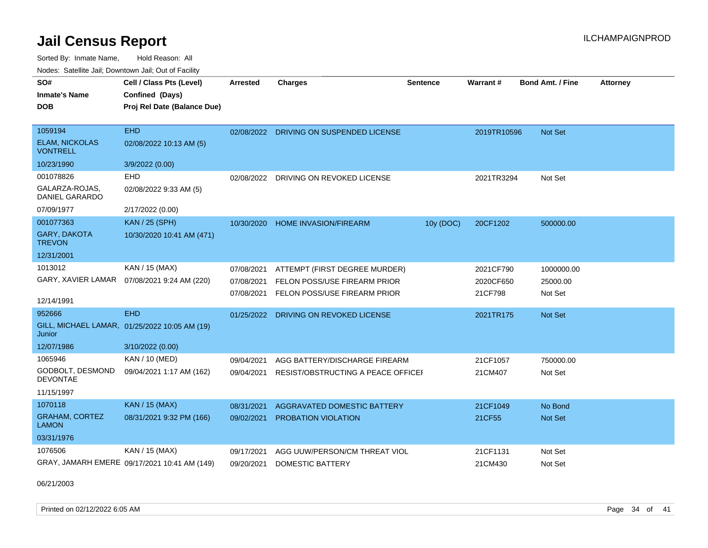Sorted By: Inmate Name, Hold Reason: All Nodes: Satellite Jail; Downtown Jail; Out of Facility

| SO#<br><b>Inmate's Name</b>              | Cell / Class Pts (Level)<br>Confined (Days)   | <b>Arrested</b> | <b>Charges</b>                          | <b>Sentence</b> | <b>Warrant#</b> | Bond Amt. / Fine | <b>Attorney</b> |
|------------------------------------------|-----------------------------------------------|-----------------|-----------------------------------------|-----------------|-----------------|------------------|-----------------|
| <b>DOB</b>                               | Proj Rel Date (Balance Due)                   |                 |                                         |                 |                 |                  |                 |
| 1059194                                  | <b>EHD</b>                                    |                 | 02/08/2022 DRIVING ON SUSPENDED LICENSE |                 | 2019TR10596     | Not Set          |                 |
| <b>ELAM, NICKOLAS</b><br><b>VONTRELL</b> | 02/08/2022 10:13 AM (5)                       |                 |                                         |                 |                 |                  |                 |
| 10/23/1990                               | 3/9/2022 (0.00)                               |                 |                                         |                 |                 |                  |                 |
| 001078826                                | EHD                                           | 02/08/2022      | DRIVING ON REVOKED LICENSE              |                 | 2021TR3294      | Not Set          |                 |
| GALARZA-ROJAS.<br><b>DANIEL GARARDO</b>  | 02/08/2022 9:33 AM (5)                        |                 |                                         |                 |                 |                  |                 |
| 07/09/1977                               | 2/17/2022 (0.00)                              |                 |                                         |                 |                 |                  |                 |
| 001077363                                | <b>KAN / 25 (SPH)</b>                         |                 | 10/30/2020 HOME INVASION/FIREARM        | 10y (DOC)       | 20CF1202        | 500000.00        |                 |
| <b>GARY, DAKOTA</b><br><b>TREVON</b>     | 10/30/2020 10:41 AM (471)                     |                 |                                         |                 |                 |                  |                 |
| 12/31/2001                               |                                               |                 |                                         |                 |                 |                  |                 |
| 1013012                                  | KAN / 15 (MAX)                                | 07/08/2021      | ATTEMPT (FIRST DEGREE MURDER)           |                 | 2021CF790       | 1000000.00       |                 |
| GARY, XAVIER LAMAR                       | 07/08/2021 9:24 AM (220)                      | 07/08/2021      | FELON POSS/USE FIREARM PRIOR            |                 | 2020CF650       | 25000.00         |                 |
|                                          |                                               | 07/08/2021      | FELON POSS/USE FIREARM PRIOR            |                 | 21CF798         | Not Set          |                 |
| 12/14/1991                               |                                               |                 |                                         |                 |                 |                  |                 |
| 952666                                   | <b>EHD</b>                                    | 01/25/2022      | DRIVING ON REVOKED LICENSE              |                 | 2021TR175       | <b>Not Set</b>   |                 |
| Junior                                   | GILL, MICHAEL LAMAR, 01/25/2022 10:05 AM (19) |                 |                                         |                 |                 |                  |                 |
| 12/07/1986                               | 3/10/2022 (0.00)                              |                 |                                         |                 |                 |                  |                 |
| 1065946                                  | KAN / 10 (MED)                                | 09/04/2021      | AGG BATTERY/DISCHARGE FIREARM           |                 | 21CF1057        | 750000.00        |                 |
| GODBOLT, DESMOND<br><b>DEVONTAE</b>      | 09/04/2021 1:17 AM (162)                      | 09/04/2021      | RESIST/OBSTRUCTING A PEACE OFFICEL      |                 | 21CM407         | Not Set          |                 |
| 11/15/1997                               |                                               |                 |                                         |                 |                 |                  |                 |
| 1070118                                  | <b>KAN / 15 (MAX)</b>                         | 08/31/2021      | <b>AGGRAVATED DOMESTIC BATTERY</b>      |                 | 21CF1049        | No Bond          |                 |
| <b>GRAHAM, CORTEZ</b><br><b>LAMON</b>    | 08/31/2021 9:32 PM (166)                      | 09/02/2021      | <b>PROBATION VIOLATION</b>              |                 | 21CF55          | Not Set          |                 |
| 03/31/1976                               |                                               |                 |                                         |                 |                 |                  |                 |
| 1076506                                  | KAN / 15 (MAX)                                | 09/17/2021      | AGG UUW/PERSON/CM THREAT VIOL           |                 | 21CF1131        | Not Set          |                 |
|                                          | GRAY, JAMARH EMERE 09/17/2021 10:41 AM (149)  | 09/20/2021      | <b>DOMESTIC BATTERY</b>                 |                 | 21CM430         | Not Set          |                 |

06/21/2003

Printed on 02/12/2022 6:05 AM Page 34 of 41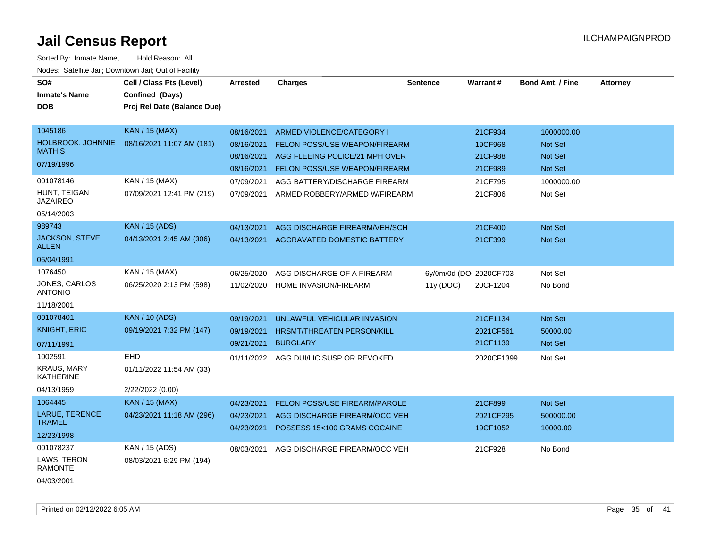| SO#<br><b>Inmate's Name</b><br><b>DOB</b>                                                                   | Cell / Class Pts (Level)<br>Confined (Days)<br>Proj Rel Date (Balance Due)                        | Arrested                                                                         | <b>Charges</b>                                                                                                                                                                                  | <b>Sentence</b>                      | Warrant#                                                       | <b>Bond Amt. / Fine</b>                                                     | <b>Attorney</b> |
|-------------------------------------------------------------------------------------------------------------|---------------------------------------------------------------------------------------------------|----------------------------------------------------------------------------------|-------------------------------------------------------------------------------------------------------------------------------------------------------------------------------------------------|--------------------------------------|----------------------------------------------------------------|-----------------------------------------------------------------------------|-----------------|
| 1045186<br>HOLBROOK, JOHNNIE<br><b>MATHIS</b><br>07/19/1996<br>001078146<br>HUNT, TEIGAN<br><b>JAZAIREO</b> | <b>KAN / 15 (MAX)</b><br>08/16/2021 11:07 AM (181)<br>KAN / 15 (MAX)<br>07/09/2021 12:41 PM (219) | 08/16/2021<br>08/16/2021<br>08/16/2021<br>08/16/2021<br>07/09/2021<br>07/09/2021 | ARMED VIOLENCE/CATEGORY I<br>FELON POSS/USE WEAPON/FIREARM<br>AGG FLEEING POLICE/21 MPH OVER<br>FELON POSS/USE WEAPON/FIREARM<br>AGG BATTERY/DISCHARGE FIREARM<br>ARMED ROBBERY/ARMED W/FIREARM |                                      | 21CF934<br>19CF968<br>21CF988<br>21CF989<br>21CF795<br>21CF806 | 1000000.00<br>Not Set<br><b>Not Set</b><br>Not Set<br>1000000.00<br>Not Set |                 |
| 05/14/2003<br>989743<br><b>JACKSON, STEVE</b><br><b>ALLEN</b><br>06/04/1991                                 | <b>KAN / 15 (ADS)</b><br>04/13/2021 2:45 AM (306)                                                 | 04/13/2021<br>04/13/2021                                                         | AGG DISCHARGE FIREARM/VEH/SCH<br>AGGRAVATED DOMESTIC BATTERY                                                                                                                                    |                                      | 21CF400<br>21CF399                                             | Not Set<br>Not Set                                                          |                 |
| 1076450<br>JONES, CARLOS<br><b>ANTONIO</b><br>11/18/2001                                                    | KAN / 15 (MAX)<br>06/25/2020 2:13 PM (598)                                                        | 06/25/2020<br>11/02/2020                                                         | AGG DISCHARGE OF A FIREARM<br>HOME INVASION/FIREARM                                                                                                                                             | 6y/0m/0d (DOI 2020CF703<br>11y (DOC) | 20CF1204                                                       | Not Set<br>No Bond                                                          |                 |
| 001078401<br><b>KNIGHT, ERIC</b><br>07/11/1991<br>1002591<br><b>KRAUS, MARY</b><br><b>KATHERINE</b>         | <b>KAN / 10 (ADS)</b><br>09/19/2021 7:32 PM (147)<br><b>EHD</b><br>01/11/2022 11:54 AM (33)       | 09/19/2021<br>09/19/2021<br>09/21/2021<br>01/11/2022                             | UNLAWFUL VEHICULAR INVASION<br>HRSMT/THREATEN PERSON/KILL<br><b>BURGLARY</b><br>AGG DUI/LIC SUSP OR REVOKED                                                                                     |                                      | 21CF1134<br>2021CF561<br>21CF1139<br>2020CF1399                | Not Set<br>50000.00<br>Not Set<br>Not Set                                   |                 |
| 04/13/1959<br>1064445<br>LARUE, TERENCE<br><b>TRAMEL</b><br>12/23/1998                                      | 2/22/2022 (0.00)<br><b>KAN / 15 (MAX)</b><br>04/23/2021 11:18 AM (296)                            | 04/23/2021<br>04/23/2021<br>04/23/2021                                           | <b>FELON POSS/USE FIREARM/PAROLE</b><br>AGG DISCHARGE FIREARM/OCC VEH<br>POSSESS 15<100 GRAMS COCAINE                                                                                           |                                      | 21CF899<br>2021CF295<br>19CF1052                               | Not Set<br>500000.00<br>10000.00                                            |                 |
| 001078237<br>LAWS, TERON<br><b>RAMONTE</b><br>04/03/2001                                                    | KAN / 15 (ADS)<br>08/03/2021 6:29 PM (194)                                                        | 08/03/2021                                                                       | AGG DISCHARGE FIREARM/OCC VEH                                                                                                                                                                   |                                      | 21CF928                                                        | No Bond                                                                     |                 |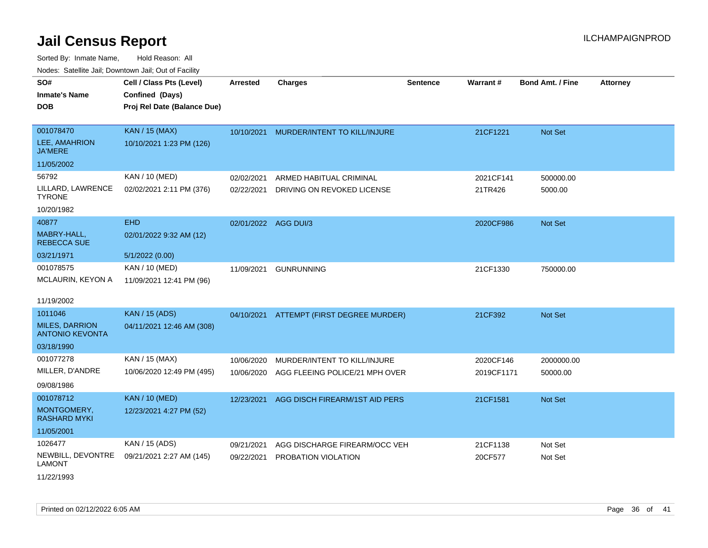Sorted By: Inmate Name, Hold Reason: All Nodes: Satellite Jail; Downtown Jail; Out of Facility

| Noucs. Calcinic Jail, Downtown Jail, Out of Facility |                             |                      |                                          |                 |            |                         |                 |
|------------------------------------------------------|-----------------------------|----------------------|------------------------------------------|-----------------|------------|-------------------------|-----------------|
| SO#                                                  | Cell / Class Pts (Level)    | <b>Arrested</b>      | <b>Charges</b>                           | <b>Sentence</b> | Warrant#   | <b>Bond Amt. / Fine</b> | <b>Attorney</b> |
| <b>Inmate's Name</b>                                 | Confined (Days)             |                      |                                          |                 |            |                         |                 |
| <b>DOB</b>                                           | Proj Rel Date (Balance Due) |                      |                                          |                 |            |                         |                 |
|                                                      |                             |                      |                                          |                 |            |                         |                 |
| 001078470                                            | <b>KAN / 15 (MAX)</b>       | 10/10/2021           | MURDER/INTENT TO KILL/INJURE             |                 | 21CF1221   | <b>Not Set</b>          |                 |
| <b>LEE, AMAHRION</b><br>JA'MERE                      | 10/10/2021 1:23 PM (126)    |                      |                                          |                 |            |                         |                 |
| 11/05/2002                                           |                             |                      |                                          |                 |            |                         |                 |
| 56792                                                | KAN / 10 (MED)              | 02/02/2021           | ARMED HABITUAL CRIMINAL                  |                 | 2021CF141  | 500000.00               |                 |
| LILLARD, LAWRENCE<br>TYRONE                          | 02/02/2021 2:11 PM (376)    | 02/22/2021           | DRIVING ON REVOKED LICENSE               |                 | 21TR426    | 5000.00                 |                 |
| 10/20/1982                                           |                             |                      |                                          |                 |            |                         |                 |
| 40877                                                | <b>EHD</b>                  | 02/01/2022 AGG DUI/3 |                                          |                 | 2020CF986  | <b>Not Set</b>          |                 |
| MABRY-HALL,<br><b>REBECCA SUE</b>                    | 02/01/2022 9:32 AM (12)     |                      |                                          |                 |            |                         |                 |
| 03/21/1971                                           | 5/1/2022 (0.00)             |                      |                                          |                 |            |                         |                 |
| 001078575                                            | KAN / 10 (MED)              | 11/09/2021           | <b>GUNRUNNING</b>                        |                 | 21CF1330   | 750000.00               |                 |
| MCLAURIN, KEYON A                                    | 11/09/2021 12:41 PM (96)    |                      |                                          |                 |            |                         |                 |
| 11/19/2002                                           |                             |                      |                                          |                 |            |                         |                 |
| 1011046                                              | <b>KAN / 15 (ADS)</b>       |                      | 04/10/2021 ATTEMPT (FIRST DEGREE MURDER) |                 | 21CF392    | <b>Not Set</b>          |                 |
| <b>MILES, DARRION</b><br><b>ANTONIO KEVONTA</b>      | 04/11/2021 12:46 AM (308)   |                      |                                          |                 |            |                         |                 |
| 03/18/1990                                           |                             |                      |                                          |                 |            |                         |                 |
| 001077278                                            | KAN / 15 (MAX)              | 10/06/2020           | MURDER/INTENT TO KILL/INJURE             |                 | 2020CF146  | 2000000.00              |                 |
| MILLER, D'ANDRE                                      | 10/06/2020 12:49 PM (495)   | 10/06/2020           | AGG FLEEING POLICE/21 MPH OVER           |                 | 2019CF1171 | 50000.00                |                 |
| 09/08/1986                                           |                             |                      |                                          |                 |            |                         |                 |
| 001078712                                            | <b>KAN / 10 (MED)</b>       | 12/23/2021           | AGG DISCH FIREARM/1ST AID PERS           |                 | 21CF1581   | <b>Not Set</b>          |                 |
| MONTGOMERY,<br>RASHARD MYKI                          | 12/23/2021 4:27 PM (52)     |                      |                                          |                 |            |                         |                 |
| 11/05/2001                                           |                             |                      |                                          |                 |            |                         |                 |
| 1026477                                              | KAN / 15 (ADS)              | 09/21/2021           | AGG DISCHARGE FIREARM/OCC VEH            |                 | 21CF1138   | Not Set                 |                 |
| NEWBILL, DEVONTRE<br>LAMONT                          | 09/21/2021 2:27 AM (145)    | 09/22/2021           | PROBATION VIOLATION                      |                 | 20CF577    | Not Set                 |                 |

11/22/1993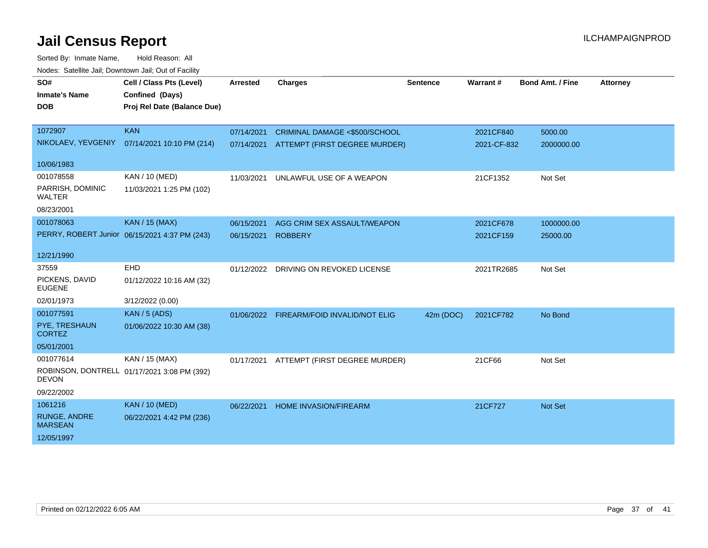| vouco. Odichite Jan, Downtown Jan, Out of Facility |                                               |            |                                          |                 |             |                  |                 |
|----------------------------------------------------|-----------------------------------------------|------------|------------------------------------------|-----------------|-------------|------------------|-----------------|
| SO#                                                | Cell / Class Pts (Level)                      | Arrested   | <b>Charges</b>                           | <b>Sentence</b> | Warrant#    | Bond Amt. / Fine | <b>Attorney</b> |
| <b>Inmate's Name</b>                               | Confined (Days)                               |            |                                          |                 |             |                  |                 |
| <b>DOB</b>                                         | Proj Rel Date (Balance Due)                   |            |                                          |                 |             |                  |                 |
|                                                    |                                               |            |                                          |                 |             |                  |                 |
| 1072907                                            | <b>KAN</b>                                    | 07/14/2021 | CRIMINAL DAMAGE <\$500/SCHOOL            |                 | 2021CF840   | 5000.00          |                 |
|                                                    | NIKOLAEV, YEVGENIY 07/14/2021 10:10 PM (214)  | 07/14/2021 | ATTEMPT (FIRST DEGREE MURDER)            |                 | 2021-CF-832 | 2000000.00       |                 |
| 10/06/1983                                         |                                               |            |                                          |                 |             |                  |                 |
| 001078558                                          | KAN / 10 (MED)                                | 11/03/2021 | UNLAWFUL USE OF A WEAPON                 |                 | 21CF1352    | Not Set          |                 |
| PARRISH, DOMINIC<br><b>WALTER</b>                  | 11/03/2021 1:25 PM (102)                      |            |                                          |                 |             |                  |                 |
| 08/23/2001                                         |                                               |            |                                          |                 |             |                  |                 |
| 001078063                                          | <b>KAN / 15 (MAX)</b>                         | 06/15/2021 | AGG CRIM SEX ASSAULT/WEAPON              |                 | 2021CF678   | 1000000.00       |                 |
|                                                    | PERRY, ROBERT Junior 06/15/2021 4:37 PM (243) | 06/15/2021 | <b>ROBBERY</b>                           |                 | 2021CF159   | 25000.00         |                 |
|                                                    |                                               |            |                                          |                 |             |                  |                 |
| 12/21/1990                                         |                                               |            |                                          |                 |             |                  |                 |
| 37559                                              | <b>EHD</b>                                    |            | 01/12/2022 DRIVING ON REVOKED LICENSE    |                 | 2021TR2685  | Not Set          |                 |
| PICKENS, DAVID<br><b>EUGENE</b>                    | 01/12/2022 10:16 AM (32)                      |            |                                          |                 |             |                  |                 |
| 02/01/1973                                         | 3/12/2022 (0.00)                              |            |                                          |                 |             |                  |                 |
| 001077591                                          | <b>KAN / 5 (ADS)</b>                          |            | 01/06/2022 FIREARM/FOID INVALID/NOT ELIG | 42m (DOC)       | 2021CF782   | No Bond          |                 |
| PYE, TRESHAUN<br><b>CORTEZ</b>                     | 01/06/2022 10:30 AM (38)                      |            |                                          |                 |             |                  |                 |
| 05/01/2001                                         |                                               |            |                                          |                 |             |                  |                 |
| 001077614                                          | KAN / 15 (MAX)                                | 01/17/2021 | ATTEMPT (FIRST DEGREE MURDER)            |                 | 21CF66      | Not Set          |                 |
| <b>DEVON</b>                                       | ROBINSON, DONTRELL 01/17/2021 3:08 PM (392)   |            |                                          |                 |             |                  |                 |
| 09/22/2002                                         |                                               |            |                                          |                 |             |                  |                 |
| 1061216                                            | <b>KAN / 10 (MED)</b>                         | 06/22/2021 | <b>HOME INVASION/FIREARM</b>             |                 | 21CF727     | Not Set          |                 |
| RUNGE, ANDRE<br><b>MARSEAN</b>                     | 06/22/2021 4:42 PM (236)                      |            |                                          |                 |             |                  |                 |
| 12/05/1997                                         |                                               |            |                                          |                 |             |                  |                 |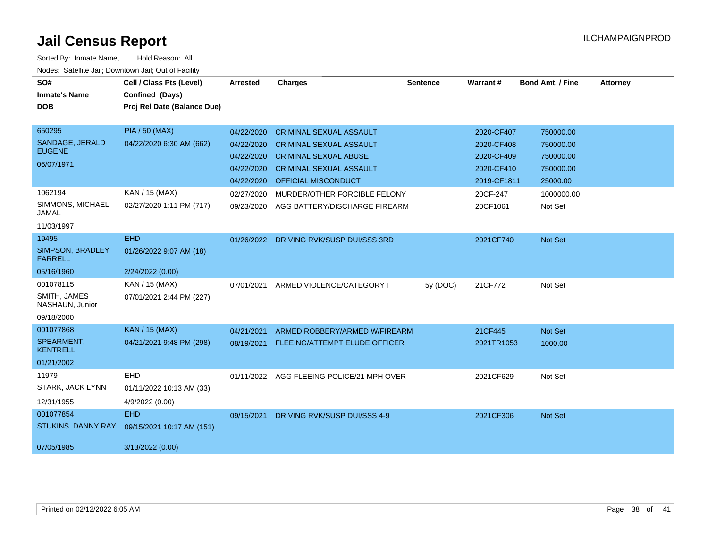| SO#<br><b>Inmate's Name</b>        | Cell / Class Pts (Level)<br>Confined (Days) | <b>Arrested</b> | <b>Charges</b>                 | <b>Sentence</b> | <b>Warrant#</b> | <b>Bond Amt. / Fine</b> | <b>Attorney</b> |
|------------------------------------|---------------------------------------------|-----------------|--------------------------------|-----------------|-----------------|-------------------------|-----------------|
| <b>DOB</b>                         | Proj Rel Date (Balance Due)                 |                 |                                |                 |                 |                         |                 |
|                                    |                                             |                 |                                |                 |                 |                         |                 |
| 650295                             | <b>PIA / 50 (MAX)</b>                       | 04/22/2020      | <b>CRIMINAL SEXUAL ASSAULT</b> |                 | 2020-CF407      | 750000.00               |                 |
| SANDAGE, JERALD<br><b>EUGENE</b>   | 04/22/2020 6:30 AM (662)                    | 04/22/2020      | <b>CRIMINAL SEXUAL ASSAULT</b> |                 | 2020-CF408      | 750000.00               |                 |
|                                    |                                             | 04/22/2020      | <b>CRIMINAL SEXUAL ABUSE</b>   |                 | 2020-CF409      | 750000.00               |                 |
| 06/07/1971                         |                                             | 04/22/2020      | <b>CRIMINAL SEXUAL ASSAULT</b> |                 | 2020-CF410      | 750000.00               |                 |
|                                    |                                             | 04/22/2020      | <b>OFFICIAL MISCONDUCT</b>     |                 | 2019-CF1811     | 25000.00                |                 |
| 1062194                            | KAN / 15 (MAX)                              | 02/27/2020      | MURDER/OTHER FORCIBLE FELONY   |                 | 20CF-247        | 1000000.00              |                 |
| SIMMONS, MICHAEL<br><b>JAMAL</b>   | 02/27/2020 1:11 PM (717)                    | 09/23/2020      | AGG BATTERY/DISCHARGE FIREARM  |                 | 20CF1061        | Not Set                 |                 |
| 11/03/1997                         |                                             |                 |                                |                 |                 |                         |                 |
| 19495                              | <b>EHD</b>                                  | 01/26/2022      | DRIVING RVK/SUSP DUI/SSS 3RD   |                 | 2021CF740       | Not Set                 |                 |
| SIMPSON, BRADLEY<br><b>FARRELL</b> | 01/26/2022 9:07 AM (18)                     |                 |                                |                 |                 |                         |                 |
| 05/16/1960                         | 2/24/2022 (0.00)                            |                 |                                |                 |                 |                         |                 |
| 001078115                          | KAN / 15 (MAX)                              | 07/01/2021      | ARMED VIOLENCE/CATEGORY I      | 5y (DOC)        | 21CF772         | Not Set                 |                 |
| SMITH, JAMES<br>NASHAUN, Junior    | 07/01/2021 2:44 PM (227)                    |                 |                                |                 |                 |                         |                 |
| 09/18/2000                         |                                             |                 |                                |                 |                 |                         |                 |
| 001077868                          | <b>KAN / 15 (MAX)</b>                       | 04/21/2021      | ARMED ROBBERY/ARMED W/FIREARM  |                 | 21CF445         | Not Set                 |                 |
| SPEARMENT.<br><b>KENTRELL</b>      | 04/21/2021 9:48 PM (298)                    | 08/19/2021      | FLEEING/ATTEMPT ELUDE OFFICER  |                 | 2021TR1053      | 1000.00                 |                 |
| 01/21/2002                         |                                             |                 |                                |                 |                 |                         |                 |
| 11979                              | EHD                                         | 01/11/2022      | AGG FLEEING POLICE/21 MPH OVER |                 | 2021CF629       | Not Set                 |                 |
| STARK, JACK LYNN                   | 01/11/2022 10:13 AM (33)                    |                 |                                |                 |                 |                         |                 |
| 12/31/1955                         | 4/9/2022 (0.00)                             |                 |                                |                 |                 |                         |                 |
| 001077854                          | <b>EHD</b>                                  | 09/15/2021      | DRIVING RVK/SUSP DUI/SSS 4-9   |                 | 2021CF306       | Not Set                 |                 |
| <b>STUKINS, DANNY RAY</b>          | 09/15/2021 10:17 AM (151)                   |                 |                                |                 |                 |                         |                 |
| 07/05/1985                         | 3/13/2022 (0.00)                            |                 |                                |                 |                 |                         |                 |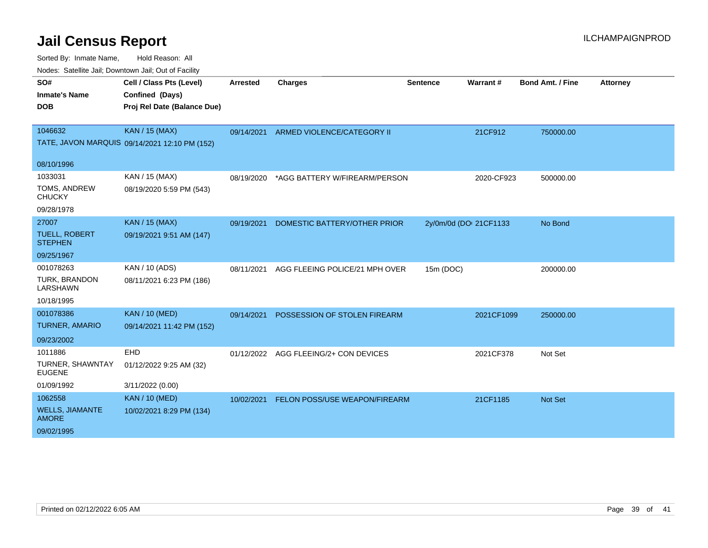| SO#                                      | Cell / Class Pts (Level)                      | <b>Arrested</b> | <b>Charges</b>                        | <b>Sentence</b> | Warrant#               | <b>Bond Amt. / Fine</b> | <b>Attorney</b> |
|------------------------------------------|-----------------------------------------------|-----------------|---------------------------------------|-----------------|------------------------|-------------------------|-----------------|
| <b>Inmate's Name</b>                     | Confined (Days)                               |                 |                                       |                 |                        |                         |                 |
| <b>DOB</b>                               | Proj Rel Date (Balance Due)                   |                 |                                       |                 |                        |                         |                 |
|                                          |                                               |                 |                                       |                 |                        |                         |                 |
| 1046632                                  | <b>KAN / 15 (MAX)</b>                         | 09/14/2021      | ARMED VIOLENCE/CATEGORY II            |                 | 21CF912                | 750000.00               |                 |
|                                          | TATE, JAVON MARQUIS 09/14/2021 12:10 PM (152) |                 |                                       |                 |                        |                         |                 |
| 08/10/1996                               |                                               |                 |                                       |                 |                        |                         |                 |
| 1033031                                  | KAN / 15 (MAX)                                | 08/19/2020      | *AGG BATTERY W/FIREARM/PERSON         |                 | 2020-CF923             | 500000.00               |                 |
| TOMS, ANDREW<br><b>CHUCKY</b>            | 08/19/2020 5:59 PM (543)                      |                 |                                       |                 |                        |                         |                 |
| 09/28/1978                               |                                               |                 |                                       |                 |                        |                         |                 |
| 27007                                    | <b>KAN / 15 (MAX)</b>                         | 09/19/2021      | DOMESTIC BATTERY/OTHER PRIOR          |                 | 2y/0m/0d (DOI 21CF1133 | No Bond                 |                 |
| <b>TUELL, ROBERT</b><br><b>STEPHEN</b>   | 09/19/2021 9:51 AM (147)                      |                 |                                       |                 |                        |                         |                 |
| 09/25/1967                               |                                               |                 |                                       |                 |                        |                         |                 |
| 001078263                                | KAN / 10 (ADS)                                | 08/11/2021      | AGG FLEEING POLICE/21 MPH OVER        | 15m (DOC)       |                        | 200000.00               |                 |
| TURK, BRANDON<br>LARSHAWN                | 08/11/2021 6:23 PM (186)                      |                 |                                       |                 |                        |                         |                 |
| 10/18/1995                               |                                               |                 |                                       |                 |                        |                         |                 |
| 001078386                                | <b>KAN / 10 (MED)</b>                         | 09/14/2021      | POSSESSION OF STOLEN FIREARM          |                 | 2021CF1099             | 250000.00               |                 |
| <b>TURNER, AMARIO</b>                    | 09/14/2021 11:42 PM (152)                     |                 |                                       |                 |                        |                         |                 |
| 09/23/2002                               |                                               |                 |                                       |                 |                        |                         |                 |
| 1011886                                  | EHD                                           |                 | 01/12/2022 AGG FLEEING/2+ CON DEVICES |                 | 2021CF378              | Not Set                 |                 |
| <b>TURNER, SHAWNTAY</b><br><b>EUGENE</b> | 01/12/2022 9:25 AM (32)                       |                 |                                       |                 |                        |                         |                 |
| 01/09/1992                               | 3/11/2022 (0.00)                              |                 |                                       |                 |                        |                         |                 |
| 1062558                                  | <b>KAN / 10 (MED)</b>                         | 10/02/2021      | FELON POSS/USE WEAPON/FIREARM         |                 | 21CF1185               | Not Set                 |                 |
| <b>WELLS, JIAMANTE</b><br><b>AMORE</b>   | 10/02/2021 8:29 PM (134)                      |                 |                                       |                 |                        |                         |                 |
| 09/02/1995                               |                                               |                 |                                       |                 |                        |                         |                 |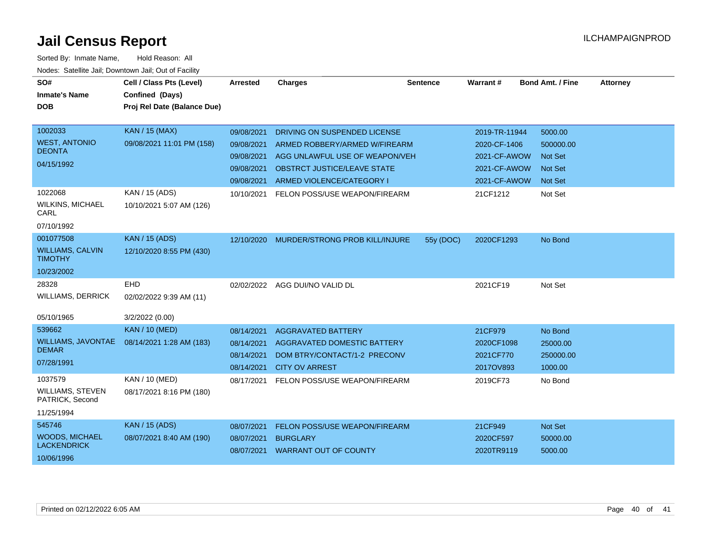| SO#                                        | Cell / Class Pts (Level)    | Arrested   | <b>Charges</b>                       | <b>Sentence</b> | <b>Warrant#</b> | <b>Bond Amt. / Fine</b> | <b>Attorney</b> |
|--------------------------------------------|-----------------------------|------------|--------------------------------------|-----------------|-----------------|-------------------------|-----------------|
| <b>Inmate's Name</b>                       | Confined (Days)             |            |                                      |                 |                 |                         |                 |
| <b>DOB</b>                                 | Proj Rel Date (Balance Due) |            |                                      |                 |                 |                         |                 |
|                                            |                             |            |                                      |                 |                 |                         |                 |
| 1002033                                    | <b>KAN / 15 (MAX)</b>       | 09/08/2021 | DRIVING ON SUSPENDED LICENSE         |                 | 2019-TR-11944   | 5000.00                 |                 |
| <b>WEST, ANTONIO</b><br><b>DEONTA</b>      | 09/08/2021 11:01 PM (158)   | 09/08/2021 | ARMED ROBBERY/ARMED W/FIREARM        |                 | 2020-CF-1406    | 500000.00               |                 |
| 04/15/1992                                 |                             | 09/08/2021 | AGG UNLAWFUL USE OF WEAPON/VEH       |                 | 2021-CF-AWOW    | <b>Not Set</b>          |                 |
|                                            |                             | 09/08/2021 | OBSTRCT JUSTICE/LEAVE STATE          |                 | 2021-CF-AWOW    | <b>Not Set</b>          |                 |
|                                            |                             | 09/08/2021 | ARMED VIOLENCE/CATEGORY I            |                 | 2021-CF-AWOW    | <b>Not Set</b>          |                 |
| 1022068                                    | KAN / 15 (ADS)              | 10/10/2021 | FELON POSS/USE WEAPON/FIREARM        |                 | 21CF1212        | Not Set                 |                 |
| <b>WILKINS, MICHAEL</b><br>CARL            | 10/10/2021 5:07 AM (126)    |            |                                      |                 |                 |                         |                 |
| 07/10/1992                                 |                             |            |                                      |                 |                 |                         |                 |
| 001077508                                  | <b>KAN</b> / 15 (ADS)       | 12/10/2020 | MURDER/STRONG PROB KILL/INJURE       | 55y (DOC)       | 2020CF1293      | No Bond                 |                 |
| <b>WILLIAMS, CALVIN</b><br><b>TIMOTHY</b>  | 12/10/2020 8:55 PM (430)    |            |                                      |                 |                 |                         |                 |
| 10/23/2002                                 |                             |            |                                      |                 |                 |                         |                 |
| 28328                                      | <b>EHD</b>                  |            | 02/02/2022 AGG DUI/NO VALID DL       |                 | 2021CF19        | Not Set                 |                 |
| <b>WILLIAMS, DERRICK</b>                   | 02/02/2022 9:39 AM (11)     |            |                                      |                 |                 |                         |                 |
|                                            |                             |            |                                      |                 |                 |                         |                 |
| 05/10/1965                                 | 3/2/2022 (0.00)             |            |                                      |                 |                 |                         |                 |
| 539662                                     | <b>KAN / 10 (MED)</b>       | 08/14/2021 | <b>AGGRAVATED BATTERY</b>            |                 | 21CF979         | No Bond                 |                 |
| <b>WILLIAMS, JAVONTAE</b>                  | 08/14/2021 1:28 AM (183)    | 08/14/2021 | AGGRAVATED DOMESTIC BATTERY          |                 | 2020CF1098      | 25000.00                |                 |
| <b>DEMAR</b>                               |                             | 08/14/2021 | DOM BTRY/CONTACT/1-2 PRECONV         |                 | 2021CF770       | 250000.00               |                 |
| 07/28/1991                                 |                             | 08/14/2021 | <b>CITY OV ARREST</b>                |                 | 2017OV893       | 1000.00                 |                 |
| 1037579                                    | KAN / 10 (MED)              | 08/17/2021 | FELON POSS/USE WEAPON/FIREARM        |                 | 2019CF73        | No Bond                 |                 |
| <b>WILLIAMS, STEVEN</b><br>PATRICK, Second | 08/17/2021 8:16 PM (180)    |            |                                      |                 |                 |                         |                 |
| 11/25/1994                                 |                             |            |                                      |                 |                 |                         |                 |
| 545746                                     | <b>KAN</b> / 15 (ADS)       | 08/07/2021 | <b>FELON POSS/USE WEAPON/FIREARM</b> |                 | 21CF949         | <b>Not Set</b>          |                 |
| <b>WOODS, MICHAEL</b>                      | 08/07/2021 8:40 AM (190)    | 08/07/2021 | <b>BURGLARY</b>                      |                 | 2020CF597       | 50000.00                |                 |
| <b>LACKENDRICK</b>                         |                             | 08/07/2021 | <b>WARRANT OUT OF COUNTY</b>         |                 | 2020TR9119      | 5000.00                 |                 |
| 10/06/1996                                 |                             |            |                                      |                 |                 |                         |                 |